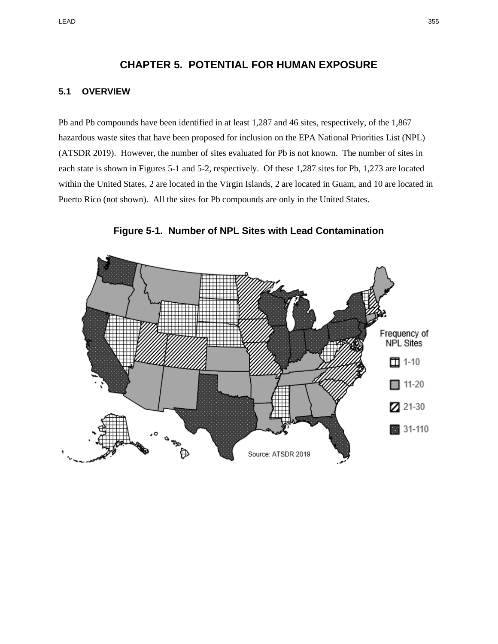## **CHAPTER 5. POTENTIAL FOR HUMAN EXPOSURE**

## **5.1 OVERVIEW**

Pb and Pb compounds have been identified in at least 1,287 and 46 sites, respectively, of the 1,867 hazardous waste sites that have been proposed for inclusion on the EPA National Priorities List (NPL) (ATSDR 2019). However, the number of sites evaluated for Pb is not known. The number of sites in each state is shown in Figures 5-1 and 5-2, respectively. Of these 1,287 sites for Pb, 1,273 are located within the United States, 2 are located in the Virgin Islands, 2 are located in Guam, and 10 are located in Puerto Rico (not shown). All the sites for Pb compounds are only in the United States.



**Figure 5-1. Number of NPL Sites with Lead Contamination**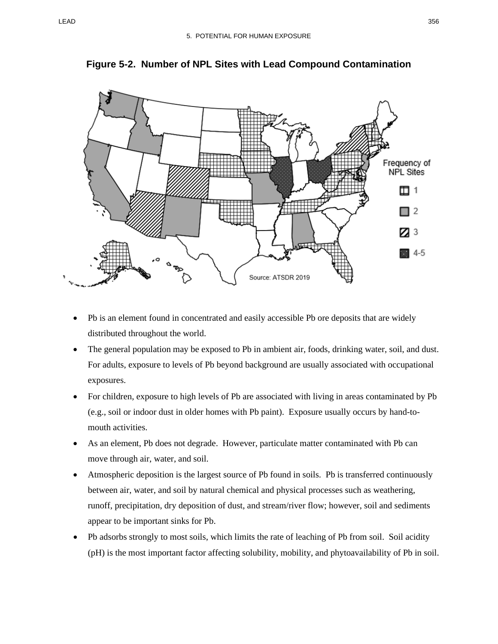

**Figure 5-2. Number of NPL Sites with Lead Compound Contamination**

- Pb is an element found in concentrated and easily accessible Pb ore deposits that are widely distributed throughout the world.
- The general population may be exposed to Pb in ambient air, foods, drinking water, soil, and dust. For adults, exposure to levels of Pb beyond background are usually associated with occupational exposures.
- For children, exposure to high levels of Pb are associated with living in areas contaminated by Pb (e.g., soil or indoor dust in older homes with Pb paint). Exposure usually occurs by hand-tomouth activities.
- As an element, Pb does not degrade. However, particulate matter contaminated with Pb can move through air, water, and soil.
- Atmospheric deposition is the largest source of Pb found in soils. Pb is transferred continuously between air, water, and soil by natural chemical and physical processes such as weathering, runoff, precipitation, dry deposition of dust, and stream/river flow; however, soil and sediments appear to be important sinks for Pb.
- Pb adsorbs strongly to most soils, which limits the rate of leaching of Pb from soil. Soil acidity (pH) is the most important factor affecting solubility, mobility, and phytoavailability of Pb in soil.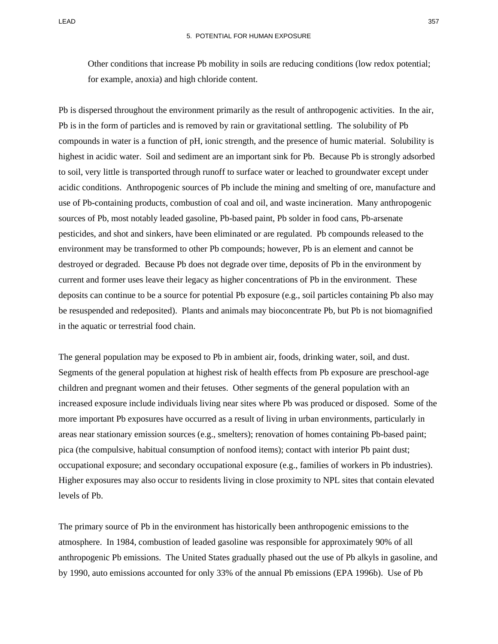Other conditions that increase Pb mobility in soils are reducing conditions (low redox potential; for example, anoxia) and high chloride content.

Pb is dispersed throughout the environment primarily as the result of anthropogenic activities. In the air, Pb is in the form of particles and is removed by rain or gravitational settling. The solubility of Pb compounds in water is a function of pH, ionic strength, and the presence of humic material. Solubility is highest in acidic water. Soil and sediment are an important sink for Pb. Because Pb is strongly adsorbed to soil, very little is transported through runoff to surface water or leached to groundwater except under acidic conditions. Anthropogenic sources of Pb include the mining and smelting of ore, manufacture and use of Pb-containing products, combustion of coal and oil, and waste incineration. Many anthropogenic sources of Pb, most notably leaded gasoline, Pb-based paint, Pb solder in food cans, Pb-arsenate pesticides, and shot and sinkers, have been eliminated or are regulated. Pb compounds released to the environment may be transformed to other Pb compounds; however, Pb is an element and cannot be destroyed or degraded. Because Pb does not degrade over time, deposits of Pb in the environment by current and former uses leave their legacy as higher concentrations of Pb in the environment. These deposits can continue to be a source for potential Pb exposure (e.g., soil particles containing Pb also may be resuspended and redeposited). Plants and animals may bioconcentrate Pb, but Pb is not biomagnified in the aquatic or terrestrial food chain.

The general population may be exposed to Pb in ambient air, foods, drinking water, soil, and dust. Segments of the general population at highest risk of health effects from Pb exposure are preschool-age children and pregnant women and their fetuses. Other segments of the general population with an increased exposure include individuals living near sites where Pb was produced or disposed. Some of the more important Pb exposures have occurred as a result of living in urban environments, particularly in areas near stationary emission sources (e.g., smelters); renovation of homes containing Pb-based paint; pica (the compulsive, habitual consumption of nonfood items); contact with interior Pb paint dust; occupational exposure; and secondary occupational exposure (e.g., families of workers in Pb industries). Higher exposures may also occur to residents living in close proximity to NPL sites that contain elevated levels of Pb.

The primary source of Pb in the environment has historically been anthropogenic emissions to the atmosphere. In 1984, combustion of leaded gasoline was responsible for approximately 90% of all anthropogenic Pb emissions. The United States gradually phased out the use of Pb alkyls in gasoline, and by 1990, auto emissions accounted for only 33% of the annual Pb emissions (EPA 1996b). Use of Pb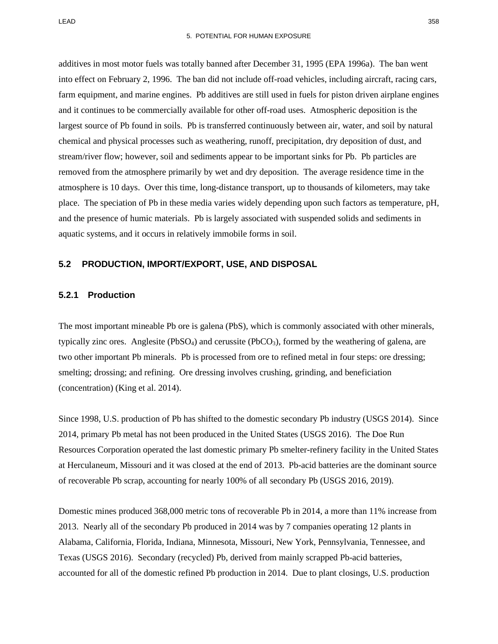additives in most motor fuels was totally banned after December 31, 1995 (EPA 1996a). The ban went into effect on February 2, 1996. The ban did not include off-road vehicles, including aircraft, racing cars, farm equipment, and marine engines. Pb additives are still used in fuels for piston driven airplane engines and it continues to be commercially available for other off-road uses. Atmospheric deposition is the largest source of Pb found in soils. Pb is transferred continuously between air, water, and soil by natural chemical and physical processes such as weathering, runoff, precipitation, dry deposition of dust, and stream/river flow; however, soil and sediments appear to be important sinks for Pb. Pb particles are removed from the atmosphere primarily by wet and dry deposition. The average residence time in the atmosphere is 10 days. Over this time, long-distance transport, up to thousands of kilometers, may take place. The speciation of Pb in these media varies widely depending upon such factors as temperature, pH, and the presence of humic materials. Pb is largely associated with suspended solids and sediments in aquatic systems, and it occurs in relatively immobile forms in soil.

#### **5.2 PRODUCTION, IMPORT/EXPORT, USE, AND DISPOSAL**

#### **5.2.1 Production**

The most important mineable Pb ore is galena (PbS), which is commonly associated with other minerals, typically zinc ores. Anglesite ( $PbSO<sub>4</sub>$ ) and cerussite ( $PbCO<sub>3</sub>$ ), formed by the weathering of galena, are two other important Pb minerals. Pb is processed from ore to refined metal in four steps: ore dressing; smelting; drossing; and refining. Ore dressing involves crushing, grinding, and beneficiation (concentration) (King et al. 2014).

Since 1998, U.S. production of Pb has shifted to the domestic secondary Pb industry (USGS 2014). Since 2014, primary Pb metal has not been produced in the United States (USGS 2016). The Doe Run Resources Corporation operated the last domestic primary Pb smelter-refinery facility in the United States at Herculaneum, Missouri and it was closed at the end of 2013. Pb-acid batteries are the dominant source of recoverable Pb scrap, accounting for nearly 100% of all secondary Pb (USGS 2016, 2019).

Domestic mines produced 368,000 metric tons of recoverable Pb in 2014, a more than 11% increase from 2013. Nearly all of the secondary Pb produced in 2014 was by 7 companies operating 12 plants in Alabama, California, Florida, Indiana, Minnesota, Missouri, New York, Pennsylvania, Tennessee, and Texas (USGS 2016). Secondary (recycled) Pb, derived from mainly scrapped Pb-acid batteries, accounted for all of the domestic refined Pb production in 2014. Due to plant closings, U.S. production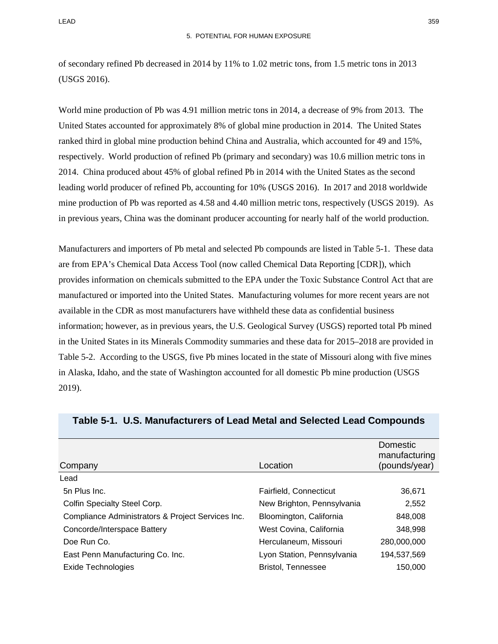of secondary refined Pb decreased in 2014 by 11% to 1.02 metric tons, from 1.5 metric tons in 2013 (USGS 2016).

World mine production of Pb was 4.91 million metric tons in 2014, a decrease of 9% from 2013. The United States accounted for approximately 8% of global mine production in 2014. The United States ranked third in global mine production behind China and Australia, which accounted for 49 and 15%, respectively. World production of refined Pb (primary and secondary) was 10.6 million metric tons in 2014. China produced about 45% of global refined Pb in 2014 with the United States as the second leading world producer of refined Pb, accounting for 10% (USGS 2016). In 2017 and 2018 worldwide mine production of Pb was reported as 4.58 and 4.40 million metric tons, respectively (USGS 2019). As in previous years, China was the dominant producer accounting for nearly half of the world production.

Manufacturers and importers of Pb metal and selected Pb compounds are listed in [Table 5-1.](#page-4-0) These data are from EPA's Chemical Data Access Tool (now called Chemical Data Reporting [CDR]), which provides information on chemicals submitted to the EPA under the Toxic Substance Control Act that are manufactured or imported into the United States. Manufacturing volumes for more recent years are not available in the CDR as most manufacturers have withheld these data as confidential business information; however, as in previous years, the U.S. Geological Survey (USGS) reported total Pb mined in the United States in its Minerals Commodity summaries and these data for 2015–2018 are provided in [Table 5-2.](#page-7-0) According to the USGS, five Pb mines located in the state of Missouri along with five mines in Alaska, Idaho, and the state of Washington accounted for all domestic Pb mine production (USGS 2019).

| Company                                           | Location                   | <b>Domestic</b><br>manufacturing<br>(pounds/year) |
|---------------------------------------------------|----------------------------|---------------------------------------------------|
| Lead                                              |                            |                                                   |
| 5n Plus Inc.                                      | Fairfield, Connecticut     | 36,671                                            |
| Colfin Specialty Steel Corp.                      | New Brighton, Pennsylvania | 2,552                                             |
| Compliance Administrators & Project Services Inc. | Bloomington, California    | 848,008                                           |
| Concorde/Interspace Battery                       | West Covina, California    | 348,998                                           |
| Doe Run Co.                                       | Herculaneum, Missouri      | 280,000,000                                       |
| East Penn Manufacturing Co. Inc.                  | Lyon Station, Pennsylvania | 194,537,569                                       |
| <b>Exide Technologies</b>                         | <b>Bristol. Tennessee</b>  | 150,000                                           |

#### <span id="page-4-0"></span>**Table 5-1. U.S. Manufacturers of Lead Metal and Selected Lead Compounds**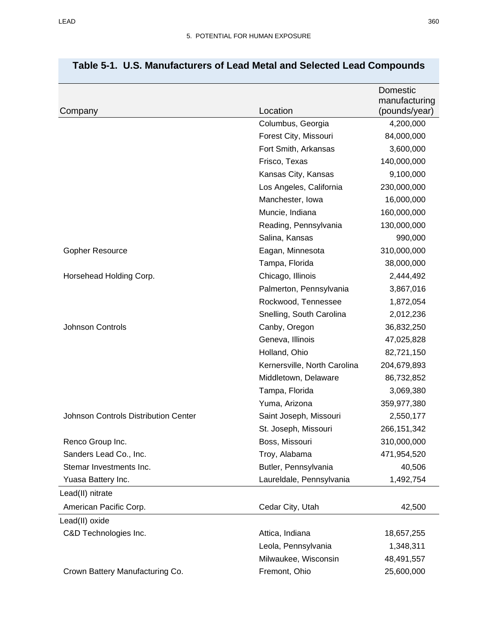|                                      | Location                     | Domestic<br>manufacturing |
|--------------------------------------|------------------------------|---------------------------|
| Company                              | Columbus, Georgia            | (pounds/year)             |
|                                      |                              | 4,200,000                 |
|                                      | Forest City, Missouri        | 84,000,000                |
|                                      | Fort Smith, Arkansas         | 3,600,000                 |
|                                      | Frisco, Texas                | 140,000,000               |
|                                      | Kansas City, Kansas          | 9,100,000                 |
|                                      | Los Angeles, California      | 230,000,000               |
|                                      | Manchester, Iowa             | 16,000,000                |
|                                      | Muncie, Indiana              | 160,000,000               |
|                                      | Reading, Pennsylvania        | 130,000,000               |
|                                      | Salina, Kansas               | 990,000                   |
| Gopher Resource                      | Eagan, Minnesota             | 310,000,000               |
|                                      | Tampa, Florida               | 38,000,000                |
| Horsehead Holding Corp.              | Chicago, Illinois            | 2,444,492                 |
|                                      | Palmerton, Pennsylvania      | 3,867,016                 |
|                                      | Rockwood, Tennessee          | 1,872,054                 |
|                                      | Snelling, South Carolina     | 2,012,236                 |
| <b>Johnson Controls</b>              | Canby, Oregon                | 36,832,250                |
|                                      | Geneva, Illinois             | 47,025,828                |
|                                      | Holland, Ohio                | 82,721,150                |
|                                      | Kernersville, North Carolina | 204,679,893               |
|                                      | Middletown, Delaware         | 86,732,852                |
|                                      | Tampa, Florida               | 3,069,380                 |
|                                      | Yuma, Arizona                | 359,977,380               |
| Johnson Controls Distribution Center | Saint Joseph, Missouri       | 2,550,177                 |
|                                      | St. Joseph, Missouri         | 266, 151, 342             |
| Renco Group Inc.                     | Boss, Missouri               | 310,000,000               |
| Sanders Lead Co., Inc.               | Troy, Alabama                | 471,954,520               |
| Stemar Investments Inc.              | Butler, Pennsylvania         | 40,506                    |
| Yuasa Battery Inc.                   | Laureldale, Pennsylvania     | 1,492,754                 |
| Lead(II) nitrate                     |                              |                           |
| American Pacific Corp.               | Cedar City, Utah             | 42,500                    |
| Lead(II) oxide                       |                              |                           |
| C&D Technologies Inc.                | Attica, Indiana              | 18,657,255                |
|                                      | Leola, Pennsylvania          | 1,348,311                 |
|                                      | Milwaukee, Wisconsin         | 48,491,557                |
| Crown Battery Manufacturing Co.      | Fremont, Ohio                | 25,600,000                |

# **Table 5-1. U.S. Manufacturers of Lead Metal and Selected Lead Compounds**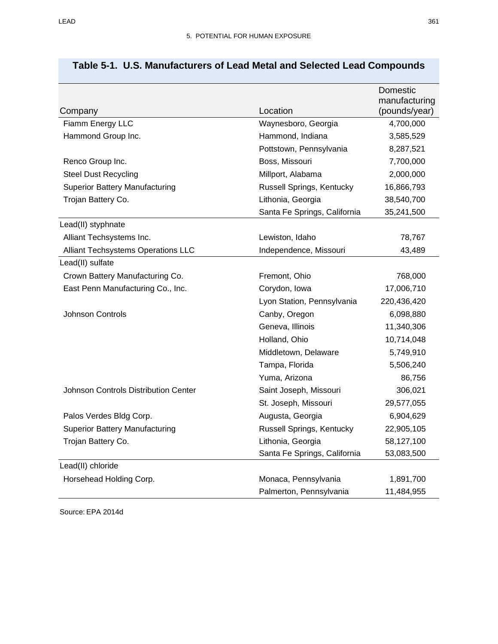|                                             |                              | Domestic<br>manufacturing |
|---------------------------------------------|------------------------------|---------------------------|
| Company                                     | Location                     | (pounds/year)             |
| Fiamm Energy LLC                            | Waynesboro, Georgia          | 4,700,000                 |
| Hammond Group Inc.                          | Hammond, Indiana             | 3,585,529                 |
|                                             | Pottstown, Pennsylvania      | 8,287,521                 |
| Renco Group Inc.                            | Boss, Missouri               | 7,700,000                 |
| <b>Steel Dust Recycling</b>                 | Millport, Alabama            | 2,000,000                 |
| <b>Superior Battery Manufacturing</b>       | Russell Springs, Kentucky    | 16,866,793                |
| Trojan Battery Co.                          | Lithonia, Georgia            | 38,540,700                |
|                                             | Santa Fe Springs, California | 35,241,500                |
| Lead(II) styphnate                          |                              |                           |
| Alliant Techsystems Inc.                    | Lewiston, Idaho              | 78,767                    |
| Alliant Techsystems Operations LLC          | Independence, Missouri       | 43,489                    |
| Lead(II) sulfate                            |                              |                           |
| Crown Battery Manufacturing Co.             | Fremont, Ohio                | 768,000                   |
| East Penn Manufacturing Co., Inc.           | Corydon, Iowa                | 17,006,710                |
|                                             | Lyon Station, Pennsylvania   | 220,436,420               |
| Johnson Controls                            | Canby, Oregon                | 6,098,880                 |
|                                             | Geneva, Illinois             | 11,340,306                |
|                                             | Holland, Ohio                | 10,714,048                |
|                                             | Middletown, Delaware         | 5,749,910                 |
|                                             | Tampa, Florida               | 5,506,240                 |
|                                             | Yuma, Arizona                | 86,756                    |
| <b>Johnson Controls Distribution Center</b> | Saint Joseph, Missouri       | 306,021                   |
|                                             | St. Joseph, Missouri         | 29,577,055                |
| Palos Verdes Bldg Corp.                     | Augusta, Georgia             | 6,904,629                 |
| <b>Superior Battery Manufacturing</b>       | Russell Springs, Kentucky    | 22,905,105                |
| Trojan Battery Co.                          | Lithonia, Georgia            | 58,127,100                |
|                                             | Santa Fe Springs, California | 53,083,500                |
| Lead(II) chloride                           |                              |                           |
| Horsehead Holding Corp.                     | Monaca, Pennsylvania         | 1,891,700                 |
|                                             | Palmerton, Pennsylvania      | 11,484,955                |

# **Table 5-1. U.S. Manufacturers of Lead Metal and Selected Lead Compounds**

Source: EPA 2014d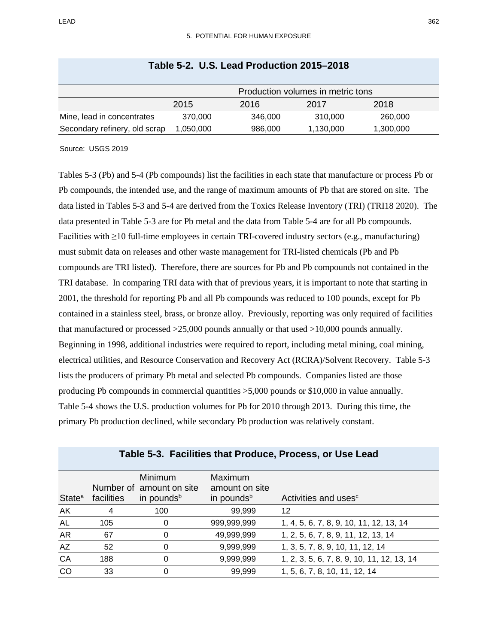<span id="page-7-0"></span>

|                               |           |         | Production volumes in metric tons |           |
|-------------------------------|-----------|---------|-----------------------------------|-----------|
|                               | 2015      | 2016    | 2017                              | 2018      |
| Mine, lead in concentrates    | 370.000   | 346,000 | 310,000                           | 260,000   |
| Secondary refinery, old scrap | 1,050,000 | 986,000 | 1,130,000                         | 1,300,000 |

## **Table 5-2. U.S. Lead Production 2015–2018**

Source: USGS 2019

Tables [5-3](#page-7-1) (Pb) and [5-4](#page-9-0) (Pb compounds) list the facilities in each state that manufacture or process Pb or Pb compounds, the intended use, and the range of maximum amounts of Pb that are stored on site. The data listed in Tables [5-3](#page-7-1) and [5-4](#page-9-0) are derived from the Toxics Release Inventory (TRI) (TRI18 2020). The data presented in [Table 5-3](#page-7-1) are for Pb metal and the data from [Table 5-4](#page-9-0) are for all Pb compounds. Facilities with ≥10 full-time employees in certain TRI-covered industry sectors (e.g., manufacturing) must submit data on releases and other waste management for TRI-listed chemicals (Pb and Pb compounds are TRI listed). Therefore, there are sources for Pb and Pb compounds not contained in the TRI database. In comparing TRI data with that of previous years, it is important to note that starting in 2001, the threshold for reporting Pb and all Pb compounds was reduced to 100 pounds, except for Pb contained in a stainless steel, brass, or bronze alloy. Previously, reporting was only required of facilities that manufactured or processed >25,000 pounds annually or that used >10,000 pounds annually. Beginning in 1998, additional industries were required to report, including metal mining, coal mining, electrical utilities, and Resource Conservation and Recovery Act (RCRA)/Solvent Recovery. [Table 5-3](#page-7-1) lists the producers of primary Pb metal and selected Pb compounds. Companies listed are those producing Pb compounds in commercial quantities >5,000 pounds or \$10,000 in value annually. [Table](#page-9-0) 5-4 shows the U.S. production volumes for Pb for 2010 through 2013. During this time, the primary Pb production declined, while secondary Pb production was relatively constant.

<span id="page-7-1"></span>

| State <sup>a</sup> | facilities | <b>Minimum</b><br>Number of amount on site<br>in pounds <sup>b</sup> | Maximum<br>amount on site<br>in pounds <sup>b</sup> | Activities and uses <sup>c</sup>           |
|--------------------|------------|----------------------------------------------------------------------|-----------------------------------------------------|--------------------------------------------|
| AK                 | 4          | 100                                                                  | 99,999                                              | 12                                         |
| <b>AL</b>          | 105        | O                                                                    | 999,999,999                                         | 1, 4, 5, 6, 7, 8, 9, 10, 11, 12, 13, 14    |
| <b>AR</b>          | 67         | O                                                                    | 49,999,999                                          | 1, 2, 5, 6, 7, 8, 9, 11, 12, 13, 14        |
| AZ                 | 52         | 0                                                                    | 9,999,999                                           | 1, 3, 5, 7, 8, 9, 10, 11, 12, 14           |
| CA                 | 188        | 0                                                                    | 9,999,999                                           | 1, 2, 3, 5, 6, 7, 8, 9, 10, 11, 12, 13, 14 |
| CO                 | 33         |                                                                      | 99,999                                              | 1, 5, 6, 7, 8, 10, 11, 12, 14              |

#### **Table 5-3. Facilities that Produce, Process, or Use Lead**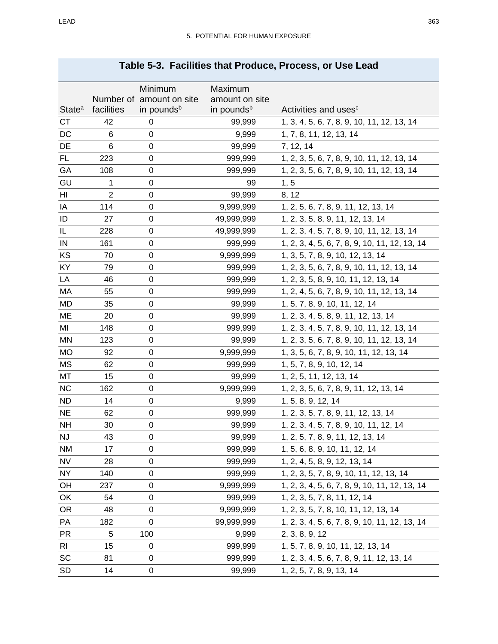|                    |                | Minimum                | Maximum                |                                               |
|--------------------|----------------|------------------------|------------------------|-----------------------------------------------|
|                    | Number of      | amount on site         | amount on site         |                                               |
| State <sup>a</sup> | facilities     | in pounds <sup>b</sup> | in pounds <sup>b</sup> | Activities and uses <sup>c</sup>              |
| <b>CT</b>          | 42             | 0                      | 99,999                 | 1, 3, 4, 5, 6, 7, 8, 9, 10, 11, 12, 13, 14    |
| DC                 | 6              | 0                      | 9,999                  | 1, 7, 8, 11, 12, 13, 14                       |
| DE                 | 6              | 0                      | 99,999                 | 7, 12, 14                                     |
| <b>FL</b>          | 223            | 0                      | 999,999                | 1, 2, 3, 5, 6, 7, 8, 9, 10, 11, 12, 13, 14    |
| GA                 | 108            | 0                      | 999,999                | 1, 2, 3, 5, 6, 7, 8, 9, 10, 11, 12, 13, 14    |
| GU                 | 1              | 0                      | 99                     | 1, 5                                          |
| HI                 | $\overline{2}$ | 0                      | 99,999                 | 8, 12                                         |
| IA                 | 114            | 0                      | 9,999,999              | 1, 2, 5, 6, 7, 8, 9, 11, 12, 13, 14           |
| ID                 | 27             | 0                      | 49,999,999             | 1, 2, 3, 5, 8, 9, 11, 12, 13, 14              |
| IL                 | 228            | 0                      | 49,999,999             | 1, 2, 3, 4, 5, 7, 8, 9, 10, 11, 12, 13, 14    |
| ${\sf IN}$         | 161            | 0                      | 999,999                | 1, 2, 3, 4, 5, 6, 7, 8, 9, 10, 11, 12, 13, 14 |
| KS                 | 70             | 0                      | 9,999,999              | 1, 3, 5, 7, 8, 9, 10, 12, 13, 14              |
| KY                 | 79             | 0                      | 999,999                | 1, 2, 3, 5, 6, 7, 8, 9, 10, 11, 12, 13, 14    |
| LA                 | 46             | 0                      | 999,999                | 1, 2, 3, 5, 8, 9, 10, 11, 12, 13, 14          |
| МA                 | 55             | 0                      | 999,999                | 1, 2, 4, 5, 6, 7, 8, 9, 10, 11, 12, 13, 14    |
| MD                 | 35             | 0                      | 99,999                 | 1, 5, 7, 8, 9, 10, 11, 12, 14                 |
| ME                 | 20             | 0                      | 99,999                 | 1, 2, 3, 4, 5, 8, 9, 11, 12, 13, 14           |
| MI                 | 148            | 0                      | 999,999                | 1, 2, 3, 4, 5, 7, 8, 9, 10, 11, 12, 13, 14    |
| MN                 | 123            | 0                      | 99,999                 | 1, 2, 3, 5, 6, 7, 8, 9, 10, 11, 12, 13, 14    |
| MO                 | 92             | 0                      | 9,999,999              | 1, 3, 5, 6, 7, 8, 9, 10, 11, 12, 13, 14       |
| MS                 | 62             | 0                      | 999,999                | 1, 5, 7, 8, 9, 10, 12, 14                     |
| MT                 | 15             | 0                      | 99,999                 | 1, 2, 5, 11, 12, 13, 14                       |
| <b>NC</b>          | 162            | 0                      | 9,999,999              | 1, 2, 3, 5, 6, 7, 8, 9, 11, 12, 13, 14        |
| <b>ND</b>          | 14             | 0                      | 9,999                  | 1, 5, 8, 9, 12, 14                            |
| <b>NE</b>          | 62             | 0                      | 999,999                | 1, 2, 3, 5, 7, 8, 9, 11, 12, 13, 14           |
| <b>NH</b>          | 30             | 0                      | 99,999                 | 1, 2, 3, 4, 5, 7, 8, 9, 10, 11, 12, 14        |
| NJ                 | 43             | 0                      | 99,999                 | 1, 2, 5, 7, 8, 9, 11, 12, 13, 14              |
| NM                 | 17             | 0                      | 999,999                | 1, 5, 6, 8, 9, 10, 11, 12, 14                 |
| <b>NV</b>          | 28             | 0                      | 999,999                | 1, 2, 4, 5, 8, 9, 12, 13, 14                  |
| NY                 | 140            | 0                      | 999,999                | 1, 2, 3, 5, 7, 8, 9, 10, 11, 12, 13, 14       |
| OH                 | 237            | 0                      | 9,999,999              | 1, 2, 3, 4, 5, 6, 7, 8, 9, 10, 11, 12, 13, 14 |
| OK                 | 54             | 0                      | 999,999                | 1, 2, 3, 5, 7, 8, 11, 12, 14                  |
| <b>OR</b>          | 48             | 0                      | 9,999,999              | 1, 2, 3, 5, 7, 8, 10, 11, 12, 13, 14          |
| PA                 | 182            | 0                      | 99,999,999             | 1, 2, 3, 4, 5, 6, 7, 8, 9, 10, 11, 12, 13, 14 |
| <b>PR</b>          | 5              | 100                    | 9,999                  | 2, 3, 8, 9, 12                                |
| <b>RI</b>          | 15             | $\pmb{0}$              | 999,999                | 1, 5, 7, 8, 9, 10, 11, 12, 13, 14             |
| SC                 | 81             | 0                      | 999,999                | 1, 2, 3, 4, 5, 6, 7, 8, 9, 11, 12, 13, 14     |
| <b>SD</b>          | 14             | 0                      | 99,999                 |                                               |
|                    |                |                        |                        | 1, 2, 5, 7, 8, 9, 13, 14                      |

# **Table 5-3. Facilities that Produce, Process, or Use Lead**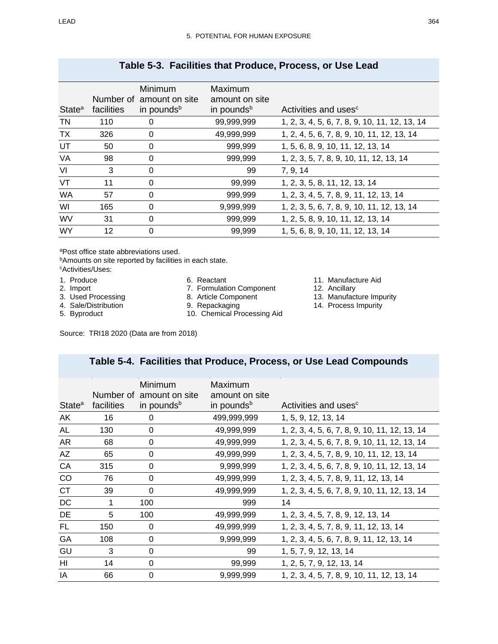| State <sup>a</sup> | facilities | Minimum<br>Number of amount on site<br>in pounds <sup>b</sup> | Maximum<br>amount on site<br>in pounds <sup>b</sup> | Activities and uses <sup>c</sup>              |
|--------------------|------------|---------------------------------------------------------------|-----------------------------------------------------|-----------------------------------------------|
| TN                 | 110        | 0                                                             | 99,999,999                                          | 1, 2, 3, 4, 5, 6, 7, 8, 9, 10, 11, 12, 13, 14 |
| <b>TX</b>          | 326        | 0                                                             | 49,999,999                                          | 1, 2, 4, 5, 6, 7, 8, 9, 10, 11, 12, 13, 14    |
| UT                 | 50         | 0                                                             | 999,999                                             | 1, 5, 6, 8, 9, 10, 11, 12, 13, 14             |
| VA                 | 98         | 0                                                             | 999,999                                             | 1, 2, 3, 5, 7, 8, 9, 10, 11, 12, 13, 14       |
| VI                 | 3          | 0                                                             | 99                                                  | 7, 9, 14                                      |
| VT                 | 11         | 0                                                             | 99,999                                              | 1, 2, 3, 5, 8, 11, 12, 13, 14                 |
| <b>WA</b>          | 57         | $\Omega$                                                      | 999,999                                             | 1, 2, 3, 4, 5, 7, 8, 9, 11, 12, 13, 14        |
| WI                 | 165        | 0                                                             | 9,999,999                                           | 1, 2, 3, 5, 6, 7, 8, 9, 10, 11, 12, 13, 14    |
| <b>WV</b>          | 31         | 0                                                             | 999,999                                             | 1, 2, 5, 8, 9, 10, 11, 12, 13, 14             |
| <b>WY</b>          | 12         | 0                                                             | 99,999                                              | 1, 5, 6, 8, 9, 10, 11, 12, 13, 14             |

## **Table 5-3. Facilities that Produce, Process, or Use Lead**

aPost office state abbreviations used.

**bAmounts on site reported by facilities in each state.** 

cActivities/Uses:

- 1. Produce
- 2. Import
- 3. Used Processing
- 4. Sale/Distribution
- 5. Byproduct
- 6. Reactant
- 7. Formulation Component 8. Article Component
- 
- 9. Repackaging
- 10. Chemical Processing Aid
- 11. Manufacture Aid
- 12. Ancillary
- 13. Manufacture Impurity
- 14. Process Impurity

Source: TRI18 2020 (Data are from 2018)

## **Table 5-4. Facilities that Produce, Process, or Use Lead Compounds**

<span id="page-9-0"></span>

|                    |            | Minimum                | Maximum                |                                               |
|--------------------|------------|------------------------|------------------------|-----------------------------------------------|
|                    | Number of  | amount on site         | amount on site         |                                               |
| State <sup>a</sup> | facilities | in pounds <sup>b</sup> | in pounds <sup>b</sup> | Activities and uses <sup>c</sup>              |
|                    |            |                        |                        |                                               |
| AK                 | 16         | 0                      | 499,999,999            | 1, 5, 9, 12, 13, 14                           |
| AL                 | 130        | 0                      | 49,999,999             | 1, 2, 3, 4, 5, 6, 7, 8, 9, 10, 11, 12, 13, 14 |
| AR                 | 68         | 0                      | 49,999,999             | 1, 2, 3, 4, 5, 6, 7, 8, 9, 10, 11, 12, 13, 14 |
| AZ                 | 65         | 0                      | 49,999,999             | 1, 2, 3, 4, 5, 7, 8, 9, 10, 11, 12, 13, 14    |
| CA                 | 315        | 0                      | 9,999,999              | 1, 2, 3, 4, 5, 6, 7, 8, 9, 10, 11, 12, 13, 14 |
| CO                 | 76         | $\pmb{0}$              | 49,999,999             | 1, 2, 3, 4, 5, 7, 8, 9, 11, 12, 13, 14        |
| <b>CT</b>          | 39         | 0                      | 49,999,999             | 1, 2, 3, 4, 5, 6, 7, 8, 9, 10, 11, 12, 13, 14 |
| $DC$               | 1          | 100                    | 999                    | 14                                            |
| <b>DE</b>          | 5          | 100                    | 49,999,999             | 1, 2, 3, 4, 5, 7, 8, 9, 12, 13, 14            |
| FL.                | 150        | 0                      | 49,999,999             | 1, 2, 3, 4, 5, 7, 8, 9, 11, 12, 13, 14        |
| GA                 | 108        | 0                      | 9,999,999              | 1, 2, 3, 4, 5, 6, 7, 8, 9, 11, 12, 13, 14     |
| GU                 | 3          | 0                      | 99                     | 1, 5, 7, 9, 12, 13, 14                        |
| HI                 | 14         | 0                      | 99,999                 | 1, 2, 5, 7, 9, 12, 13, 14                     |
| IA                 | 66         | 0                      | 9,999,999              | 1, 2, 3, 4, 5, 7, 8, 9, 10, 11, 12, 13, 14    |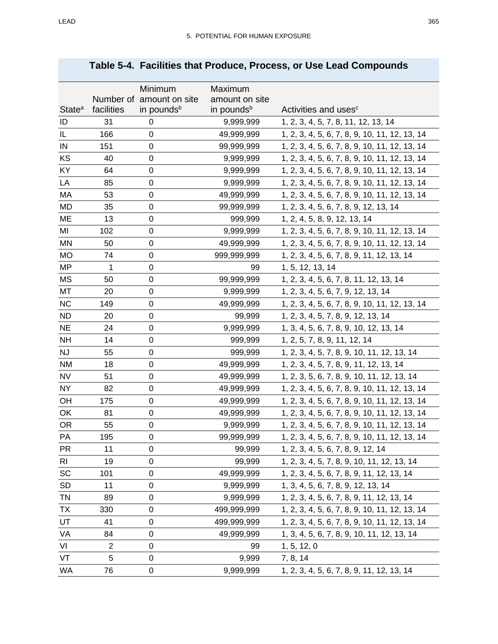|                    |            | Minimum                                            | Maximum                                  |                                               |
|--------------------|------------|----------------------------------------------------|------------------------------------------|-----------------------------------------------|
| State <sup>a</sup> | facilities | Number of amount on site<br>in pounds <sup>b</sup> | amount on site<br>in pounds <sup>b</sup> | Activities and uses <sup>c</sup>              |
|                    | 31         |                                                    |                                          |                                               |
| ID<br>IL           | 166        | $\pmb{0}$<br>0                                     | 9,999,999                                | 1, 2, 3, 4, 5, 7, 8, 11, 12, 13, 14           |
|                    |            |                                                    | 49,999,999                               | 1, 2, 3, 4, 5, 6, 7, 8, 9, 10, 11, 12, 13, 14 |
| IN                 | 151        | 0                                                  | 99,999,999                               | 1, 2, 3, 4, 5, 6, 7, 8, 9, 10, 11, 12, 13, 14 |
| KS                 | 40         | 0                                                  | 9,999,999                                | 1, 2, 3, 4, 5, 6, 7, 8, 9, 10, 11, 12, 13, 14 |
| <b>KY</b>          | 64         | $\mathbf 0$                                        | 9,999,999                                | 1, 2, 3, 4, 5, 6, 7, 8, 9, 10, 11, 12, 13, 14 |
| LA                 | 85         | 0                                                  | 9,999,999                                | 1, 2, 3, 4, 5, 6, 7, 8, 9, 10, 11, 12, 13, 14 |
| MA                 | 53         | $\mathbf 0$                                        | 49,999,999                               | 1, 2, 3, 4, 5, 6, 7, 8, 9, 10, 11, 12, 13, 14 |
| <b>MD</b>          | 35         | $\boldsymbol{0}$                                   | 99,999,999                               | 1, 2, 3, 4, 5, 6, 7, 8, 9, 12, 13, 14         |
| ME                 | 13         | $\mathbf 0$                                        | 999,999                                  | 1, 2, 4, 5, 8, 9, 12, 13, 14                  |
| MI                 | 102        | 0                                                  | 9,999,999                                | 1, 2, 3, 4, 5, 6, 7, 8, 9, 10, 11, 12, 13, 14 |
| <b>MN</b>          | 50         | $\pmb{0}$                                          | 49,999,999                               | 1, 2, 3, 4, 5, 6, 7, 8, 9, 10, 11, 12, 13, 14 |
| <b>MO</b>          | 74         | $\boldsymbol{0}$                                   | 999,999,999                              | 1, 2, 3, 4, 5, 6, 7, 8, 9, 11, 12, 13, 14     |
| <b>MP</b>          | 1          | $\boldsymbol{0}$                                   | 99                                       | 1, 5, 12, 13, 14                              |
| <b>MS</b>          | 50         | 0                                                  | 99,999,999                               | 1, 2, 3, 4, 5, 6, 7, 8, 11, 12, 13, 14        |
| MT                 | 20         | 0                                                  | 9,999,999                                | 1, 2, 3, 4, 5, 6, 7, 9, 12, 13, 14            |
| <b>NC</b>          | 149        | $\boldsymbol{0}$                                   | 49,999,999                               | 1, 2, 3, 4, 5, 6, 7, 8, 9, 10, 11, 12, 13, 14 |
| <b>ND</b>          | 20         | 0                                                  | 99,999                                   | 1, 2, 3, 4, 5, 7, 8, 9, 12, 13, 14            |
| <b>NE</b>          | 24         | 0                                                  | 9,999,999                                | 1, 3, 4, 5, 6, 7, 8, 9, 10, 12, 13, 14        |
| <b>NH</b>          | 14         | 0                                                  | 999,999                                  | 1, 2, 5, 7, 8, 9, 11, 12, 14                  |
| NJ                 | 55         | 0                                                  | 999,999                                  | 1, 2, 3, 4, 5, 7, 8, 9, 10, 11, 12, 13, 14    |
| <b>NM</b>          | 18         | 0                                                  | 49,999,999                               | 1, 2, 3, 4, 5, 7, 8, 9, 11, 12, 13, 14        |
| <b>NV</b>          | 51         | $\mathbf 0$                                        | 49,999,999                               | 1, 2, 3, 5, 6, 7, 8, 9, 10, 11, 12, 13, 14    |
| <b>NY</b>          | 82         | 0                                                  | 49,999,999                               | 1, 2, 3, 4, 5, 6, 7, 8, 9, 10, 11, 12, 13, 14 |
| OH                 | 175        | $\pmb{0}$                                          | 49,999,999                               | 1, 2, 3, 4, 5, 6, 7, 8, 9, 10, 11, 12, 13, 14 |
| OK                 | 81         | 0                                                  | 49,999,999                               | 1, 2, 3, 4, 5, 6, 7, 8, 9, 10, 11, 12, 13, 14 |
| <b>OR</b>          | 55         | $\mathbf 0$                                        | 9,999,999                                | 1, 2, 3, 4, 5, 6, 7, 8, 9, 10, 11, 12, 13, 14 |
| PA                 | 195        | 0                                                  | 99,999,999                               | 1, 2, 3, 4, 5, 6, 7, 8, 9, 10, 11, 12, 13, 14 |
| PR                 | 11         | 0                                                  | 99,999                                   | 1, 2, 3, 4, 5, 6, 7, 8, 9, 12, 14             |
| <b>RI</b>          | 19         | 0                                                  | 99,999                                   | 1, 2, 3, 4, 5, 7, 8, 9, 10, 11, 12, 13, 14    |
| SC                 | 101        | 0                                                  | 49,999,999                               | 1, 2, 3, 4, 5, 6, 7, 8, 9, 11, 12, 13, 14     |
| <b>SD</b>          | 11         | 0                                                  | 9,999,999                                | 1, 3, 4, 5, 6, 7, 8, 9, 12, 13, 14            |
| TN                 | 89         | 0                                                  | 9,999,999                                | 1, 2, 3, 4, 5, 6, 7, 8, 9, 11, 12, 13, 14     |
| TX                 | 330        | 0                                                  | 499,999,999                              | 1, 2, 3, 4, 5, 6, 7, 8, 9, 10, 11, 12, 13, 14 |
| UT                 | 41         | 0                                                  | 499,999,999                              | 1, 2, 3, 4, 5, 6, 7, 8, 9, 10, 11, 12, 13, 14 |
| VA                 | 84         | 0                                                  | 49,999,999                               | 1, 3, 4, 5, 6, 7, 8, 9, 10, 11, 12, 13, 14    |
| VI                 | 2          | 0                                                  | 99                                       | 1, 5, 12, 0                                   |
| VT                 | 5          | 0                                                  | 9,999                                    | 7, 8, 14                                      |
| WA                 | 76         | 0                                                  | 9,999,999                                | 1, 2, 3, 4, 5, 6, 7, 8, 9, 11, 12, 13, 14     |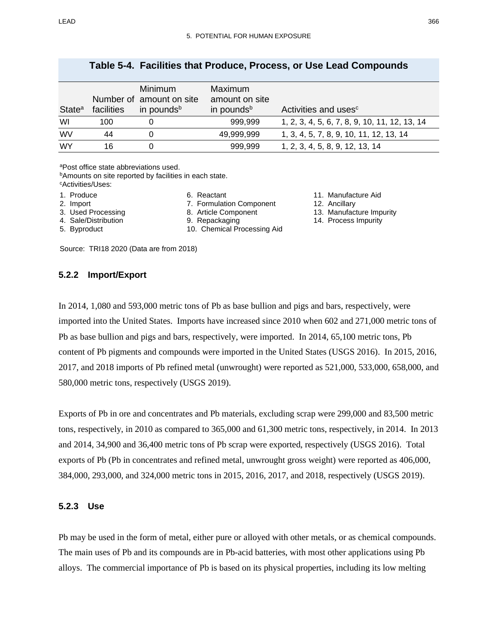| State <sup>a</sup> | facilities | <b>Minimum</b><br>Number of amount on site<br>in pounds <sup>b</sup> | Maximum<br>amount on site<br>in pounds <sup>b</sup> | Activities and uses <sup>c</sup>              |
|--------------------|------------|----------------------------------------------------------------------|-----------------------------------------------------|-----------------------------------------------|
| WI                 | 100        |                                                                      | 999,999                                             | 1, 2, 3, 4, 5, 6, 7, 8, 9, 10, 11, 12, 13, 14 |
| WV                 | 44         |                                                                      | 49,999,999                                          | 1, 3, 4, 5, 7, 8, 9, 10, 11, 12, 13, 14       |
| <b>WY</b>          | 16         |                                                                      | 999,999                                             | 1, 2, 3, 4, 5, 8, 9, 12, 13, 14               |

#### **Table 5-4. Facilities that Produce, Process, or Use Lead Compounds**

aPost office state abbreviations used.

**Amounts on site reported by facilities in each state.** cActivities/Uses:

- 1. Produce
- 2. Import
- 3. Used Processing
- 4. Sale/Distribution
- 5. Byproduct
- 8. Article Component 9. Repackaging

6. Reactant

10. Chemical Processing Aid

7. Formulation Component

Source: TRI18 2020 (Data are from 2018)

## **5.2.2 Import/Export**

- 11. Manufacture Aid
- 12. Ancillary
- 13. Manufacture Impurity
- 14. Process Impurity

In 2014, 1,080 and 593,000 metric tons of Pb as base bullion and pigs and bars, respectively, were imported into the United States. Imports have increased since 2010 when 602 and 271,000 metric tons of Pb as base bullion and pigs and bars, respectively, were imported. In 2014, 65,100 metric tons, Pb content of Pb pigments and compounds were imported in the United States (USGS 2016). In 2015, 2016, 2017, and 2018 imports of Pb refined metal (unwrought) were reported as 521,000, 533,000, 658,000, and 580,000 metric tons, respectively (USGS 2019).

Exports of Pb in ore and concentrates and Pb materials, excluding scrap were 299,000 and 83,500 metric tons, respectively, in 2010 as compared to 365,000 and 61,300 metric tons, respectively, in 2014. In 2013 and 2014, 34,900 and 36,400 metric tons of Pb scrap were exported, respectively (USGS 2016). Total exports of Pb (Pb in concentrates and refined metal, unwrought gross weight) were reported as 406,000, 384,000, 293,000, and 324,000 metric tons in 2015, 2016, 2017, and 2018, respectively (USGS 2019).

## **5.2.3 Use**

Pb may be used in the form of metal, either pure or alloyed with other metals, or as chemical compounds. The main uses of Pb and its compounds are in Pb-acid batteries, with most other applications using Pb alloys. The commercial importance of Pb is based on its physical properties, including its low melting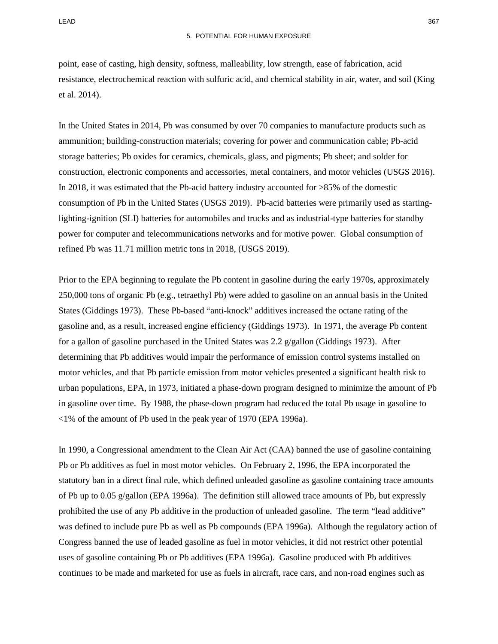point, ease of casting, high density, softness, malleability, low strength, ease of fabrication, acid resistance, electrochemical reaction with sulfuric acid, and chemical stability in air, water, and soil (King et al. 2014).

In the United States in 2014, Pb was consumed by over 70 companies to manufacture products such as ammunition; building-construction materials; covering for power and communication cable; Pb-acid storage batteries; Pb oxides for ceramics, chemicals, glass, and pigments; Pb sheet; and solder for construction, electronic components and accessories, metal containers, and motor vehicles (USGS 2016). In 2018, it was estimated that the Pb-acid battery industry accounted for >85% of the domestic consumption of Pb in the United States (USGS 2019). Pb-acid batteries were primarily used as startinglighting-ignition (SLI) batteries for automobiles and trucks and as industrial-type batteries for standby power for computer and telecommunications networks and for motive power. Global consumption of refined Pb was 11.71 million metric tons in 2018, (USGS 2019).

Prior to the EPA beginning to regulate the Pb content in gasoline during the early 1970s, approximately 250,000 tons of organic Pb (e.g., tetraethyl Pb) were added to gasoline on an annual basis in the United States (Giddings 1973). These Pb-based "anti-knock" additives increased the octane rating of the gasoline and, as a result, increased engine efficiency (Giddings 1973). In 1971, the average Pb content for a gallon of gasoline purchased in the United States was 2.2 g/gallon (Giddings 1973). After determining that Pb additives would impair the performance of emission control systems installed on motor vehicles, and that Pb particle emission from motor vehicles presented a significant health risk to urban populations, EPA, in 1973, initiated a phase-down program designed to minimize the amount of Pb in gasoline over time. By 1988, the phase-down program had reduced the total Pb usage in gasoline to <1% of the amount of Pb used in the peak year of 1970 (EPA 1996a).

In 1990, a Congressional amendment to the Clean Air Act (CAA) banned the use of gasoline containing Pb or Pb additives as fuel in most motor vehicles. On February 2, 1996, the EPA incorporated the statutory ban in a direct final rule, which defined unleaded gasoline as gasoline containing trace amounts of Pb up to 0.05  $g/g$ allon (EPA 1996a). The definition still allowed trace amounts of Pb, but expressly prohibited the use of any Pb additive in the production of unleaded gasoline. The term "lead additive" was defined to include pure Pb as well as Pb compounds (EPA 1996a). Although the regulatory action of Congress banned the use of leaded gasoline as fuel in motor vehicles, it did not restrict other potential uses of gasoline containing Pb or Pb additives (EPA 1996a). Gasoline produced with Pb additives continues to be made and marketed for use as fuels in aircraft, race cars, and non-road engines such as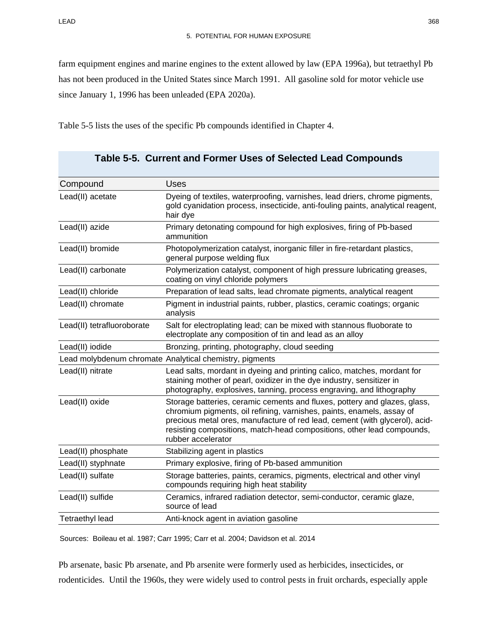farm equipment engines and marine engines to the extent allowed by law (EPA 1996a), but tetraethyl Pb has not been produced in the United States since March 1991. All gasoline sold for motor vehicle use since January 1, 1996 has been unleaded (EPA 2020a).

[Table 5-5](#page-13-0) lists the uses of the specific Pb compounds identified in Chapter 4.

| Compound                   | <b>Uses</b>                                                                                                                                                                                                                                                                                                                       |
|----------------------------|-----------------------------------------------------------------------------------------------------------------------------------------------------------------------------------------------------------------------------------------------------------------------------------------------------------------------------------|
| Lead(II) acetate           | Dyeing of textiles, waterproofing, varnishes, lead driers, chrome pigments,<br>gold cyanidation process, insecticide, anti-fouling paints, analytical reagent,<br>hair dye                                                                                                                                                        |
| Lead(II) azide             | Primary detonating compound for high explosives, firing of Pb-based<br>ammunition                                                                                                                                                                                                                                                 |
| Lead(II) bromide           | Photopolymerization catalyst, inorganic filler in fire-retardant plastics,<br>general purpose welding flux                                                                                                                                                                                                                        |
| Lead(II) carbonate         | Polymerization catalyst, component of high pressure lubricating greases,<br>coating on vinyl chloride polymers                                                                                                                                                                                                                    |
| Lead(II) chloride          | Preparation of lead salts, lead chromate pigments, analytical reagent                                                                                                                                                                                                                                                             |
| Lead(II) chromate          | Pigment in industrial paints, rubber, plastics, ceramic coatings; organic<br>analysis                                                                                                                                                                                                                                             |
| Lead(II) tetrafluoroborate | Salt for electroplating lead; can be mixed with stannous fluoborate to<br>electroplate any composition of tin and lead as an alloy                                                                                                                                                                                                |
| Lead(II) iodide            | Bronzing, printing, photography, cloud seeding                                                                                                                                                                                                                                                                                    |
|                            | Lead molybdenum chromate Analytical chemistry, pigments                                                                                                                                                                                                                                                                           |
| Lead(II) nitrate           | Lead salts, mordant in dyeing and printing calico, matches, mordant for<br>staining mother of pearl, oxidizer in the dye industry, sensitizer in<br>photography, explosives, tanning, process engraving, and lithography                                                                                                          |
| Lead(II) oxide             | Storage batteries, ceramic cements and fluxes, pottery and glazes, glass,<br>chromium pigments, oil refining, varnishes, paints, enamels, assay of<br>precious metal ores, manufacture of red lead, cement (with glycerol), acid-<br>resisting compositions, match-head compositions, other lead compounds,<br>rubber accelerator |
| Lead(II) phosphate         | Stabilizing agent in plastics                                                                                                                                                                                                                                                                                                     |
| Lead(II) styphnate         | Primary explosive, firing of Pb-based ammunition                                                                                                                                                                                                                                                                                  |
| Lead(II) sulfate           | Storage batteries, paints, ceramics, pigments, electrical and other vinyl<br>compounds requiring high heat stability                                                                                                                                                                                                              |
| Lead(II) sulfide           | Ceramics, infrared radiation detector, semi-conductor, ceramic glaze,<br>source of lead                                                                                                                                                                                                                                           |
| <b>Tetraethyl lead</b>     | Anti-knock agent in aviation gasoline                                                                                                                                                                                                                                                                                             |

<span id="page-13-0"></span>

|  |  |  |  |  |  | Table 5-5. Current and Former Uses of Selected Lead Compounds |
|--|--|--|--|--|--|---------------------------------------------------------------|
|--|--|--|--|--|--|---------------------------------------------------------------|

Sources: Boileau et al. 1987; Carr 1995; Carr et al. 2004; Davidson et al. 2014

Pb arsenate, basic Pb arsenate, and Pb arsenite were formerly used as herbicides, insecticides, or rodenticides. Until the 1960s, they were widely used to control pests in fruit orchards, especially apple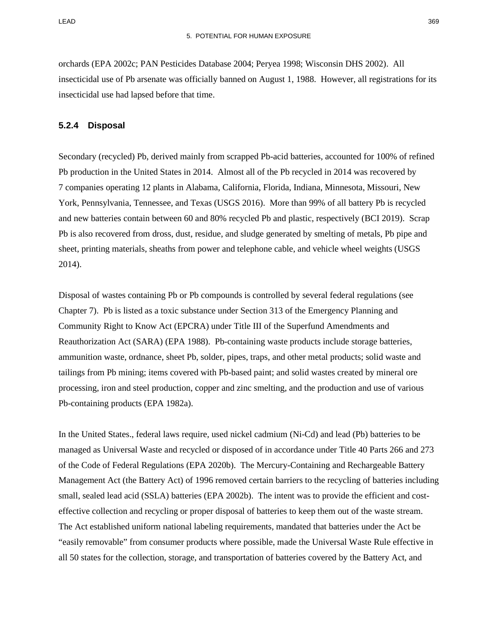orchards (EPA 2002c; PAN Pesticides Database 2004; Peryea 1998; Wisconsin DHS 2002). All insecticidal use of Pb arsenate was officially banned on August 1, 1988. However, all registrations for its insecticidal use had lapsed before that time.

#### **5.2.4 Disposal**

Secondary (recycled) Pb, derived mainly from scrapped Pb-acid batteries, accounted for 100% of refined Pb production in the United States in 2014. Almost all of the Pb recycled in 2014 was recovered by 7 companies operating 12 plants in Alabama, California, Florida, Indiana, Minnesota, Missouri, New York, Pennsylvania, Tennessee, and Texas (USGS 2016). More than 99% of all battery Pb is recycled and new batteries contain between 60 and 80% recycled Pb and plastic, respectively (BCI 2019). Scrap Pb is also recovered from dross, dust, residue, and sludge generated by smelting of metals, Pb pipe and sheet, printing materials, sheaths from power and telephone cable, and vehicle wheel weights (USGS 2014).

Disposal of wastes containing Pb or Pb compounds is controlled by several federal regulations (see Chapter 7). Pb is listed as a toxic substance under Section 313 of the Emergency Planning and Community Right to Know Act (EPCRA) under Title III of the Superfund Amendments and Reauthorization Act (SARA) (EPA 1988). Pb-containing waste products include storage batteries, ammunition waste, ordnance, sheet Pb, solder, pipes, traps, and other metal products; solid waste and tailings from Pb mining; items covered with Pb-based paint; and solid wastes created by mineral ore processing, iron and steel production, copper and zinc smelting, and the production and use of various Pb-containing products (EPA 1982a).

In the United States., federal laws require, used nickel cadmium (Ni-Cd) and lead (Pb) batteries to be managed as Universal Waste and recycled or disposed of in accordance under Title 40 Parts 266 and 273 of the Code of Federal Regulations (EPA 2020b). The Mercury-Containing and Rechargeable Battery Management Act (the Battery Act) of 1996 removed certain barriers to the recycling of batteries including small, sealed lead acid (SSLA) batteries (EPA 2002b). The intent was to provide the efficient and costeffective collection and recycling or proper disposal of batteries to keep them out of the waste stream. The Act established uniform national labeling requirements, mandated that batteries under the Act be "easily removable" from consumer products where possible, made the Universal Waste Rule effective in all 50 states for the collection, storage, and transportation of batteries covered by the Battery Act, and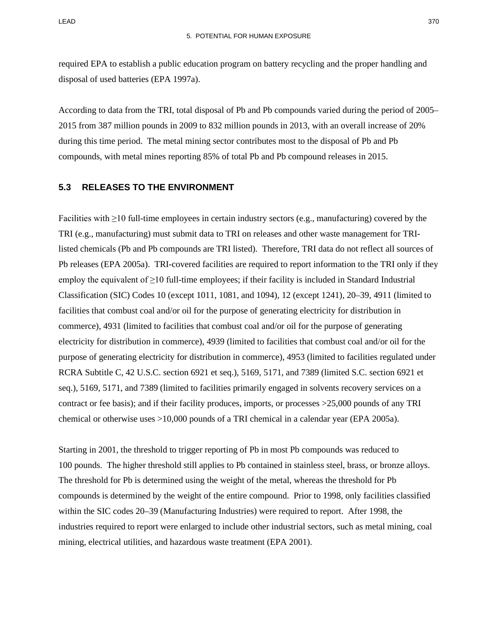required EPA to establish a public education program on battery recycling and the proper handling and disposal of used batteries (EPA 1997a).

According to data from the TRI, total disposal of Pb and Pb compounds varied during the period of 2005– 2015 from 387 million pounds in 2009 to 832 million pounds in 2013, with an overall increase of 20% during this time period. The metal mining sector contributes most to the disposal of Pb and Pb compounds, with metal mines reporting 85% of total Pb and Pb compound releases in 2015.

#### **5.3 RELEASES TO THE ENVIRONMENT**

Facilities with ≥10 full-time employees in certain industry sectors (e.g., manufacturing) covered by the TRI (e.g., manufacturing) must submit data to TRI on releases and other waste management for TRIlisted chemicals (Pb and Pb compounds are TRI listed). Therefore, TRI data do not reflect all sources of Pb releases (EPA 2005a). TRI-covered facilities are required to report information to the TRI only if they employ the equivalent of  $\geq$ 10 full-time employees; if their facility is included in Standard Industrial Classification (SIC) Codes 10 (except 1011, 1081, and 1094), 12 (except 1241), 20–39, 4911 (limited to facilities that combust coal and/or oil for the purpose of generating electricity for distribution in commerce), 4931 (limited to facilities that combust coal and/or oil for the purpose of generating electricity for distribution in commerce), 4939 (limited to facilities that combust coal and/or oil for the purpose of generating electricity for distribution in commerce), 4953 (limited to facilities regulated under RCRA Subtitle C, 42 U.S.C. section 6921 et seq.), 5169, 5171, and 7389 (limited S.C. section 6921 et seq.), 5169, 5171, and 7389 (limited to facilities primarily engaged in solvents recovery services on a contract or fee basis); and if their facility produces, imports, or processes >25,000 pounds of any TRI chemical or otherwise uses >10,000 pounds of a TRI chemical in a calendar year (EPA 2005a).

Starting in 2001, the threshold to trigger reporting of Pb in most Pb compounds was reduced to 100 pounds. The higher threshold still applies to Pb contained in stainless steel, brass, or bronze alloys. The threshold for Pb is determined using the weight of the metal, whereas the threshold for Pb compounds is determined by the weight of the entire compound. Prior to 1998, only facilities classified within the SIC codes 20–39 (Manufacturing Industries) were required to report. After 1998, the industries required to report were enlarged to include other industrial sectors, such as metal mining, coal mining, electrical utilities, and hazardous waste treatment (EPA 2001).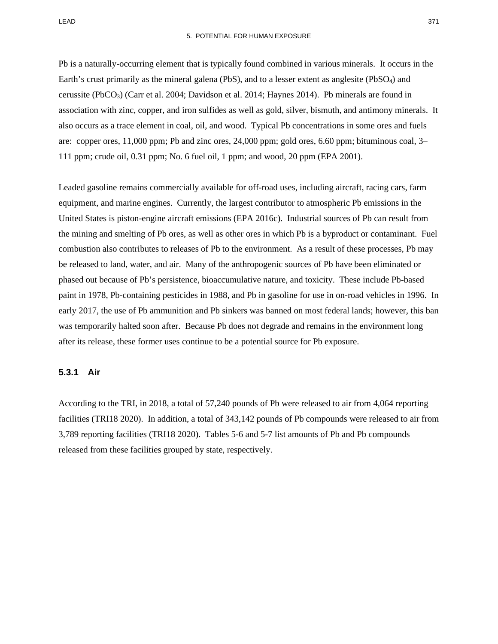LEAD 371

#### 5. POTENTIAL FOR HUMAN EXPOSURE

Pb is a naturally-occurring element that is typically found combined in various minerals. It occurs in the Earth's crust primarily as the mineral galena (PbS), and to a lesser extent as anglesite (PbSO<sub>4</sub>) and cerussite (PbCO3) (Carr et al. 2004; Davidson et al. 2014; Haynes 2014). Pb minerals are found in association with zinc, copper, and iron sulfides as well as gold, silver, bismuth, and antimony minerals. It also occurs as a trace element in coal, oil, and wood. Typical Pb concentrations in some ores and fuels are: copper ores, 11,000 ppm; Pb and zinc ores, 24,000 ppm; gold ores, 6.60 ppm; bituminous coal, 3– 111 ppm; crude oil, 0.31 ppm; No. 6 fuel oil, 1 ppm; and wood, 20 ppm (EPA 2001).

Leaded gasoline remains commercially available for off-road uses, including aircraft, racing cars, farm equipment, and marine engines. Currently, the largest contributor to atmospheric Pb emissions in the United States is piston-engine aircraft emissions (EPA 2016c). Industrial sources of Pb can result from the mining and smelting of Pb ores, as well as other ores in which Pb is a byproduct or contaminant. Fuel combustion also contributes to releases of Pb to the environment. As a result of these processes, Pb may be released to land, water, and air. Many of the anthropogenic sources of Pb have been eliminated or phased out because of Pb's persistence, bioaccumulative nature, and toxicity. These include Pb-based paint in 1978, Pb-containing pesticides in 1988, and Pb in gasoline for use in on-road vehicles in 1996. In early 2017, the use of Pb ammunition and Pb sinkers was banned on most federal lands; however, this ban was temporarily halted soon after. Because Pb does not degrade and remains in the environment long after its release, these former uses continue to be a potential source for Pb exposure.

#### **5.3.1 Air**

According to the TRI, in 2018, a total of 57,240 pounds of Pb were released to air from 4,064 reporting facilities (TRI18 2020). In addition, a total of 343,142 pounds of Pb compounds were released to air from 3,789 reporting facilities (TRI18 2020). Tables [5-6](#page-17-0) and [5-7](#page-19-0) list amounts of Pb and Pb compounds released from these facilities grouped by state, respectively.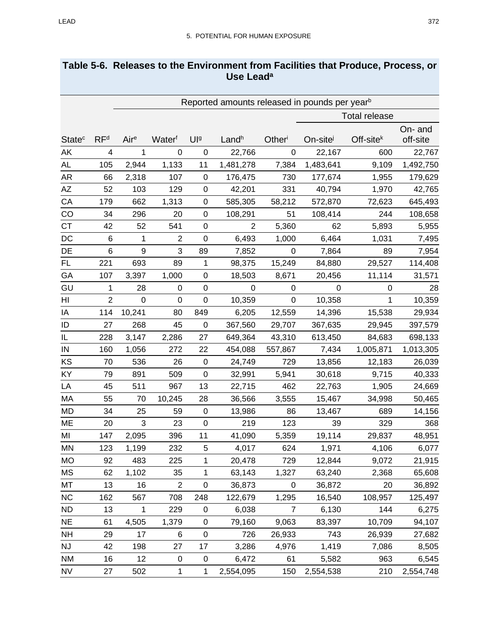<span id="page-17-0"></span>

| Table 5-6. Releases to the Environment from Facilities that Produce, Process, or |
|----------------------------------------------------------------------------------|
| Use Lead <sup>a</sup>                                                            |

|                          |                 | Reported amounts released in pounds per year <sup>b</sup> |                |                  |                |                |           |                      |                     |
|--------------------------|-----------------|-----------------------------------------------------------|----------------|------------------|----------------|----------------|-----------|----------------------|---------------------|
|                          |                 |                                                           |                |                  |                |                |           | <b>Total release</b> |                     |
| <b>State<sup>c</sup></b> | RF <sup>d</sup> | Aire                                                      | Waterf         | Ula              | Landh          | Otheri         | On-site   | $Off-sitek$          | On- and<br>off-site |
| ΑK                       | 4               | 1                                                         | $\mathbf 0$    | $\mathbf 0$      | 22,766         | 0              | 22,167    | 600                  | 22,767              |
| AL                       | 105             | 2,944                                                     | 1,133          | 11               | 1,481,278      | 7,384          | 1,483,641 | 9,109                | 1,492,750           |
| AR                       | 66              | 2,318                                                     | 107            | $\mathbf 0$      | 176,475        | 730            | 177,674   | 1,955                | 179,629             |
| AZ                       | 52              | 103                                                       | 129            | $\boldsymbol{0}$ | 42,201         | 331            | 40,794    | 1,970                | 42,765              |
| CA                       | 179             | 662                                                       | 1,313          | 0                | 585,305        | 58,212         | 572,870   | 72,623               | 645,493             |
| CO                       | 34              | 296                                                       | 20             | $\mathbf 0$      | 108,291        | 51             | 108,414   | 244                  | 108,658             |
| <b>CT</b>                | 42              | 52                                                        | 541            | $\mathbf 0$      | $\overline{2}$ | 5,360          | 62        | 5,893                | 5,955               |
| DC                       | $\,6$           | 1                                                         | $\overline{c}$ | $\boldsymbol{0}$ | 6,493          | 1,000          | 6,464     | 1,031                | 7,495               |
| DE                       | 6               | 9                                                         | 3              | 89               | 7,852          | $\mathbf 0$    | 7,864     | 89                   | 7,954               |
| FL                       | 221             | 693                                                       | 89             | $\mathbf 1$      | 98,375         | 15,249         | 84,880    | 29,527               | 114,408             |
| GA                       | 107             | 3,397                                                     | 1,000          | $\mathbf 0$      | 18,503         | 8,671          | 20,456    | 11,114               | 31,571              |
| GU                       | 1               | 28                                                        | 0              | $\boldsymbol{0}$ | 0              | 0              | 0         | 0                    | 28                  |
| HI                       | $\overline{2}$  | $\mathbf 0$                                               | 0              | 0                | 10,359         | 0              | 10,358    | $\mathbf{1}$         | 10,359              |
| ΙA                       | 114             | 10,241                                                    | 80             | 849              | 6,205          | 12,559         | 14,396    | 15,538               | 29,934              |
| ID                       | 27              | 268                                                       | 45             | $\boldsymbol{0}$ | 367,560        | 29,707         | 367,635   | 29,945               | 397,579             |
| IL                       | 228             | 3,147                                                     | 2,286          | 27               | 649,364        | 43,310         | 613,450   | 84,683               | 698,133             |
| IN                       | 160             | 1,056                                                     | 272            | 22               | 454,088        | 557,867        | 7,434     | 1,005,871            | 1,013,305           |
| KS                       | 70              | 536                                                       | 26             | 0                | 24,749         | 729            | 13,856    | 12,183               | 26,039              |
| KY                       | 79              | 891                                                       | 509            | $\boldsymbol{0}$ | 32,991         | 5,941          | 30,618    | 9,715                | 40,333              |
| LA                       | 45              | 511                                                       | 967            | 13               | 22,715         | 462            | 22,763    | 1,905                | 24,669              |
| MA                       | 55              | 70                                                        | 10,245         | 28               | 36,566         | 3,555          | 15,467    | 34,998               | 50,465              |
| MD                       | 34              | 25                                                        | 59             | $\mathbf 0$      | 13,986         | 86             | 13,467    | 689                  | 14,156              |
| ME                       | 20              | 3                                                         | 23             | $\boldsymbol{0}$ | 219            | 123            | 39        | 329                  | 368                 |
| MI                       | 147             | 2,095                                                     | 396            | 11               | 41,090         | 5,359          | 19,114    | 29,837               | 48,951              |
| MN                       | 123             | 1,199                                                     | 232            | 5                | 4,017          | 624            | 1,971     | 4,106                | 6,077               |
| MO                       | 92              | 483                                                       | 225            | $\mathbf{1}$     | 20,478         | 729            | 12,844    | 9,072                | 21,915              |
| МS                       | 62              | 1,102                                                     | 35             | $\mathbf{1}$     | 63,143         | 1,327          | 63,240    | 2,368                | 65,608              |
| MT                       | 13              | 16                                                        | $\overline{2}$ | $\pmb{0}$        | 36,873         | $\mathbf 0$    | 36,872    | 20                   | 36,892              |
| NC                       | 162             | 567                                                       | 708            | 248              | 122,679        | 1,295          | 16,540    | 108,957              | 125,497             |
| <b>ND</b>                | 13              | $\mathbf 1$                                               | 229            | $\mathbf 0$      | 6,038          | $\overline{7}$ | 6,130     | 144                  | 6,275               |
| <b>NE</b>                | 61              | 4,505                                                     | 1,379          | 0                | 79,160         | 9,063          | 83,397    | 10,709               | 94,107              |
| <b>NH</b>                | 29              | 17                                                        | 6              | $\mathbf 0$      | 726            | 26,933         | 743       | 26,939               | 27,682              |
| <b>NJ</b>                | 42              | 198                                                       | 27             | 17               | 3,286          | 4,976          | 1,419     | 7,086                | 8,505               |
| <b>NM</b>                | 16              | 12                                                        | $\pmb{0}$      | $\mathbf 0$      | 6,472          | 61             | 5,582     | 963                  | 6,545               |
| <b>NV</b>                | 27              | 502                                                       | 1              | $\mathbf{1}$     | 2,554,095      | 150            | 2,554,538 | 210                  | 2,554,748           |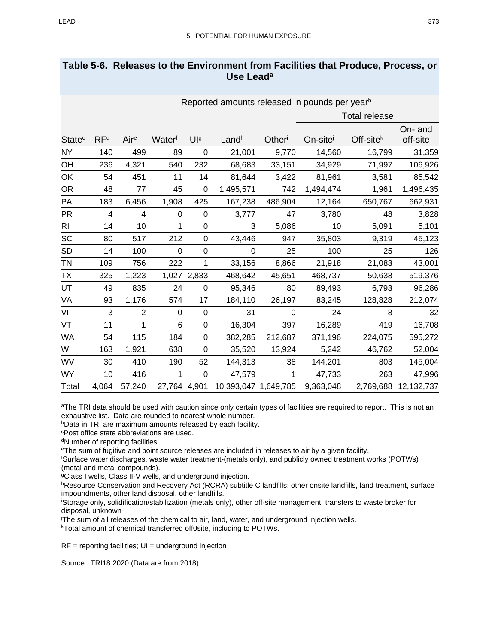| Table 5-6. Releases to the Environment from Facilities that Produce, Process, or |
|----------------------------------------------------------------------------------|
| Use Lead <sup>a</sup>                                                            |

|                          | Reported amounts released in pounds per year <sup>b</sup> |                |              |                  |                      |          |                      |             |                     |
|--------------------------|-----------------------------------------------------------|----------------|--------------|------------------|----------------------|----------|----------------------|-------------|---------------------|
|                          | <b>Total release</b>                                      |                |              |                  |                      |          |                      |             |                     |
| <b>State<sup>c</sup></b> | RF <sup>d</sup>                                           | Aire           | Waterf       | $Ul$ a           | Landh                | Other    | On-site <sup>j</sup> | $Off-sitek$ | On- and<br>off-site |
| <b>NY</b>                | 140                                                       | 499            | 89           | $\boldsymbol{0}$ | 21,001               | 9,770    | 14,560               | 16,799      | 31,359              |
| OH                       | 236                                                       | 4,321          | 540          | 232              | 68,683               | 33,151   | 34,929               | 71,997      | 106,926             |
| OK                       | 54                                                        | 451            | 11           | 14               | 81,644               | 3,422    | 81,961               | 3,581       | 85,542              |
| OR                       | 48                                                        | 77             | 45           | 0                | 1,495,571            | 742      | 1,494,474            | 1,961       | 1,496,435           |
| PA                       | 183                                                       | 6,456          | 1,908        | 425              | 167,238              | 486,904  | 12,164               | 650,767     | 662,931             |
| <b>PR</b>                | 4                                                         | 4              | 0            | 0                | 3,777                | 47       | 3,780                | 48          | 3,828               |
| R <sub>l</sub>           | 14                                                        | 10             | 1            | $\overline{0}$   | 3                    | 5,086    | 10                   | 5,091       | 5,101               |
| SC                       | 80                                                        | 517            | 212          | 0                | 43,446               | 947      | 35,803               | 9,319       | 45,123              |
| <b>SD</b>                | 14                                                        | 100            | 0            | $\mathbf 0$      | 0                    | 25       | 100                  | 25          | 126                 |
| TN                       | 109                                                       | 756            | 222          | 1                | 33,156               | 8,866    | 21,918               | 21,083      | 43,001              |
| <b>TX</b>                | 325                                                       | 1,223          |              | 1,027 2,833      | 468,642              | 45,651   | 468,737              | 50,638      | 519,376             |
| UT                       | 49                                                        | 835            | 24           | $\boldsymbol{0}$ | 95,346               | 80       | 89,493               | 6,793       | 96,286              |
| VA                       | 93                                                        | 1,176          | 574          | 17               | 184,110              | 26,197   | 83,245               | 128,828     | 212,074             |
| VI                       | 3                                                         | $\overline{2}$ | 0            | $\boldsymbol{0}$ | 31                   | $\Omega$ | 24                   | 8           | 32                  |
| VT                       | 11                                                        | 1              | 6            | $\mathbf 0$      | 16,304               | 397      | 16,289               | 419         | 16,708              |
| <b>WA</b>                | 54                                                        | 115            | 184          | 0                | 382,285              | 212,687  | 371,196              | 224,075     | 595,272             |
| WI                       | 163                                                       | 1,921          | 638          | 0                | 35,520               | 13,924   | 5,242                | 46,762      | 52,004              |
| WV                       | 30                                                        | 410            | 190          | 52               | 144,313              | 38       | 144,201              | 803         | 145,004             |
| <b>WY</b>                | 10                                                        | 416            | 1            | 0                | 47,579               | 1        | 47,733               | 263         | 47,996              |
| Total                    | 4,064                                                     | 57,240         | 27,764 4,901 |                  | 10,393,047 1,649,785 |          | 9,363,048            | 2,769,688   | 12,132,737          |

<sup>a</sup>The TRI data should be used with caution since only certain types of facilities are required to report. This is not an exhaustive list. Data are rounded to nearest whole number.

**bData in TRI are maximum amounts released by each facility.** 

cPost office state abbreviations are used.

dNumber of reporting facilities.

eThe sum of fugitive and point source releases are included in releases to air by a given facility.

f Surface water discharges, waste water treatment-(metals only), and publicly owned treatment works (POTWs) (metal and metal compounds).

9Class I wells, Class II-V wells, and underground injection.

hResource Conservation and Recovery Act (RCRA) subtitle C landfills; other onsite landfills, land treatment, surface impoundments, other land disposal, other landfills.

i Storage only, solidification/stabilization (metals only), other off-site management, transfers to waste broker for disposal, unknown

j The sum of all releases of the chemical to air, land, water, and underground injection wells.

kTotal amount of chemical transferred off0site, including to POTWs.

 $RF =$  reporting facilities;  $UI =$  underground injection

Source: TRI18 2020 (Data are from 2018)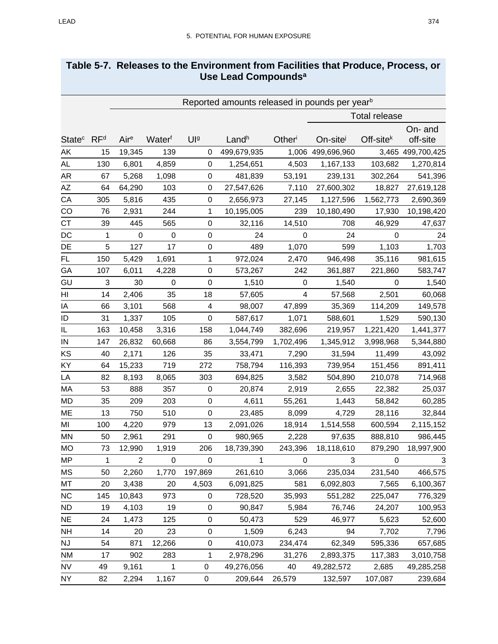# <span id="page-19-0"></span>**Table 5-7. Releases to the Environment from Facilities that Produce, Process, or Use Lead Compoundsa**

|                           |                 | Reported amounts released in pounds per year <sup>b</sup> |                         |                  |              |                |                      |                |                         |
|---------------------------|-----------------|-----------------------------------------------------------|-------------------------|------------------|--------------|----------------|----------------------|----------------|-------------------------|
|                           |                 |                                                           |                         |                  |              |                | <b>Total release</b> |                |                         |
|                           |                 |                                                           |                         |                  |              |                |                      |                | On- and                 |
| <b>State</b> <sup>c</sup> | RF <sup>d</sup> | Aire                                                      | Waterf                  | Ula              | Landh        | Otheri         | On-site              | Off-site $k$   | off-site                |
| AK                        | 15              | 19,345                                                    | 139                     | $\mathbf 0$      | 499,679,935  | 1,006          | 499,696,960          |                | 3,465 499,700,425       |
| AL                        | 130             | 6,801                                                     | 4,859                   | $\mathbf 0$      | 1,254,651    | 4,503          | 1,167,133            | 103,682        | 1,270,814               |
| AR                        | 67              | 5,268                                                     | 1,098                   | $\pmb{0}$        | 481,839      | 53,191         | 239,131              | 302,264        | 541,396                 |
| AΖ                        | 64              | 64,290                                                    | 103                     | $\pmb{0}$        | 27,547,626   | 7,110          | 27,600,302           | 18,827         | 27,619,128              |
| CA                        | 305             | 5,816                                                     | 435                     | 0                | 2,656,973    | 27,145         | 1,127,596            | 1,562,773      | 2,690,369               |
| CO                        | 76              | 2,931                                                     | 244                     | 1                | 10,195,005   | 239            | 10,180,490           | 17,930         | 10,198,420              |
| <b>CT</b>                 | 39              | 445                                                       | 565                     | 0                | 32,116       | 14,510         | 708                  | 46,929         | 47,637                  |
| DC                        | 1               | $\mathbf 0$                                               | $\mathbf 0$             | 0                | 24           | 0              | 24                   | $\mathbf 0$    | 24                      |
| DE                        | 5               | 127                                                       | 17                      | $\mathbf 0$      | 489          | 1,070          | 599                  | 1,103          | 1,703                   |
| <b>FL</b>                 | 150             | 5,429                                                     | 1,691                   | 1                | 972,024      | 2,470          | 946,498              | 35,116         | 981,615                 |
| GA                        | 107             | 6,011                                                     | 4,228                   | $\pmb{0}$        | 573,267      | 242            | 361,887              | 221,860        | 583,747                 |
| GU                        | $\mathbf{3}$    | 30                                                        | $\mathbf 0$             | $\mathbf 0$      | 1,510        | 0              | 1,540                | $\mathbf 0$    | 1,540                   |
| HI                        | 14              | 2,406                                                     | 35                      | 18               | 57,605       | 4              | 57,568               | 2,501          | 60,068                  |
| ΙA                        | 66              | 3,101                                                     | 568                     | 4                | 98,007       | 47,899         | 35,369               | 114,209        | 149,578                 |
| ID                        | 31              | 1,337                                                     | 105                     | $\pmb{0}$        | 587,617      | 1,071          | 588,601              | 1,529          | 590,130                 |
| IL                        | 163             | 10,458                                                    | 3,316                   | 158              | 1,044,749    | 382,696        | 219,957              | 1,221,420      | 1,441,377               |
| IN                        | 147             | 26,832                                                    | 60,668                  | 86               | 3,554,799    | 1,702,496      | 1,345,912            | 3,998,968      | 5,344,880               |
| KS                        | 40              | 2,171                                                     | 126                     | 35               | 33,471       | 7,290          | 31,594               | 11,499         | 43,092                  |
| ΚY                        | 64              | 15,233                                                    | 719                     | 272              | 758,794      | 116,393        | 739,954              | 151,456        | 891,411                 |
| LA                        | 82              | 8,193                                                     | 8,065                   | 303              | 694,825      | 3,582          | 504,890              | 210,078        | 714,968                 |
| MA                        | 53              | 888                                                       | 357                     | 0                | 20,874       | 2,919          | 2,655                | 22,382         | 25,037                  |
| MD                        | 35              | 209                                                       | 203                     | $\mathbf 0$      | 4,611        | 55,261         | 1,443                | 58,842         | 60,285                  |
| ME                        | 13              | 750                                                       | 510                     | $\mathbf 0$      | 23,485       | 8,099          | 4,729                | 28,116         | 32,844                  |
| MI                        | 100             | 4,220                                                     | 979                     | 13               | 2,091,026    | 18,914         | 1,514,558            | 600,594        | 2,115,152               |
| MN                        | 50              | 2,961                                                     | 291                     | $\boldsymbol{0}$ | 980,965      | 2,228          | 97,635               | 888,810        | 986,445                 |
| <b>MO</b>                 | 73              | 12,990                                                    | 1,919                   | 206              | 18,739,390   | 243,396        | 18,118,610           | 879,290        | 18,997,900              |
| MP                        | $\mathbf{1}$    | $\overline{2}$                                            | $\overline{\mathbf{0}}$ | $\overline{0}$   | $\mathbf{1}$ | $\overline{0}$ | 3 <sup>1</sup>       | $\overline{0}$ | $\overline{\mathbf{3}}$ |
| MS                        | 50              | 2,260                                                     | 1,770                   | 197,869          | 261,610      | 3,066          | 235,034              | 231,540        | 466,575                 |
| MT                        | 20              | 3,438                                                     | 20                      | 4,503            | 6,091,825    | 581            | 6,092,803            | 7,565          | 6,100,367               |
| NC                        | 145             | 10,843                                                    | 973                     | $\mathbf 0$      | 728,520      | 35,993         | 551,282              | 225,047        | 776,329                 |
| <b>ND</b>                 | 19              | 4,103                                                     | 19                      | $\boldsymbol{0}$ | 90,847       | 5,984          | 76,746               | 24,207         | 100,953                 |
| <b>NE</b>                 | 24              | 1,473                                                     | 125                     | $\mathbf 0$      | 50,473       | 529            | 46,977               | 5,623          | 52,600                  |
| <b>NH</b>                 | 14              | 20                                                        | 23                      | 0                | 1,509        | 6,243          | 94                   | 7,702          | 7,796                   |
| NJ                        | 54              | 871                                                       | 12,266                  | $\mathbf 0$      | 410,073      | 234,474        | 62,349               | 595,336        | 657,685                 |
| <b>NM</b>                 | 17              | 902                                                       | 283                     | $\mathbf{1}$     | 2,978,296    | 31,276         | 2,893,375            | 117,383        | 3,010,758               |
| <b>NV</b>                 | 49              | 9,161                                                     | $\mathbf{1}$            | 0                | 49,276,056   | 40             | 49,282,572           | 2,685          | 49,285,258              |
| <b>NY</b>                 | 82              | 2,294                                                     | 1,167                   | 0                | 209,644      | 26,579         | 132,597              | 107,087        | 239,684                 |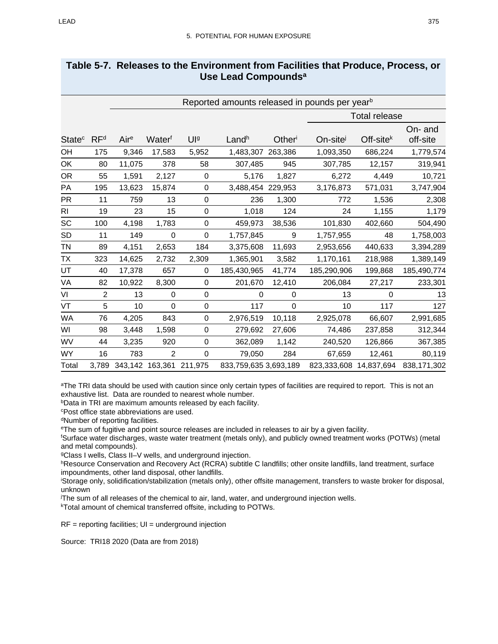## **Table 5-7. Releases to the Environment from Facilities that Produce, Process, or Use Lead Compoundsa**

|                          |                 | Reported amounts released in pounds per year <sup>b</sup> |                |                 |                       |             |                        |                      |                     |  |
|--------------------------|-----------------|-----------------------------------------------------------|----------------|-----------------|-----------------------|-------------|------------------------|----------------------|---------------------|--|
|                          |                 |                                                           |                |                 |                       |             |                        | <b>Total release</b> |                     |  |
| <b>State<sup>c</sup></b> | RF <sup>d</sup> | Aire                                                      | Waterf         | $Ul$ a          | Landh                 | Otheri      | On-site                | Off-site $k$         | On- and<br>off-site |  |
| OH                       | 175             | 9,346                                                     | 17,583         | 5,952           | 1,483,307             | 263,386     | 1,093,350              | 686,224              | 1,779,574           |  |
| OK                       | 80              | 11,075                                                    | 378            | 58              | 307,485               | 945         | 307,785                | 12,157               | 319,941             |  |
| OR                       | 55              | 1,591                                                     | 2,127          | $\pmb{0}$       | 5,176                 | 1,827       | 6,272                  | 4,449                | 10,721              |  |
| PA                       | 195             | 13,623                                                    | 15,874         | 0               | 3,488,454 229,953     |             | 3,176,873              | 571,031              | 3,747,904           |  |
| <b>PR</b>                | 11              | 759                                                       | 13             | 0               | 236                   | 1,300       | 772                    | 1,536                | 2,308               |  |
| <b>RI</b>                | 19              | 23                                                        | 15             | $\pmb{0}$       | 1,018                 | 124         | 24                     | 1,155                | 1,179               |  |
| SC                       | 100             | 4,198                                                     | 1,783          | 0               | 459,973               | 38,536      | 101,830                | 402,660              | 504,490             |  |
| SD                       | 11              | 149                                                       | 0              | 0               | 1,757,845             | 9           | 1,757,955              | 48                   | 1,758,003           |  |
| TN                       | 89              | 4,151                                                     | 2,653          | 184             | 3,375,608             | 11,693      | 2,953,656              | 440,633              | 3,394,289           |  |
| ТX                       | 323             | 14,625                                                    | 2,732          | 2,309           | 1,365,901             | 3,582       | 1,170,161              | 218,988              | 1,389,149           |  |
| UT                       | 40              | 17,378                                                    | 657            | 0               | 185,430,965           | 41,774      | 185,290,906            | 199,868              | 185,490,774         |  |
| VA                       | 82              | 10,922                                                    | 8,300          | 0               | 201,670               | 12,410      | 206,084                | 27,217               | 233,301             |  |
| VI                       | $\overline{2}$  | 13                                                        | 0              | 0               | $\Omega$              | 0           | 13                     | 0                    | 13                  |  |
| VT                       | 5               | 10                                                        | $\mathbf 0$    | 0               | 117                   | $\mathbf 0$ | 10                     | 117                  | 127                 |  |
| <b>WA</b>                | 76              | 4,205                                                     | 843            | 0               | 2,976,519             | 10,118      | 2,925,078              | 66,607               | 2,991,685           |  |
| WI                       | 98              | 3,448                                                     | 1,598          | 0               | 279,692               | 27,606      | 74,486                 | 237,858              | 312,344             |  |
| WV                       | 44              | 3,235                                                     | 920            | 0               | 362,089               | 1,142       | 240,520                | 126,866              | 367,385             |  |
| <b>WY</b>                | 16              | 783                                                       | $\overline{2}$ | $\pmb{0}$       | 79,050                | 284         | 67,659                 | 12,461               | 80,119              |  |
| Total                    | 3,789           | 343,142                                                   |                | 163,361 211,975 | 833,759,635 3,693,189 |             | 823,333,608 14,837,694 |                      | 838,171,302         |  |

<sup>a</sup>The TRI data should be used with caution since only certain types of facilities are required to report. This is not an exhaustive list. Data are rounded to nearest whole number.

bData in TRI are maximum amounts released by each facility.

cPost office state abbreviations are used.

dNumber of reporting facilities.

eThe sum of fugitive and point source releases are included in releases to air by a given facility.

f Surface water discharges, waste water treatment (metals only), and publicly owned treatment works (POTWs) (metal and metal compounds).

gClass I wells, Class II–V wells, and underground injection.

hResource Conservation and Recovery Act (RCRA) subtitle C landfills; other onsite landfills, land treatment, surface impoundments, other land disposal, other landfills.

i Storage only, solidification/stabilization (metals only), other offsite management, transfers to waste broker for disposal, unknown

j The sum of all releases of the chemical to air, land, water, and underground injection wells.

kTotal amount of chemical transferred offsite, including to POTWs.

 $RF =$  reporting facilities;  $UI =$  underground injection

Source: TRI18 2020 (Data are from 2018)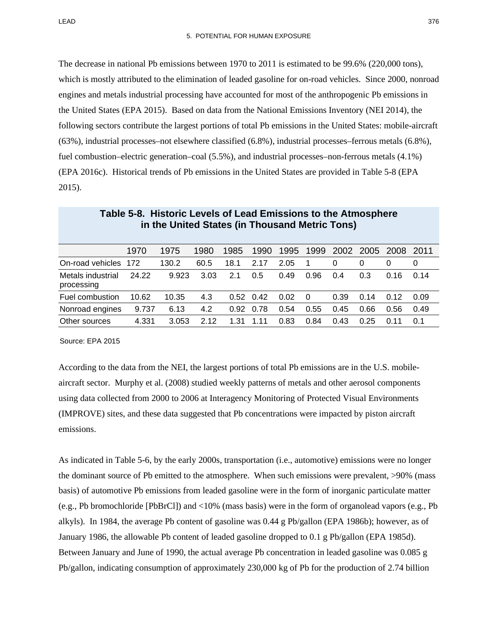The decrease in national Pb emissions between 1970 to 2011 is estimated to be 99.6% (220,000 tons), which is mostly attributed to the elimination of leaded gasoline for on-road vehicles. Since 2000, nonroad engines and metals industrial processing have accounted for most of the anthropogenic Pb emissions in the United States (EPA 2015). Based on data from the National Emissions Inventory (NEI 2014), the following sectors contribute the largest portions of total Pb emissions in the United States: mobile-aircraft (63%), industrial processes–not elsewhere classified (6.8%), industrial processes–ferrous metals (6.8%), fuel combustion–electric generation–coal (5.5%), and industrial processes–non-ferrous metals (4.1%) (EPA 2016c). Historical trends of Pb emissions in the United States are provided i[n Table 5-8](#page-21-0) (EPA 2015).

<span id="page-21-0"></span>

|                                 | 1970  | 1975  | 1980 | 1985 | 1990 | 1995 | 1999 | 2002 | 2005 | -2008 | 2011 |
|---------------------------------|-------|-------|------|------|------|------|------|------|------|-------|------|
| On-road vehicles 172            |       | 130.2 | 60.5 | 18.1 | 2.17 | 2.05 |      | 0    | 0    |       |      |
| Metals industrial<br>processing | 24.22 | 9.923 | 3.03 | 2.1  | 0.5  | 0.49 | 0.96 | 0.4  | 0.3  | 0.16  | 0.14 |
| Fuel combustion                 | 10.62 | 10.35 | 4.3  | 0.52 | 0.42 | 0.02 | - 0  | 0.39 | 0.14 | 0.12  | 0.09 |
| Nonroad engines                 | 9.737 | 6.13  | 4.2  | 0.92 | 0.78 | 0.54 | 0.55 | 0.45 | 0.66 | 0.56  | 0.49 |
| Other sources                   | 4.331 | 3.053 | 2.12 | 1 31 | -11  | 0.83 | 0.84 | 0.43 | 0.25 | O 11  | 0 1  |

| Table 5-8. Historic Levels of Lead Emissions to the Atmosphere |
|----------------------------------------------------------------|
| in the United States (in Thousand Metric Tons)                 |

Source: EPA 2015

According to the data from the NEI, the largest portions of total Pb emissions are in the U.S. mobileaircraft sector. Murphy et al. (2008) studied weekly patterns of metals and other aerosol components using data collected from 2000 to 2006 at Interagency Monitoring of Protected Visual Environments (IMPROVE) sites, and these data suggested that Pb concentrations were impacted by piston aircraft emissions.

As indicated in [Table 5-6,](#page-17-0) by the early 2000s, transportation (i.e., automotive) emissions were no longer the dominant source of Pb emitted to the atmosphere. When such emissions were prevalent, >90% (mass basis) of automotive Pb emissions from leaded gasoline were in the form of inorganic particulate matter (e.g., Pb bromochloride [PbBrCl]) and <10% (mass basis) were in the form of organolead vapors (e.g., Pb alkyls). In 1984, the average Pb content of gasoline was 0.44 g Pb/gallon (EPA 1986b); however, as of January 1986, the allowable Pb content of leaded gasoline dropped to 0.1 g Pb/gallon (EPA 1985d). Between January and June of 1990, the actual average Pb concentration in leaded gasoline was 0.085 g Pb/gallon, indicating consumption of approximately 230,000 kg of Pb for the production of 2.74 billion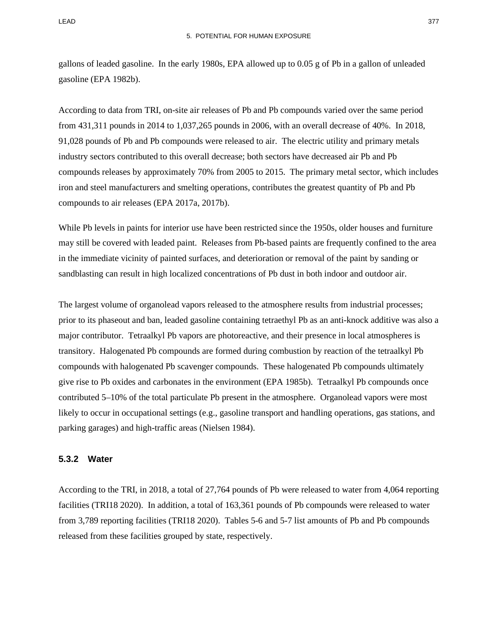gallons of leaded gasoline. In the early 1980s, EPA allowed up to 0.05 g of Pb in a gallon of unleaded gasoline (EPA 1982b).

According to data from TRI, on-site air releases of Pb and Pb compounds varied over the same period from 431,311 pounds in 2014 to 1,037,265 pounds in 2006, with an overall decrease of 40%. In 2018, 91,028 pounds of Pb and Pb compounds were released to air. The electric utility and primary metals industry sectors contributed to this overall decrease; both sectors have decreased air Pb and Pb compounds releases by approximately 70% from 2005 to 2015. The primary metal sector, which includes iron and steel manufacturers and smelting operations, contributes the greatest quantity of Pb and Pb compounds to air releases (EPA 2017a, 2017b).

While Pb levels in paints for interior use have been restricted since the 1950s, older houses and furniture may still be covered with leaded paint. Releases from Pb-based paints are frequently confined to the area in the immediate vicinity of painted surfaces, and deterioration or removal of the paint by sanding or sandblasting can result in high localized concentrations of Pb dust in both indoor and outdoor air.

The largest volume of organolead vapors released to the atmosphere results from industrial processes; prior to its phaseout and ban, leaded gasoline containing tetraethyl Pb as an anti-knock additive was also a major contributor. Tetraalkyl Pb vapors are photoreactive, and their presence in local atmospheres is transitory. Halogenated Pb compounds are formed during combustion by reaction of the tetraalkyl Pb compounds with halogenated Pb scavenger compounds. These halogenated Pb compounds ultimately give rise to Pb oxides and carbonates in the environment (EPA 1985b). Tetraalkyl Pb compounds once contributed 5–10% of the total particulate Pb present in the atmosphere. Organolead vapors were most likely to occur in occupational settings (e.g., gasoline transport and handling operations, gas stations, and parking garages) and high-traffic areas (Nielsen 1984).

#### **5.3.2 Water**

According to the TRI, in 2018, a total of 27,764 pounds of Pb were released to water from 4,064 reporting facilities (TRI18 2020). In addition, a total of 163,361 pounds of Pb compounds were released to water from 3,789 reporting facilities (TRI18 2020). Tables [5-6](#page-17-0) and [5-7](#page-19-0) list amounts of Pb and Pb compounds released from these facilities grouped by state, respectively.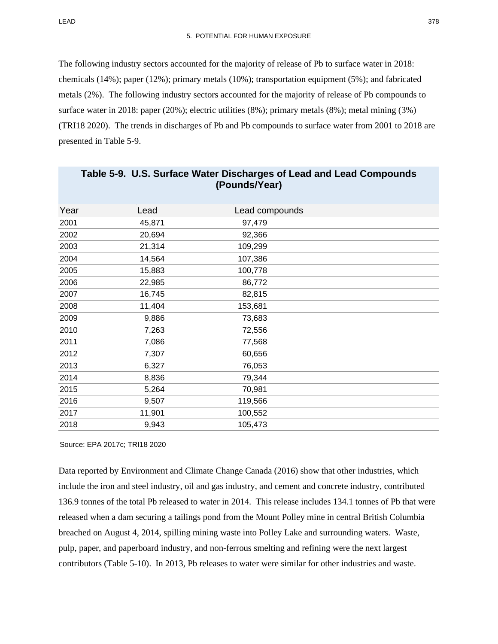The following industry sectors accounted for the majority of release of Pb to surface water in 2018: chemicals (14%); paper (12%); primary metals (10%); transportation equipment (5%); and fabricated metals (2%). The following industry sectors accounted for the majority of release of Pb compounds to surface water in 2018: paper (20%); electric utilities (8%); primary metals (8%); metal mining (3%) (TRI18 2020). The trends in discharges of Pb and Pb compounds to surface water from 2001 to 2018 are presented in [Table](#page-23-0) 5-9.

<span id="page-23-0"></span>

|      |        | li Adildəli vall |  |
|------|--------|------------------|--|
| Year | Lead   | Lead compounds   |  |
| 2001 | 45,871 | 97,479           |  |
| 2002 | 20,694 | 92,366           |  |
| 2003 | 21,314 | 109,299          |  |
| 2004 | 14,564 | 107,386          |  |
| 2005 | 15,883 | 100,778          |  |
| 2006 | 22,985 | 86,772           |  |
| 2007 | 16,745 | 82,815           |  |
| 2008 | 11,404 | 153,681          |  |
| 2009 | 9,886  | 73,683           |  |
| 2010 | 7,263  | 72,556           |  |
| 2011 | 7,086  | 77,568           |  |
| 2012 | 7,307  | 60,656           |  |
| 2013 | 6,327  | 76,053           |  |
| 2014 | 8,836  | 79,344           |  |
| 2015 | 5,264  | 70,981           |  |
| 2016 | 9,507  | 119,566          |  |
| 2017 | 11,901 | 100,552          |  |
| 2018 | 9,943  | 105,473          |  |
|      |        |                  |  |

| Table 5-9. U.S. Surface Water Discharges of Lead and Lead Compounds |
|---------------------------------------------------------------------|
| (Pounds/Year)                                                       |

Source: EPA 2017c; TRI18 2020

Data reported by Environment and Climate Change Canada (2016) show that other industries, which include the iron and steel industry, oil and gas industry, and cement and concrete industry, contributed 136.9 tonnes of the total Pb released to water in 2014. This release includes 134.1 tonnes of Pb that were released when a dam securing a tailings pond from the Mount Polley mine in central British Columbia breached on August 4, 2014, spilling mining waste into Polley Lake and surrounding waters. Waste, pulp, paper, and paperboard industry, and non-ferrous smelting and refining were the next largest contributors [\(Table](#page-24-0) 5-10). In 2013, Pb releases to water were similar for other industries and waste.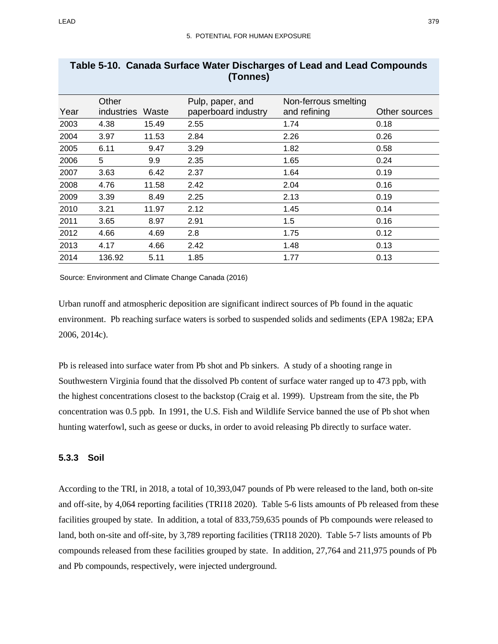|      | (TONNES)                   |       |                                         |                                      |               |  |  |  |  |
|------|----------------------------|-------|-----------------------------------------|--------------------------------------|---------------|--|--|--|--|
| Year | Other<br><i>industries</i> | Waste | Pulp, paper, and<br>paperboard industry | Non-ferrous smelting<br>and refining | Other sources |  |  |  |  |
| 2003 | 4.38                       | 15.49 | 2.55                                    | 1.74                                 | 0.18          |  |  |  |  |
| 2004 | 3.97                       | 11.53 | 2.84                                    | 2.26                                 | 0.26          |  |  |  |  |
| 2005 | 6.11                       | 9.47  | 3.29                                    | 1.82                                 | 0.58          |  |  |  |  |
| 2006 | 5                          | 9.9   | 2.35                                    | 1.65                                 | 0.24          |  |  |  |  |
| 2007 | 3.63                       | 6.42  | 2.37                                    | 1.64                                 | 0.19          |  |  |  |  |
| 2008 | 4.76                       | 11.58 | 2.42                                    | 2.04                                 | 0.16          |  |  |  |  |
| 2009 | 3.39                       | 8.49  | 2.25                                    | 2.13                                 | 0.19          |  |  |  |  |
| 2010 | 3.21                       | 11.97 | 2.12                                    | 1.45                                 | 0.14          |  |  |  |  |
| 2011 | 3.65                       | 8.97  | 2.91                                    | 1.5                                  | 0.16          |  |  |  |  |
| 2012 | 4.66                       | 4.69  | 2.8                                     | 1.75                                 | 0.12          |  |  |  |  |
| 2013 | 4.17                       | 4.66  | 2.42                                    | 1.48                                 | 0.13          |  |  |  |  |
| 2014 | 136.92                     | 5.11  | 1.85                                    | 1.77                                 | 0.13          |  |  |  |  |

# <span id="page-24-0"></span>**Table 5-10. Canada Surface Water Discharges of Lead and Lead Compounds (Tonnes)**

Source: Environment and Climate Change Canada (2016)

Urban runoff and atmospheric deposition are significant indirect sources of Pb found in the aquatic environment. Pb reaching surface waters is sorbed to suspended solids and sediments (EPA 1982a; EPA 2006, 2014c).

Pb is released into surface water from Pb shot and Pb sinkers. A study of a shooting range in Southwestern Virginia found that the dissolved Pb content of surface water ranged up to 473 ppb, with the highest concentrations closest to the backstop (Craig et al. 1999). Upstream from the site, the Pb concentration was 0.5 ppb. In 1991, the U.S. Fish and Wildlife Service banned the use of Pb shot when hunting waterfowl, such as geese or ducks, in order to avoid releasing Pb directly to surface water.

## **5.3.3 Soil**

According to the TRI, in 2018, a total of 10,393,047 pounds of Pb were released to the land, both on-site and off-site, by 4,064 reporting facilities (TRI18 2020). [Table 5-6](#page-17-0) lists amounts of Pb released from these facilities grouped by state. In addition, a total of 833,759,635 pounds of Pb compounds were released to land, both on-site and off-site, by 3,789 reporting facilities (TRI18 2020). [Table 5-7](#page-19-0) lists amounts of Pb compounds released from these facilities grouped by state. In addition, 27,764 and 211,975 pounds of Pb and Pb compounds, respectively, were injected underground.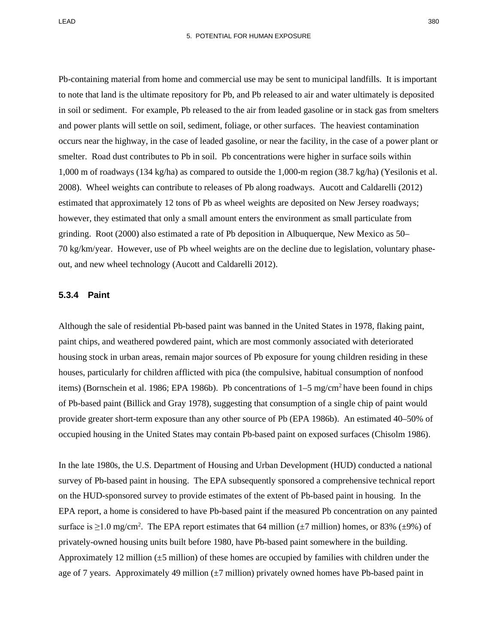Pb-containing material from home and commercial use may be sent to municipal landfills. It is important to note that land is the ultimate repository for Pb, and Pb released to air and water ultimately is deposited in soil or sediment. For example, Pb released to the air from leaded gasoline or in stack gas from smelters and power plants will settle on soil, sediment, foliage, or other surfaces. The heaviest contamination occurs near the highway, in the case of leaded gasoline, or near the facility, in the case of a power plant or smelter. Road dust contributes to Pb in soil. Pb concentrations were higher in surface soils within 1,000 m of roadways (134 kg/ha) as compared to outside the 1,000-m region (38.7 kg/ha) (Yesilonis et al. 2008). Wheel weights can contribute to releases of Pb along roadways. Aucott and Caldarelli (2012) estimated that approximately 12 tons of Pb as wheel weights are deposited on New Jersey roadways; however, they estimated that only a small amount enters the environment as small particulate from grinding. Root (2000) also estimated a rate of Pb deposition in Albuquerque, New Mexico as 50– 70 kg/km/year. However, use of Pb wheel weights are on the decline due to legislation, voluntary phaseout, and new wheel technology (Aucott and Caldarelli 2012).

#### **5.3.4 Paint**

Although the sale of residential Pb-based paint was banned in the United States in 1978, flaking paint, paint chips, and weathered powdered paint, which are most commonly associated with deteriorated housing stock in urban areas, remain major sources of Pb exposure for young children residing in these houses, particularly for children afflicted with pica (the compulsive, habitual consumption of nonfood items) (Bornschein et al. 1986; EPA 1986b). Pb concentrations of  $1-5$  mg/cm<sup>2</sup> have been found in chips of Pb-based paint (Billick and Gray 1978), suggesting that consumption of a single chip of paint would provide greater short-term exposure than any other source of Pb (EPA 1986b). An estimated 40–50% of occupied housing in the United States may contain Pb-based paint on exposed surfaces (Chisolm 1986).

In the late 1980s, the U.S. Department of Housing and Urban Development (HUD) conducted a national survey of Pb-based paint in housing. The EPA subsequently sponsored a comprehensive technical report on the HUD-sponsored survey to provide estimates of the extent of Pb-based paint in housing. In the EPA report, a home is considered to have Pb-based paint if the measured Pb concentration on any painted surface is  $\geq$ 1.0 mg/cm<sup>2</sup>. The EPA report estimates that 64 million ( $\pm$ 7 million) homes, or 83% ( $\pm$ 9%) of privately-owned housing units built before 1980, have Pb-based paint somewhere in the building. Approximately 12 million  $(\pm 5$  million) of these homes are occupied by families with children under the age of 7 years. Approximately 49 million  $(\pm 7$  million) privately owned homes have Pb-based paint in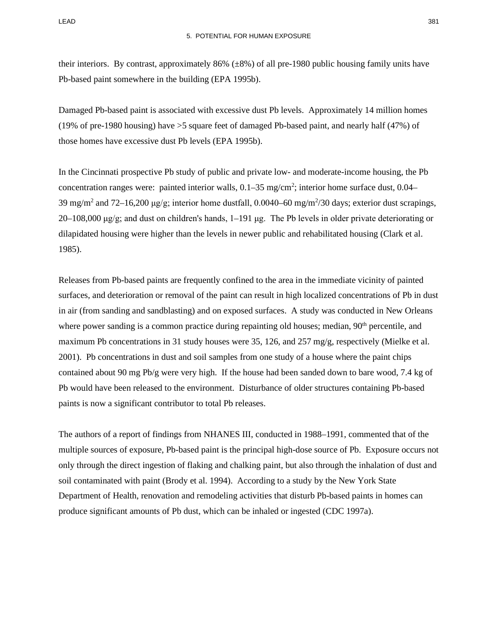their interiors. By contrast, approximately 86%  $(\pm 8\%)$  of all pre-1980 public housing family units have Pb-based paint somewhere in the building (EPA 1995b).

Damaged Pb-based paint is associated with excessive dust Pb levels. Approximately 14 million homes (19% of pre-1980 housing) have >5 square feet of damaged Pb-based paint, and nearly half (47%) of those homes have excessive dust Pb levels (EPA 1995b).

In the Cincinnati prospective Pb study of public and private low- and moderate-income housing, the Pb concentration ranges were: painted interior walls,  $0.1-35$  mg/cm<sup>2</sup>; interior home surface dust,  $0.04-$ 39 mg/m<sup>2</sup> and 72–16,200  $\mu$ g/g; interior home dustfall, 0.0040–60 mg/m<sup>2</sup>/30 days; exterior dust scrapings, 20–108,000 μg/g; and dust on children's hands, 1–191 μg. The Pb levels in older private deteriorating or dilapidated housing were higher than the levels in newer public and rehabilitated housing (Clark et al. 1985).

Releases from Pb-based paints are frequently confined to the area in the immediate vicinity of painted surfaces, and deterioration or removal of the paint can result in high localized concentrations of Pb in dust in air (from sanding and sandblasting) and on exposed surfaces. A study was conducted in New Orleans where power sanding is a common practice during repainting old houses; median, 90<sup>th</sup> percentile, and maximum Pb concentrations in 31 study houses were 35, 126, and 257 mg/g, respectively (Mielke et al. 2001). Pb concentrations in dust and soil samples from one study of a house where the paint chips contained about 90 mg Pb/g were very high. If the house had been sanded down to bare wood, 7.4 kg of Pb would have been released to the environment. Disturbance of older structures containing Pb-based paints is now a significant contributor to total Pb releases.

The authors of a report of findings from NHANES III, conducted in 1988–1991, commented that of the multiple sources of exposure, Pb-based paint is the principal high-dose source of Pb. Exposure occurs not only through the direct ingestion of flaking and chalking paint, but also through the inhalation of dust and soil contaminated with paint (Brody et al. 1994). According to a study by the New York State Department of Health, renovation and remodeling activities that disturb Pb-based paints in homes can produce significant amounts of Pb dust, which can be inhaled or ingested (CDC 1997a).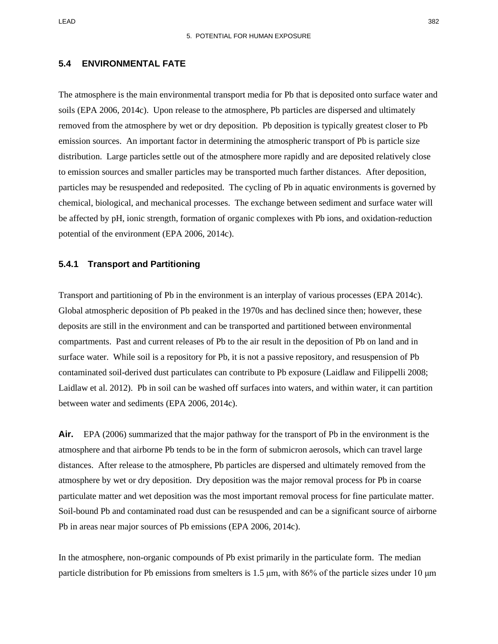LEAD 382

## **5.4 ENVIRONMENTAL FATE**

The atmosphere is the main environmental transport media for Pb that is deposited onto surface water and soils (EPA 2006, 2014c). Upon release to the atmosphere, Pb particles are dispersed and ultimately removed from the atmosphere by wet or dry deposition. Pb deposition is typically greatest closer to Pb emission sources. An important factor in determining the atmospheric transport of Pb is particle size distribution. Large particles settle out of the atmosphere more rapidly and are deposited relatively close to emission sources and smaller particles may be transported much farther distances. After deposition, particles may be resuspended and redeposited. The cycling of Pb in aquatic environments is governed by chemical, biological, and mechanical processes. The exchange between sediment and surface water will be affected by pH, ionic strength, formation of organic complexes with Pb ions, and oxidation-reduction potential of the environment (EPA 2006, 2014c).

#### **5.4.1 Transport and Partitioning**

Transport and partitioning of Pb in the environment is an interplay of various processes (EPA 2014c). Global atmospheric deposition of Pb peaked in the 1970s and has declined since then; however, these deposits are still in the environment and can be transported and partitioned between environmental compartments. Past and current releases of Pb to the air result in the deposition of Pb on land and in surface water. While soil is a repository for Pb, it is not a passive repository, and resuspension of Pb contaminated soil-derived dust particulates can contribute to Pb exposure (Laidlaw and Filippelli 2008; Laidlaw et al. 2012). Pb in soil can be washed off surfaces into waters, and within water, it can partition between water and sediments (EPA 2006, 2014c).

**Air.** EPA (2006) summarized that the major pathway for the transport of Pb in the environment is the atmosphere and that airborne Pb tends to be in the form of submicron aerosols, which can travel large distances. After release to the atmosphere, Pb particles are dispersed and ultimately removed from the atmosphere by wet or dry deposition. Dry deposition was the major removal process for Pb in coarse particulate matter and wet deposition was the most important removal process for fine particulate matter. Soil-bound Pb and contaminated road dust can be resuspended and can be a significant source of airborne Pb in areas near major sources of Pb emissions (EPA 2006, 2014c).

In the atmosphere, non-organic compounds of Pb exist primarily in the particulate form. The median particle distribution for Pb emissions from smelters is 1.5 μm, with 86% of the particle sizes under 10 μm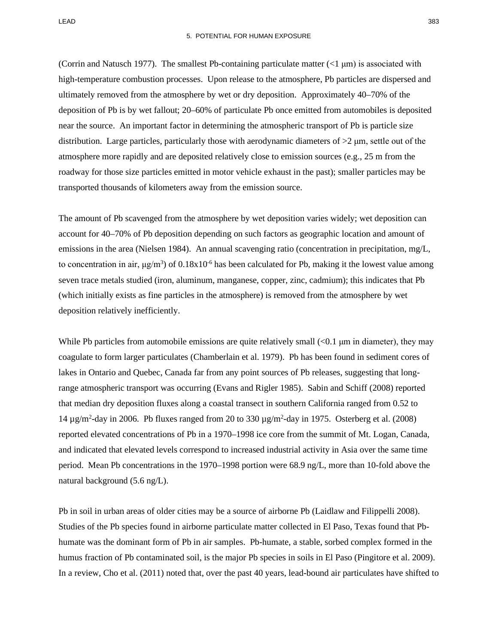LEAD 383

(Corrin and Natusch 1977). The smallest Pb-containing particulate matter  $(<1 \mu m)$  is associated with high-temperature combustion processes. Upon release to the atmosphere, Pb particles are dispersed and ultimately removed from the atmosphere by wet or dry deposition. Approximately 40–70% of the deposition of Pb is by wet fallout; 20–60% of particulate Pb once emitted from automobiles is deposited near the source. An important factor in determining the atmospheric transport of Pb is particle size distribution. Large particles, particularly those with aerodynamic diameters of  $>2 \mu m$ , settle out of the atmosphere more rapidly and are deposited relatively close to emission sources (e.g., 25 m from the roadway for those size particles emitted in motor vehicle exhaust in the past); smaller particles may be transported thousands of kilometers away from the emission source.

The amount of Pb scavenged from the atmosphere by wet deposition varies widely; wet deposition can account for 40–70% of Pb deposition depending on such factors as geographic location and amount of emissions in the area (Nielsen 1984). An annual scavenging ratio (concentration in precipitation, mg/L, to concentration in air,  $\mu g/m^3$ ) of  $0.18x10^{-6}$  has been calculated for Pb, making it the lowest value among seven trace metals studied (iron, aluminum, manganese, copper, zinc, cadmium); this indicates that Pb (which initially exists as fine particles in the atmosphere) is removed from the atmosphere by wet deposition relatively inefficiently.

While Pb particles from automobile emissions are quite relatively small  $( $0.1 \mu m$  in diameter), they may$ coagulate to form larger particulates (Chamberlain et al. 1979). Pb has been found in sediment cores of lakes in Ontario and Quebec, Canada far from any point sources of Pb releases, suggesting that longrange atmospheric transport was occurring (Evans and Rigler 1985). Sabin and Schiff (2008) reported that median dry deposition fluxes along a coastal transect in southern California ranged from 0.52 to 14  $\mu$ g/m<sup>2</sup>-day in 2006. Pb fluxes ranged from 20 to 330  $\mu$ g/m<sup>2</sup>-day in 1975. Osterberg et al. (2008) reported elevated concentrations of Pb in a 1970–1998 ice core from the summit of Mt. Logan, Canada, and indicated that elevated levels correspond to increased industrial activity in Asia over the same time period. Mean Pb concentrations in the 1970–1998 portion were 68.9 ng/L, more than 10-fold above the natural background (5.6 ng/L).

Pb in soil in urban areas of older cities may be a source of airborne Pb (Laidlaw and Filippelli 2008). Studies of the Pb species found in airborne particulate matter collected in El Paso, Texas found that Pbhumate was the dominant form of Pb in air samples. Pb-humate, a stable, sorbed complex formed in the humus fraction of Pb contaminated soil, is the major Pb species in soils in El Paso (Pingitore et al. 2009). In a review, Cho et al. (2011) noted that, over the past 40 years, lead-bound air particulates have shifted to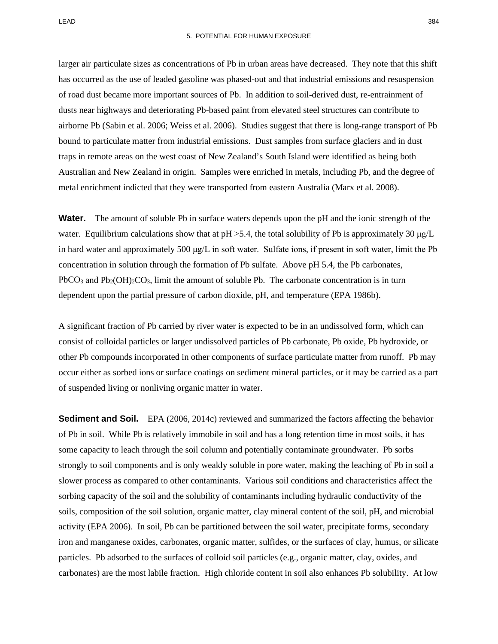larger air particulate sizes as concentrations of Pb in urban areas have decreased. They note that this shift has occurred as the use of leaded gasoline was phased-out and that industrial emissions and resuspension of road dust became more important sources of Pb. In addition to soil-derived dust, re-entrainment of dusts near highways and deteriorating Pb-based paint from elevated steel structures can contribute to airborne Pb (Sabin et al. 2006; Weiss et al. 2006). Studies suggest that there is long-range transport of Pb bound to particulate matter from industrial emissions. Dust samples from surface glaciers and in dust traps in remote areas on the west coast of New Zealand's South Island were identified as being both Australian and New Zealand in origin. Samples were enriched in metals, including Pb, and the degree of metal enrichment indicted that they were transported from eastern Australia (Marx et al. 2008).

**Water.** The amount of soluble Pb in surface waters depends upon the pH and the ionic strength of the water. Equilibrium calculations show that at  $pH > 5.4$ , the total solubility of Pb is approximately 30  $\mu g/L$ in hard water and approximately 500  $\mu g/L$  in soft water. Sulfate ions, if present in soft water, limit the Pb concentration in solution through the formation of Pb sulfate. Above pH 5.4, the Pb carbonates,  $PbCO<sub>3</sub>$  and  $Pb<sub>2</sub>(OH)<sub>2</sub>CO<sub>3</sub>$ , limit the amount of soluble Pb. The carbonate concentration is in turn dependent upon the partial pressure of carbon dioxide, pH, and temperature (EPA 1986b).

A significant fraction of Pb carried by river water is expected to be in an undissolved form, which can consist of colloidal particles or larger undissolved particles of Pb carbonate, Pb oxide, Pb hydroxide, or other Pb compounds incorporated in other components of surface particulate matter from runoff. Pb may occur either as sorbed ions or surface coatings on sediment mineral particles, or it may be carried as a part of suspended living or nonliving organic matter in water.

**Sediment and Soil.** EPA (2006, 2014c) reviewed and summarized the factors affecting the behavior of Pb in soil. While Pb is relatively immobile in soil and has a long retention time in most soils, it has some capacity to leach through the soil column and potentially contaminate groundwater. Pb sorbs strongly to soil components and is only weakly soluble in pore water, making the leaching of Pb in soil a slower process as compared to other contaminants. Various soil conditions and characteristics affect the sorbing capacity of the soil and the solubility of contaminants including hydraulic conductivity of the soils, composition of the soil solution, organic matter, clay mineral content of the soil, pH, and microbial activity (EPA 2006). In soil, Pb can be partitioned between the soil water, precipitate forms, secondary iron and manganese oxides, carbonates, organic matter, sulfides, or the surfaces of clay, humus, or silicate particles. Pb adsorbed to the surfaces of colloid soil particles (e.g., organic matter, clay, oxides, and carbonates) are the most labile fraction. High chloride content in soil also enhances Pb solubility. At low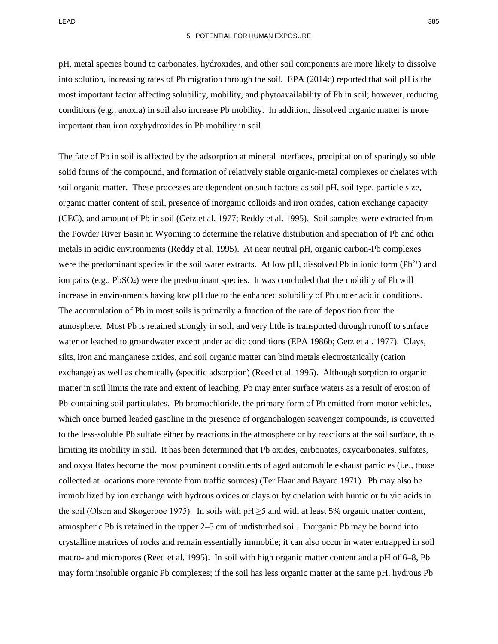pH, metal species bound to carbonates, hydroxides, and other soil components are more likely to dissolve into solution, increasing rates of Pb migration through the soil. EPA (2014c) reported that soil pH is the most important factor affecting solubility, mobility, and phytoavailability of Pb in soil; however, reducing conditions (e.g., anoxia) in soil also increase Pb mobility. In addition, dissolved organic matter is more important than iron oxyhydroxides in Pb mobility in soil.

The fate of Pb in soil is affected by the adsorption at mineral interfaces, precipitation of sparingly soluble solid forms of the compound, and formation of relatively stable organic-metal complexes or chelates with soil organic matter. These processes are dependent on such factors as soil pH, soil type, particle size, organic matter content of soil, presence of inorganic colloids and iron oxides, cation exchange capacity (CEC), and amount of Pb in soil (Getz et al. 1977; Reddy et al. 1995). Soil samples were extracted from the Powder River Basin in Wyoming to determine the relative distribution and speciation of Pb and other metals in acidic environments (Reddy et al. 1995). At near neutral pH, organic carbon-Pb complexes were the predominant species in the soil water extracts. At low pH, dissolved Pb in ionic form  $(Pb^{2+})$  and ion pairs (e.g., PbSO4) were the predominant species. It was concluded that the mobility of Pb will increase in environments having low pH due to the enhanced solubility of Pb under acidic conditions. The accumulation of Pb in most soils is primarily a function of the rate of deposition from the atmosphere. Most Pb is retained strongly in soil, and very little is transported through runoff to surface water or leached to groundwater except under acidic conditions (EPA 1986b; Getz et al. 1977). Clays, silts, iron and manganese oxides, and soil organic matter can bind metals electrostatically (cation exchange) as well as chemically (specific adsorption) (Reed et al. 1995). Although sorption to organic matter in soil limits the rate and extent of leaching, Pb may enter surface waters as a result of erosion of Pb-containing soil particulates. Pb bromochloride, the primary form of Pb emitted from motor vehicles, which once burned leaded gasoline in the presence of organohalogen scavenger compounds, is converted to the less-soluble Pb sulfate either by reactions in the atmosphere or by reactions at the soil surface, thus limiting its mobility in soil. It has been determined that Pb oxides, carbonates, oxycarbonates, sulfates, and oxysulfates become the most prominent constituents of aged automobile exhaust particles (i.e., those collected at locations more remote from traffic sources) (Ter Haar and Bayard 1971). Pb may also be immobilized by ion exchange with hydrous oxides or clays or by chelation with humic or fulvic acids in the soil (Olson and Skogerboe 1975). In soils with  $pH \geq 5$  and with at least 5% organic matter content, atmospheric Pb is retained in the upper 2–5 cm of undisturbed soil. Inorganic Pb may be bound into crystalline matrices of rocks and remain essentially immobile; it can also occur in water entrapped in soil macro- and micropores (Reed et al. 1995). In soil with high organic matter content and a pH of 6–8, Pb may form insoluble organic Pb complexes; if the soil has less organic matter at the same pH, hydrous Pb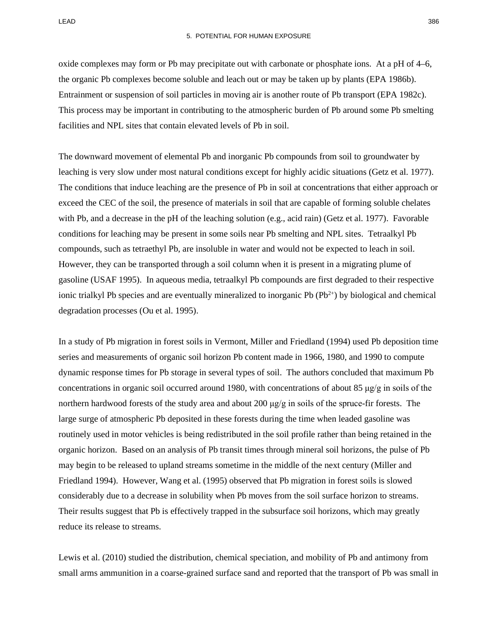oxide complexes may form or Pb may precipitate out with carbonate or phosphate ions. At a pH of 4–6, the organic Pb complexes become soluble and leach out or may be taken up by plants (EPA 1986b). Entrainment or suspension of soil particles in moving air is another route of Pb transport (EPA 1982c). This process may be important in contributing to the atmospheric burden of Pb around some Pb smelting facilities and NPL sites that contain elevated levels of Pb in soil.

The downward movement of elemental Pb and inorganic Pb compounds from soil to groundwater by leaching is very slow under most natural conditions except for highly acidic situations (Getz et al. 1977). The conditions that induce leaching are the presence of Pb in soil at concentrations that either approach or exceed the CEC of the soil, the presence of materials in soil that are capable of forming soluble chelates with Pb, and a decrease in the pH of the leaching solution (e.g., acid rain) (Getz et al. 1977). Favorable conditions for leaching may be present in some soils near Pb smelting and NPL sites. Tetraalkyl Pb compounds, such as tetraethyl Pb, are insoluble in water and would not be expected to leach in soil. However, they can be transported through a soil column when it is present in a migrating plume of gasoline (USAF 1995). In aqueous media, tetraalkyl Pb compounds are first degraded to their respective ionic trialkyl Pb species and are eventually mineralized to inorganic Pb  $(Pb<sup>2+</sup>)$  by biological and chemical degradation processes (Ou et al. 1995).

In a study of Pb migration in forest soils in Vermont, Miller and Friedland (1994) used Pb deposition time series and measurements of organic soil horizon Pb content made in 1966, 1980, and 1990 to compute dynamic response times for Pb storage in several types of soil. The authors concluded that maximum Pb concentrations in organic soil occurred around 1980, with concentrations of about 85  $\mu$ g/g in soils of the northern hardwood forests of the study area and about 200  $\mu$ g/g in soils of the spruce-fir forests. The large surge of atmospheric Pb deposited in these forests during the time when leaded gasoline was routinely used in motor vehicles is being redistributed in the soil profile rather than being retained in the organic horizon. Based on an analysis of Pb transit times through mineral soil horizons, the pulse of Pb may begin to be released to upland streams sometime in the middle of the next century (Miller and Friedland 1994). However, Wang et al. (1995) observed that Pb migration in forest soils is slowed considerably due to a decrease in solubility when Pb moves from the soil surface horizon to streams. Their results suggest that Pb is effectively trapped in the subsurface soil horizons, which may greatly reduce its release to streams.

Lewis et al. (2010) studied the distribution, chemical speciation, and mobility of Pb and antimony from small arms ammunition in a coarse-grained surface sand and reported that the transport of Pb was small in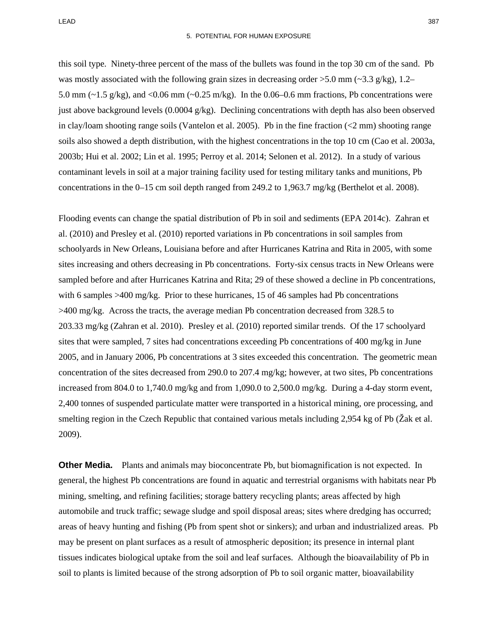this soil type. Ninety-three percent of the mass of the bullets was found in the top 30 cm of the sand. Pb was mostly associated with the following grain sizes in decreasing order  $>5.0$  mm ( $\sim$ 3.3 g/kg), 1.2– 5.0 mm ( $\sim$ 1.5 g/kg), and <0.06 mm ( $\sim$ 0.25 m/kg). In the 0.06–0.6 mm fractions, Pb concentrations were just above background levels (0.0004  $g/kg$ ). Declining concentrations with depth has also been observed in clay/loam shooting range soils (Vantelon et al. 2005). Pb in the fine fraction  $\ll$  mm) shooting range soils also showed a depth distribution, with the highest concentrations in the top 10 cm (Cao et al. 2003a, 2003b; Hui et al. 2002; Lin et al. 1995; Perroy et al. 2014; Selonen et al. 2012). In a study of various contaminant levels in soil at a major training facility used for testing military tanks and munitions, Pb concentrations in the 0–15 cm soil depth ranged from 249.2 to 1,963.7 mg/kg (Berthelot et al. 2008).

Flooding events can change the spatial distribution of Pb in soil and sediments (EPA 2014c). Zahran et al. (2010) and Presley et al. (2010) reported variations in Pb concentrations in soil samples from schoolyards in New Orleans, Louisiana before and after Hurricanes Katrina and Rita in 2005, with some sites increasing and others decreasing in Pb concentrations. Forty-six census tracts in New Orleans were sampled before and after Hurricanes Katrina and Rita; 29 of these showed a decline in Pb concentrations, with 6 samples >400 mg/kg. Prior to these hurricanes, 15 of 46 samples had Pb concentrations >400 mg/kg. Across the tracts, the average median Pb concentration decreased from 328.5 to 203.33 mg/kg (Zahran et al. 2010). Presley et al. (2010) reported similar trends. Of the 17 schoolyard sites that were sampled, 7 sites had concentrations exceeding Pb concentrations of 400 mg/kg in June 2005, and in January 2006, Pb concentrations at 3 sites exceeded this concentration. The geometric mean concentration of the sites decreased from 290.0 to 207.4 mg/kg; however, at two sites, Pb concentrations increased from 804.0 to 1,740.0 mg/kg and from 1,090.0 to 2,500.0 mg/kg. During a 4-day storm event, 2,400 tonnes of suspended particulate matter were transported in a historical mining, ore processing, and smelting region in the Czech Republic that contained various metals including 2,954 kg of Pb (Žak et al. 2009).

**Other Media.** Plants and animals may bioconcentrate Pb, but biomagnification is not expected. In general, the highest Pb concentrations are found in aquatic and terrestrial organisms with habitats near Pb mining, smelting, and refining facilities; storage battery recycling plants; areas affected by high automobile and truck traffic; sewage sludge and spoil disposal areas; sites where dredging has occurred; areas of heavy hunting and fishing (Pb from spent shot or sinkers); and urban and industrialized areas. Pb may be present on plant surfaces as a result of atmospheric deposition; its presence in internal plant tissues indicates biological uptake from the soil and leaf surfaces. Although the bioavailability of Pb in soil to plants is limited because of the strong adsorption of Pb to soil organic matter, bioavailability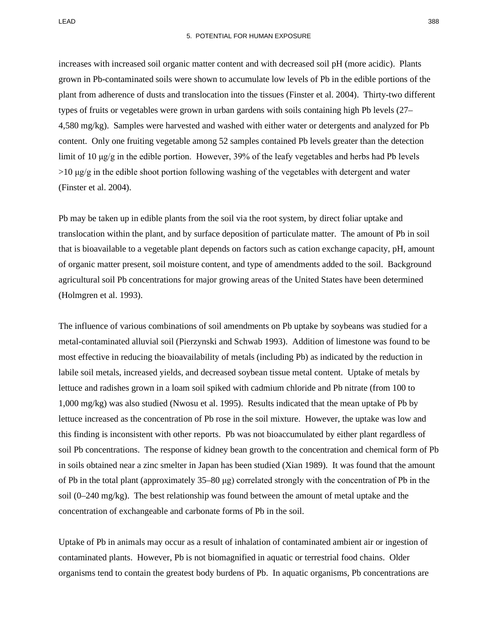increases with increased soil organic matter content and with decreased soil pH (more acidic). Plants grown in Pb-contaminated soils were shown to accumulate low levels of Pb in the edible portions of the plant from adherence of dusts and translocation into the tissues (Finster et al. 2004). Thirty-two different types of fruits or vegetables were grown in urban gardens with soils containing high Pb levels (27– 4,580 mg/kg). Samples were harvested and washed with either water or detergents and analyzed for Pb content. Only one fruiting vegetable among 52 samples contained Pb levels greater than the detection limit of 10 μg/g in the edible portion. However, 39% of the leafy vegetables and herbs had Pb levels  $>10 \mu g/g$  in the edible shoot portion following washing of the vegetables with detergent and water (Finster et al. 2004).

Pb may be taken up in edible plants from the soil via the root system, by direct foliar uptake and translocation within the plant, and by surface deposition of particulate matter. The amount of Pb in soil that is bioavailable to a vegetable plant depends on factors such as cation exchange capacity, pH, amount of organic matter present, soil moisture content, and type of amendments added to the soil. Background agricultural soil Pb concentrations for major growing areas of the United States have been determined (Holmgren et al. 1993).

The influence of various combinations of soil amendments on Pb uptake by soybeans was studied for a metal-contaminated alluvial soil (Pierzynski and Schwab 1993). Addition of limestone was found to be most effective in reducing the bioavailability of metals (including Pb) as indicated by the reduction in labile soil metals, increased yields, and decreased soybean tissue metal content. Uptake of metals by lettuce and radishes grown in a loam soil spiked with cadmium chloride and Pb nitrate (from 100 to 1,000 mg/kg) was also studied (Nwosu et al. 1995). Results indicated that the mean uptake of Pb by lettuce increased as the concentration of Pb rose in the soil mixture. However, the uptake was low and this finding is inconsistent with other reports. Pb was not bioaccumulated by either plant regardless of soil Pb concentrations. The response of kidney bean growth to the concentration and chemical form of Pb in soils obtained near a zinc smelter in Japan has been studied (Xian 1989). It was found that the amount of Pb in the total plant (approximately 35–80 μg) correlated strongly with the concentration of Pb in the soil (0–240 mg/kg). The best relationship was found between the amount of metal uptake and the concentration of exchangeable and carbonate forms of Pb in the soil.

Uptake of Pb in animals may occur as a result of inhalation of contaminated ambient air or ingestion of contaminated plants. However, Pb is not biomagnified in aquatic or terrestrial food chains. Older organisms tend to contain the greatest body burdens of Pb. In aquatic organisms, Pb concentrations are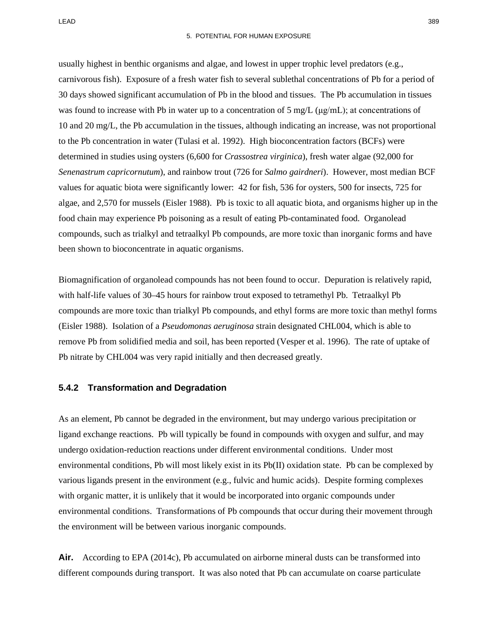usually highest in benthic organisms and algae, and lowest in upper trophic level predators (e.g., carnivorous fish). Exposure of a fresh water fish to several sublethal concentrations of Pb for a period of 30 days showed significant accumulation of Pb in the blood and tissues. The Pb accumulation in tissues was found to increase with Pb in water up to a concentration of 5 mg/L ( $\mu$ g/mL); at concentrations of 10 and 20 mg/L, the Pb accumulation in the tissues, although indicating an increase, was not proportional to the Pb concentration in water (Tulasi et al. 1992). High bioconcentration factors (BCFs) were determined in studies using oysters (6,600 for *Crassostrea virginica*), fresh water algae (92,000 for *Senenastrum capricornutum*), and rainbow trout (726 for *Salmo gairdneri*). However, most median BCF values for aquatic biota were significantly lower: 42 for fish, 536 for oysters, 500 for insects, 725 for algae, and 2,570 for mussels (Eisler 1988). Pb is toxic to all aquatic biota, and organisms higher up in the food chain may experience Pb poisoning as a result of eating Pb-contaminated food. Organolead compounds, such as trialkyl and tetraalkyl Pb compounds, are more toxic than inorganic forms and have been shown to bioconcentrate in aquatic organisms.

Biomagnification of organolead compounds has not been found to occur. Depuration is relatively rapid, with half-life values of 30–45 hours for rainbow trout exposed to tetramethyl Pb. Tetraalkyl Pb compounds are more toxic than trialkyl Pb compounds, and ethyl forms are more toxic than methyl forms (Eisler 1988). Isolation of a *Pseudomonas aeruginosa* strain designated CHL004, which is able to remove Pb from solidified media and soil, has been reported (Vesper et al. 1996). The rate of uptake of Pb nitrate by CHL004 was very rapid initially and then decreased greatly.

#### **5.4.2 Transformation and Degradation**

As an element, Pb cannot be degraded in the environment, but may undergo various precipitation or ligand exchange reactions. Pb will typically be found in compounds with oxygen and sulfur, and may undergo oxidation-reduction reactions under different environmental conditions. Under most environmental conditions, Pb will most likely exist in its Pb(II) oxidation state. Pb can be complexed by various ligands present in the environment (e.g., fulvic and humic acids). Despite forming complexes with organic matter, it is unlikely that it would be incorporated into organic compounds under environmental conditions. Transformations of Pb compounds that occur during their movement through the environment will be between various inorganic compounds.

Air. According to EPA (2014c), Pb accumulated on airborne mineral dusts can be transformed into different compounds during transport. It was also noted that Pb can accumulate on coarse particulate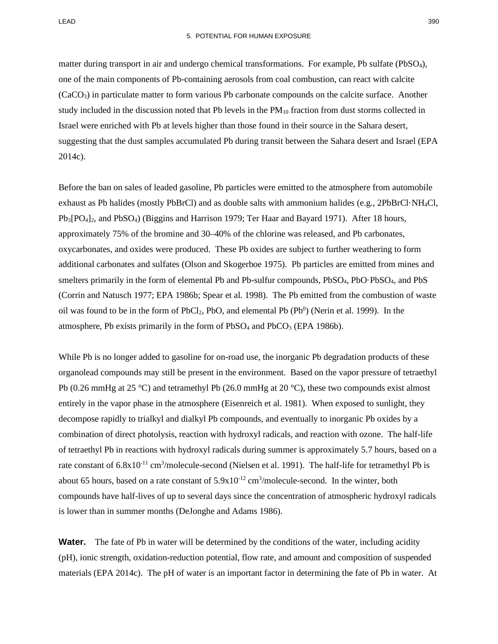matter during transport in air and undergo chemical transformations. For example, Pb sulfate (PbSO4), one of the main components of Pb-containing aerosols from coal combustion, can react with calcite (CaCO3) in particulate matter to form various Pb carbonate compounds on the calcite surface. Another study included in the discussion noted that Pb levels in the  $PM_{10}$  fraction from dust storms collected in Israel were enriched with Pb at levels higher than those found in their source in the Sahara desert, suggesting that the dust samples accumulated Pb during transit between the Sahara desert and Israel (EPA 2014c).

Before the ban on sales of leaded gasoline, Pb particles were emitted to the atmosphere from automobile exhaust as Pb halides (mostly PbBrCl) and as double salts with ammonium halides (e.g., 2PbBrCl·NH4Cl, Pb3[PO4]2, and PbSO4) (Biggins and Harrison 1979; Ter Haar and Bayard 1971). After 18 hours, approximately 75% of the bromine and 30–40% of the chlorine was released, and Pb carbonates, oxycarbonates, and oxides were produced. These Pb oxides are subject to further weathering to form additional carbonates and sulfates (Olson and Skogerboe 1975). Pb particles are emitted from mines and smelters primarily in the form of elemental Pb and Pb-sulfur compounds, PbSO4, PbO·PbSO4, and PbS (Corrin and Natusch 1977; EPA 1986b; Spear et al. 1998). The Pb emitted from the combustion of waste oil was found to be in the form of  $PbCl_2$ ,  $PbO$ , and elemental  $Pb (Pb^0)$  (Nerin et al. 1999). In the atmosphere, Pb exists primarily in the form of PbSO<sub>4</sub> and PbCO<sub>3</sub> (EPA 1986b).

While Pb is no longer added to gasoline for on-road use, the inorganic Pb degradation products of these organolead compounds may still be present in the environment. Based on the vapor pressure of tetraethyl Pb (0.26 mmHg at 25 °C) and tetramethyl Pb (26.0 mmHg at 20 °C), these two compounds exist almost entirely in the vapor phase in the atmosphere (Eisenreich et al. 1981). When exposed to sunlight, they decompose rapidly to trialkyl and dialkyl Pb compounds, and eventually to inorganic Pb oxides by a combination of direct photolysis, reaction with hydroxyl radicals, and reaction with ozone. The half-life of tetraethyl Pb in reactions with hydroxyl radicals during summer is approximately 5.7 hours, based on a rate constant of 6.8x10<sup>-11</sup> cm<sup>3</sup>/molecule-second (Nielsen et al. 1991). The half-life for tetramethyl Pb is about 65 hours, based on a rate constant of  $5.9x10^{-12}$  cm<sup>3</sup>/molecule-second. In the winter, both compounds have half-lives of up to several days since the concentration of atmospheric hydroxyl radicals is lower than in summer months (DeJonghe and Adams 1986).

**Water.** The fate of Pb in water will be determined by the conditions of the water, including acidity (pH), ionic strength, oxidation-reduction potential, flow rate, and amount and composition of suspended materials (EPA 2014c). The pH of water is an important factor in determining the fate of Pb in water. At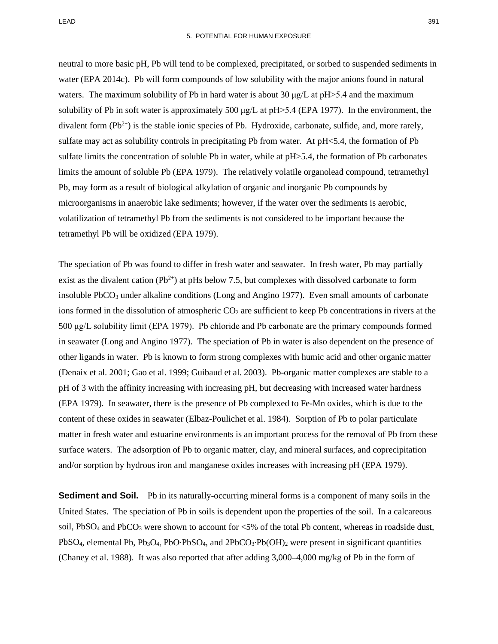neutral to more basic pH, Pb will tend to be complexed, precipitated, or sorbed to suspended sediments in water (EPA 2014c). Pb will form compounds of low solubility with the major anions found in natural waters. The maximum solubility of Pb in hard water is about 30  $\mu$ g/L at pH $> 5.4$  and the maximum solubility of Pb in soft water is approximately 500  $\mu$ g/L at pH $>5.4$  (EPA 1977). In the environment, the divalent form  $(Pb^{2+})$  is the stable ionic species of Pb. Hydroxide, carbonate, sulfide, and, more rarely, sulfate may act as solubility controls in precipitating Pb from water. At pH<5.4, the formation of Pb sulfate limits the concentration of soluble Pb in water, while at pH $> 5.4$ , the formation of Pb carbonates limits the amount of soluble Pb (EPA 1979). The relatively volatile organolead compound, tetramethyl Pb, may form as a result of biological alkylation of organic and inorganic Pb compounds by microorganisms in anaerobic lake sediments; however, if the water over the sediments is aerobic, volatilization of tetramethyl Pb from the sediments is not considered to be important because the tetramethyl Pb will be oxidized (EPA 1979).

The speciation of Pb was found to differ in fresh water and seawater. In fresh water, Pb may partially exist as the divalent cation ( $Pb^{2+}$ ) at pHs below 7.5, but complexes with dissolved carbonate to form insoluble PbCO<sub>3</sub> under alkaline conditions (Long and Angino 1977). Even small amounts of carbonate ions formed in the dissolution of atmospheric  $CO<sub>2</sub>$  are sufficient to keep Pb concentrations in rivers at the 500 μg/L solubility limit (EPA 1979). Pb chloride and Pb carbonate are the primary compounds formed in seawater (Long and Angino 1977). The speciation of Pb in water is also dependent on the presence of other ligands in water. Pb is known to form strong complexes with humic acid and other organic matter (Denaix et al. 2001; Gao et al. 1999; Guibaud et al. 2003). Pb-organic matter complexes are stable to a pH of 3 with the affinity increasing with increasing pH, but decreasing with increased water hardness (EPA 1979). In seawater, there is the presence of Pb complexed to Fe-Mn oxides, which is due to the content of these oxides in seawater (Elbaz-Poulichet et al. 1984). Sorption of Pb to polar particulate matter in fresh water and estuarine environments is an important process for the removal of Pb from these surface waters. The adsorption of Pb to organic matter, clay, and mineral surfaces, and coprecipitation and/or sorption by hydrous iron and manganese oxides increases with increasing pH (EPA 1979).

**Sediment and Soil.** Pb in its naturally-occurring mineral forms is a component of many soils in the United States. The speciation of Pb in soils is dependent upon the properties of the soil. In a calcareous soil, PbSO<sub>4</sub> and PbCO<sub>3</sub> were shown to account for <5% of the total Pb content, whereas in roadside dust, PbSO<sub>4</sub>, elemental Pb, Pb<sub>3</sub>O<sub>4</sub>, PbO⋅PbSO<sub>4</sub>, and 2PbCO<sub>3</sub>⋅Pb(OH)<sub>2</sub> were present in significant quantities (Chaney et al. 1988). It was also reported that after adding 3,000–4,000 mg/kg of Pb in the form of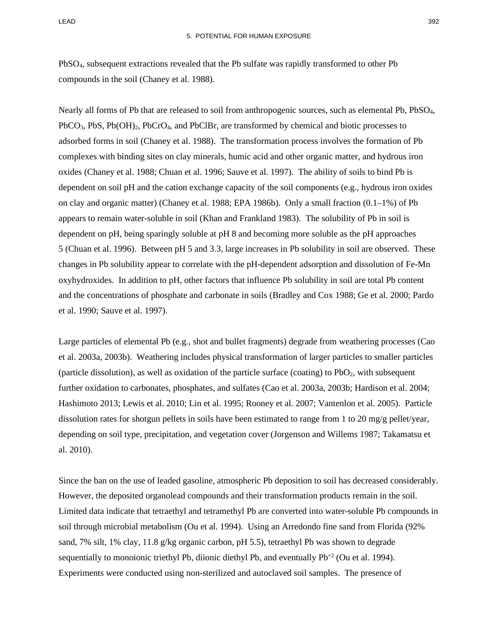PbSO4, subsequent extractions revealed that the Pb sulfate was rapidly transformed to other Pb compounds in the soil (Chaney et al. 1988).

Nearly all forms of Pb that are released to soil from anthropogenic sources, such as elemental Pb, PbSO4,  $PbCO<sub>3</sub>$ , PbS,  $Pb(OH)<sub>2</sub>$ , PbCrO<sub>4</sub>, and PbClBr, are transformed by chemical and biotic processes to adsorbed forms in soil (Chaney et al. 1988). The transformation process involves the formation of Pb complexes with binding sites on clay minerals, humic acid and other organic matter, and hydrous iron oxides (Chaney et al. 1988; Chuan et al. 1996; Sauve et al. 1997). The ability of soils to bind Pb is dependent on soil pH and the cation exchange capacity of the soil components (e.g., hydrous iron oxides on clay and organic matter) (Chaney et al. 1988; EPA 1986b). Only a small fraction (0.1–1%) of Pb appears to remain water-soluble in soil (Khan and Frankland 1983). The solubility of Pb in soil is dependent on pH, being sparingly soluble at pH 8 and becoming more soluble as the pH approaches 5 (Chuan et al. 1996). Between pH 5 and 3.3, large increases in Pb solubility in soil are observed. These changes in Pb solubility appear to correlate with the pH-dependent adsorption and dissolution of Fe-Mn oxyhydroxides. In addition to pH, other factors that influence Pb solubility in soil are total Pb content and the concentrations of phosphate and carbonate in soils (Bradley and Cox 1988; Ge et al. 2000; Pardo et al. 1990; Sauve et al. 1997).

Large particles of elemental Pb (e.g., shot and bullet fragments) degrade from weathering processes (Cao et al. 2003a, 2003b). Weathering includes physical transformation of larger particles to smaller particles (particle dissolution), as well as oxidation of the particle surface (coating) to PbO2, with subsequent further oxidation to carbonates, phosphates, and sulfates (Cao et al. 2003a, 2003b; Hardison et al. 2004; Hashimoto 2013; Lewis et al. 2010; Lin et al. 1995; Rooney et al. 2007; Vantenlon et al. 2005). Particle dissolution rates for shotgun pellets in soils have been estimated to range from 1 to 20 mg/g pellet/year, depending on soil type, precipitation, and vegetation cover (Jorgenson and Willems 1987; Takamatsu et al. 2010).

Since the ban on the use of leaded gasoline, atmospheric Pb deposition to soil has decreased considerably. However, the deposited organolead compounds and their transformation products remain in the soil. Limited data indicate that tetraethyl and tetramethyl Pb are converted into water-soluble Pb compounds in soil through microbial metabolism (Ou et al. 1994). Using an Arredondo fine sand from Florida (92% sand, 7% silt, 1% clay, 11.8 g/kg organic carbon, pH 5.5), tetraethyl Pb was shown to degrade sequentially to monoionic triethyl Pb, diionic diethyl Pb, and eventually  $Pb^{2}$  (Ou et al. 1994). Experiments were conducted using non-sterilized and autoclaved soil samples. The presence of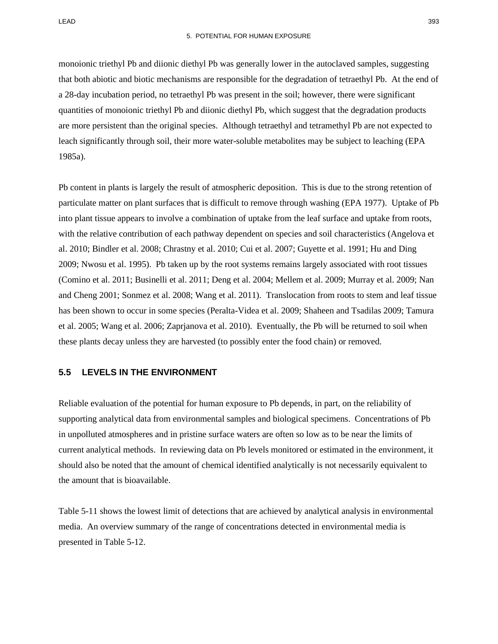monoionic triethyl Pb and diionic diethyl Pb was generally lower in the autoclaved samples, suggesting that both abiotic and biotic mechanisms are responsible for the degradation of tetraethyl Pb. At the end of a 28-day incubation period, no tetraethyl Pb was present in the soil; however, there were significant quantities of monoionic triethyl Pb and diionic diethyl Pb, which suggest that the degradation products are more persistent than the original species. Although tetraethyl and tetramethyl Pb are not expected to leach significantly through soil, their more water-soluble metabolites may be subject to leaching (EPA 1985a).

Pb content in plants is largely the result of atmospheric deposition. This is due to the strong retention of particulate matter on plant surfaces that is difficult to remove through washing (EPA 1977). Uptake of Pb into plant tissue appears to involve a combination of uptake from the leaf surface and uptake from roots, with the relative contribution of each pathway dependent on species and soil characteristics (Angelova et al. 2010; Bindler et al. 2008; Chrastny et al. 2010; Cui et al. 2007; Guyette et al. 1991; Hu and Ding 2009; Nwosu et al. 1995). Pb taken up by the root systems remains largely associated with root tissues (Comino et al. 2011; Businelli et al. 2011; Deng et al. 2004; Mellem et al. 2009; Murray et al. 2009; Nan and Cheng 2001; Sonmez et al. 2008; Wang et al. 2011). Translocation from roots to stem and leaf tissue has been shown to occur in some species (Peralta-Videa et al. 2009; Shaheen and Tsadilas 2009; Tamura et al. 2005; Wang et al. 2006; Zaprjanova et al. 2010). Eventually, the Pb will be returned to soil when these plants decay unless they are harvested (to possibly enter the food chain) or removed.

#### **5.5 LEVELS IN THE ENVIRONMENT**

Reliable evaluation of the potential for human exposure to Pb depends, in part, on the reliability of supporting analytical data from environmental samples and biological specimens. Concentrations of Pb in unpolluted atmospheres and in pristine surface waters are often so low as to be near the limits of current analytical methods. In reviewing data on Pb levels monitored or estimated in the environment, it should also be noted that the amount of chemical identified analytically is not necessarily equivalent to the amount that is bioavailable.

[Table 5-11](#page-39-0) shows the lowest limit of detections that are achieved by analytical analysis in environmental media. An overview summary of the range of concentrations detected in environmental media is presented in [Table 5-12.](#page-40-0)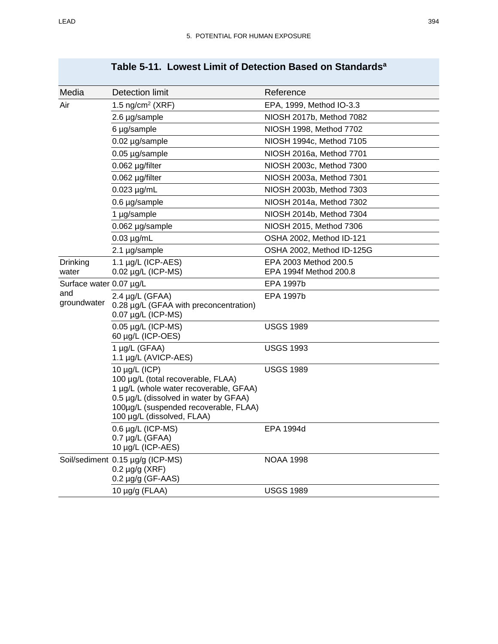<span id="page-39-0"></span>

| Media                   | <b>Detection limit</b>                                                                                                                                                                                             | Reference                                       |
|-------------------------|--------------------------------------------------------------------------------------------------------------------------------------------------------------------------------------------------------------------|-------------------------------------------------|
| Air                     | 1.5 ng/cm <sup>2</sup> (XRF)                                                                                                                                                                                       | EPA, 1999, Method IO-3.3                        |
|                         | 2.6 µg/sample                                                                                                                                                                                                      | NIOSH 2017b, Method 7082                        |
|                         | 6 µg/sample                                                                                                                                                                                                        | NIOSH 1998, Method 7702                         |
|                         | 0.02 µg/sample                                                                                                                                                                                                     | NIOSH 1994c, Method 7105                        |
|                         | 0.05 µg/sample                                                                                                                                                                                                     | NIOSH 2016a, Method 7701                        |
|                         | 0.062 µg/filter                                                                                                                                                                                                    | NIOSH 2003c, Method 7300                        |
|                         | 0.062 µg/filter                                                                                                                                                                                                    | NIOSH 2003a, Method 7301                        |
|                         | $0.023 \mu g/mL$                                                                                                                                                                                                   | NIOSH 2003b, Method 7303                        |
|                         | 0.6 µg/sample                                                                                                                                                                                                      | NIOSH 2014a, Method 7302                        |
|                         | 1 µg/sample                                                                                                                                                                                                        | NIOSH 2014b, Method 7304                        |
|                         | 0.062 µg/sample                                                                                                                                                                                                    | NIOSH 2015, Method 7306                         |
|                         | $0.03 \mu g/mL$                                                                                                                                                                                                    | OSHA 2002, Method ID-121                        |
|                         | 2.1 µg/sample                                                                                                                                                                                                      | OSHA 2002, Method ID-125G                       |
| Drinking<br>water       | 1.1 µg/L (ICP-AES)<br>0.02 µg/L (ICP-MS)                                                                                                                                                                           | EPA 2003 Method 200.5<br>EPA 1994f Method 200.8 |
| Surface water 0.07 µg/L |                                                                                                                                                                                                                    | <b>EPA 1997b</b>                                |
| and<br>groundwater      | $2.4 \mu g/L$ (GFAA)<br>0.28 µg/L (GFAA with preconcentration)<br>0.07 µg/L (ICP-MS)                                                                                                                               | EPA 1997b                                       |
|                         | $0.05 \mu g/L$ (ICP-MS)<br>60 µg/L (ICP-OES)                                                                                                                                                                       | <b>USGS 1989</b>                                |
|                         | 1 µg/L (GFAA)<br>1.1 µg/L (AVICP-AES)                                                                                                                                                                              | <b>USGS 1993</b>                                |
|                         | 10 $\mu$ g/L (ICP)<br>100 µg/L (total recoverable, FLAA)<br>1 µg/L (whole water recoverable, GFAA)<br>0.5 µg/L (dissolved in water by GFAA)<br>100µg/L (suspended recoverable, FLAA)<br>100 µg/L (dissolved, FLAA) | <b>USGS 1989</b>                                |
|                         | $0.6 \mu g/L$ (ICP-MS)<br>$0.7 \mu g/L$ (GFAA)<br>10 µg/L (ICP-AES)                                                                                                                                                | EPA 1994d                                       |
|                         | Soil/sediment 0.15 µg/g (ICP-MS)<br>$0.2 \mu g/g$ (XRF)<br>$0.2 \mu g/g$ (GF-AAS)                                                                                                                                  | <b>NOAA 1998</b>                                |
|                         | 10 µg/g (FLAA)                                                                                                                                                                                                     | <b>USGS 1989</b>                                |

## **Table 5-11. Lowest Limit of Detection Based on Standardsa**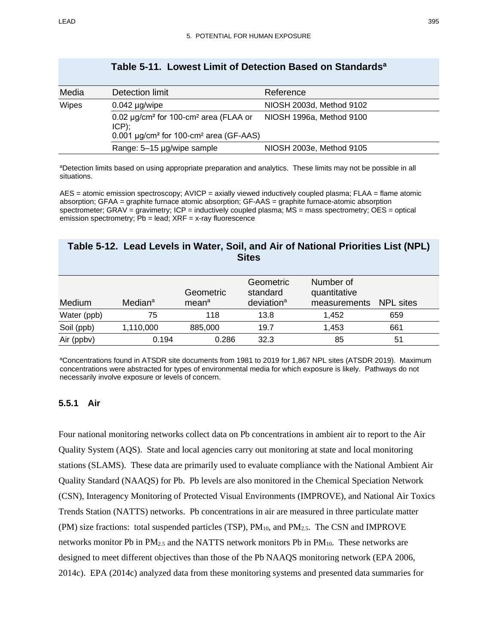| Media | Detection limit                                                                                                                       | Reference                |
|-------|---------------------------------------------------------------------------------------------------------------------------------------|--------------------------|
| Wipes | $0.042$ µg/wipe                                                                                                                       | NIOSH 2003d, Method 9102 |
|       | 0.02 µg/cm <sup>2</sup> for 100-cm <sup>2</sup> area (FLAA or<br>$ICP)$ ;<br>$0.001 \mu g/cm^2$ for 100-cm <sup>2</sup> area (GF-AAS) | NIOSH 1996a, Method 9100 |
|       | Range: 5-15 µg/wipe sample                                                                                                            | NIOSH 2003e, Method 9105 |

## **Table 5-11. Lowest Limit of Detection Based on Standardsa**

aDetection limits based on using appropriate preparation and analytics. These limits may not be possible in all situations.

AES = atomic emission spectroscopy; AVICP = axially viewed inductively coupled plasma; FLAA = flame atomic absorption; GFAA = graphite furnace atomic absorption; GF-AAS = graphite furnace-atomic absorption spectrometer; GRAV = gravimetry; ICP = inductively coupled plasma; MS = mass spectrometry; OES = optical  $emission spectrometry$ ;  $Pb = lead$ ;  $XRF = x-ray$  fluorescence

## <span id="page-40-0"></span>**Table 5-12. Lead Levels in Water, Soil, and Air of National Priorities List (NPL) Sites**

| Medium      | Median <sup>a</sup> | Geometric<br>mean <sup>a</sup> | Geometric<br>standard<br>deviation <sup>a</sup> | Number of<br>quantitative<br>measurements | NPL sites |  |
|-------------|---------------------|--------------------------------|-------------------------------------------------|-------------------------------------------|-----------|--|
| Water (ppb) | 75                  | 118                            | 13.8                                            | 1.452                                     | 659       |  |
| Soil (ppb)  | 1,110,000           | 885,000                        | 19.7                                            | 1,453                                     | 661       |  |
| Air (ppbv)  | 0.194               | 0.286                          | 32.3                                            | 85                                        | 51        |  |

aConcentrations found in ATSDR site documents from 1981 to 2019 for 1,867 NPL sites (ATSDR 2019). Maximum concentrations were abstracted for types of environmental media for which exposure is likely. Pathways do not necessarily involve exposure or levels of concern.

#### **5.5.1 Air**

Four national monitoring networks collect data on Pb concentrations in ambient air to report to the Air Quality System (AQS). State and local agencies carry out monitoring at state and local monitoring stations (SLAMS). These data are primarily used to evaluate compliance with the National Ambient Air Quality Standard (NAAQS) for Pb. Pb levels are also monitored in the Chemical Speciation Network (CSN), Interagency Monitoring of Protected Visual Environments (IMPROVE), and National Air Toxics Trends Station (NATTS) networks. Pb concentrations in air are measured in three particulate matter (PM) size fractions: total suspended particles (TSP),  $PM_{10}$ , and  $PM_{2.5}$ . The CSN and IMPROVE networks monitor Pb in  $PM_{2.5}$  and the NATTS network monitors Pb in  $PM_{10}$ . These networks are designed to meet different objectives than those of the Pb NAAQS monitoring network (EPA 2006, 2014c). EPA (2014c) analyzed data from these monitoring systems and presented data summaries for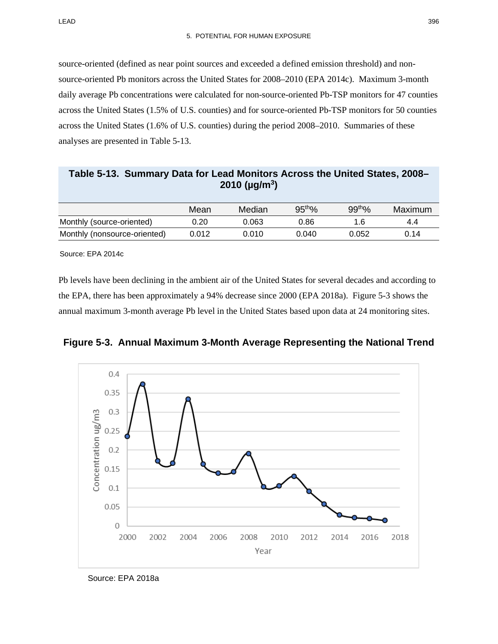source-oriented (defined as near point sources and exceeded a defined emission threshold) and nonsource-oriented Pb monitors across the United States for 2008–2010 (EPA 2014c). Maximum 3-month daily average Pb concentrations were calculated for non-source-oriented Pb-TSP monitors for 47 counties across the United States (1.5% of U.S. counties) and for source-oriented Pb-TSP monitors for 50 counties across the United States (1.6% of U.S. counties) during the period 2008–2010. Summaries of these analyses are presented in [Table](#page-41-0) 5-13.

<span id="page-41-0"></span>**Table 5-13. Summary Data for Lead Monitors Across the United States, 2008– 2010 (µg/m3)**

|                              | Mean  | Median | 95 <sup>th</sup> % | 99 <sup>th</sup> % | Maximum |
|------------------------------|-------|--------|--------------------|--------------------|---------|
| Monthly (source-oriented)    | 0.20  | 0.063  | 0.86               | 1.6                | 4.4     |
| Monthly (nonsource-oriented) | 0.012 | 0.010  | 0.040              | 0.052              | 0.14    |

Source: EPA 2014c

Pb levels have been declining in the ambient air of the United States for several decades and according to the EPA, there has been approximately a 94% decrease since 2000 (EPA 2018a). [Figure 5-3](#page-41-1) shows the annual maximum 3-month average Pb level in the United States based upon data at 24 monitoring sites.



<span id="page-41-1"></span>**Figure 5-3. Annual Maximum 3-Month Average Representing the National Trend**

Source: EPA 2018a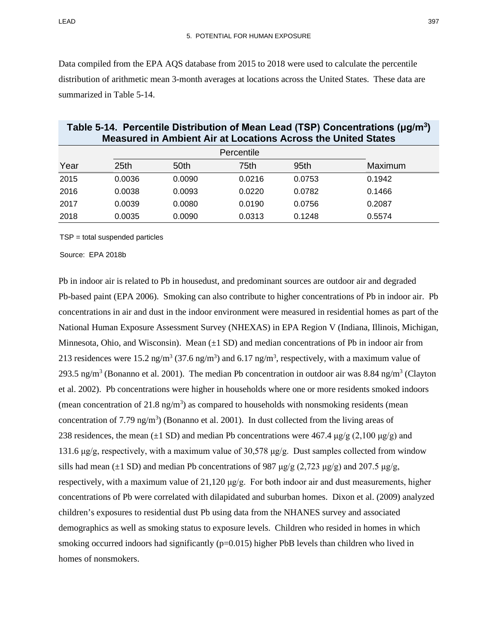Data compiled from the EPA AQS database from 2015 to 2018 were used to calculate the percentile distribution of arithmetic mean 3-month averages at locations across the United States. These data are summarized in [Table 5-14.](#page-42-0)

|      | <b>Measured in Ambient Air at Locations Across the United States</b> |            |        |                  |         |  |
|------|----------------------------------------------------------------------|------------|--------|------------------|---------|--|
|      |                                                                      | Percentile |        |                  |         |  |
| Year | 25 <sub>th</sub>                                                     | 50th       | 75th   | 95 <sub>th</sub> | Maximum |  |
| 2015 | 0.0036                                                               | 0.0090     | 0.0216 | 0.0753           | 0.1942  |  |
| 2016 | 0.0038                                                               | 0.0093     | 0.0220 | 0.0782           | 0.1466  |  |
| 2017 | 0.0039                                                               | 0.0080     | 0.0190 | 0.0756           | 0.2087  |  |
| 2018 | 0.0035                                                               | 0.0090     | 0.0313 | 0.1248           | 0.5574  |  |

# <span id="page-42-0"></span>**Table 5-14. Percentile Distribution of Mean Lead (TSP) Concentrations (μg/m3)**

TSP = total suspended particles

Source: EPA 2018b

Pb in indoor air is related to Pb in housedust, and predominant sources are outdoor air and degraded Pb-based paint (EPA 2006). Smoking can also contribute to higher concentrations of Pb in indoor air. Pb concentrations in air and dust in the indoor environment were measured in residential homes as part of the National Human Exposure Assessment Survey (NHEXAS) in EPA Region V (Indiana, Illinois, Michigan, Minnesota, Ohio, and Wisconsin). Mean  $(\pm 1 \text{ SD})$  and median concentrations of Pb in indoor air from 213 residences were 15.2 ng/m<sup>3</sup> (37.6 ng/m<sup>3</sup>) and 6.17 ng/m<sup>3</sup>, respectively, with a maximum value of 293.5 ng/m<sup>3</sup> (Bonanno et al. 2001). The median Pb concentration in outdoor air was 8.84 ng/m<sup>3</sup> (Clayton et al. 2002). Pb concentrations were higher in households where one or more residents smoked indoors (mean concentration of 21.8 ng/m<sup>3</sup>) as compared to households with nonsmoking residents (mean concentration of 7.79 ng/m<sup>3</sup>) (Bonanno et al. 2001). In dust collected from the living areas of 238 residences, the mean ( $\pm 1$  SD) and median Pb concentrations were 467.4 μg/g (2,100 μg/g) and 131.6 μg/g, respectively, with a maximum value of 30,578 μg/g. Dust samples collected from window sills had mean ( $\pm 1$  SD) and median Pb concentrations of 987 μg/g (2,723 μg/g) and 207.5 μg/g, respectively, with a maximum value of 21,120  $\mu$ g/g. For both indoor air and dust measurements, higher concentrations of Pb were correlated with dilapidated and suburban homes. Dixon et al. (2009) analyzed children's exposures to residential dust Pb using data from the NHANES survey and associated demographics as well as smoking status to exposure levels. Children who resided in homes in which smoking occurred indoors had significantly (p=0.015) higher PbB levels than children who lived in homes of nonsmokers.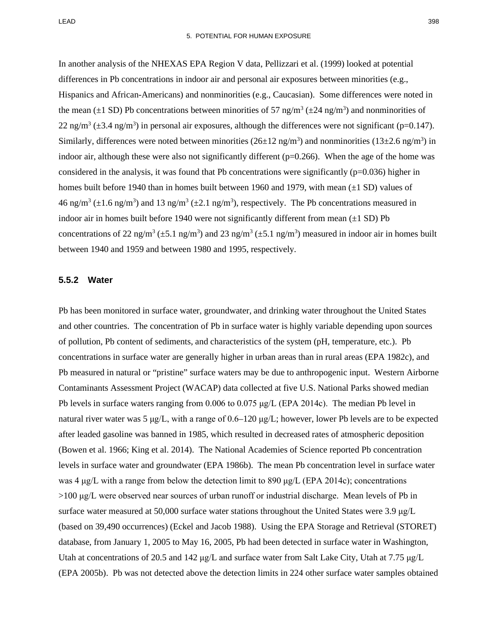In another analysis of the NHEXAS EPA Region V data, Pellizzari et al. (1999) looked at potential differences in Pb concentrations in indoor air and personal air exposures between minorities (e.g., Hispanics and African-Americans) and nonminorities (e.g., Caucasian). Some differences were noted in the mean ( $\pm 1$  SD) Pb concentrations between minorities of 57 ng/m<sup>3</sup> ( $\pm 24$  ng/m<sup>3</sup>) and nonminorities of 22 ng/m<sup>3</sup> ( $\pm$ 3.4 ng/m<sup>3</sup>) in personal air exposures, although the differences were not significant (p=0.147). Similarly, differences were noted between minorities  $(26\pm 12 \text{ ng/m}^3)$  and nonminorities  $(13\pm 2.6 \text{ ng/m}^3)$  in indoor air, although these were also not significantly different  $(p=0.266)$ . When the age of the home was considered in the analysis, it was found that Pb concentrations were significantly  $(p=0.036)$  higher in homes built before 1940 than in homes built between 1960 and 1979, with mean  $(\pm 1 \text{ SD})$  values of 46 ng/m<sup>3</sup> ( $\pm$ 1.6 ng/m<sup>3</sup>) and 13 ng/m<sup>3</sup> ( $\pm$ 2.1 ng/m<sup>3</sup>), respectively. The Pb concentrations measured in indoor air in homes built before 1940 were not significantly different from mean  $(\pm 1 \text{ SD})$  Pb concentrations of 22 ng/m<sup>3</sup> ( $\pm$ 5.1 ng/m<sup>3</sup>) and 23 ng/m<sup>3</sup> ( $\pm$ 5.1 ng/m<sup>3</sup>) measured in indoor air in homes built between 1940 and 1959 and between 1980 and 1995, respectively.

#### **5.5.2 Water**

Pb has been monitored in surface water, groundwater, and drinking water throughout the United States and other countries. The concentration of Pb in surface water is highly variable depending upon sources of pollution, Pb content of sediments, and characteristics of the system (pH, temperature, etc.). Pb concentrations in surface water are generally higher in urban areas than in rural areas (EPA 1982c), and Pb measured in natural or "pristine" surface waters may be due to anthropogenic input. Western Airborne Contaminants Assessment Project (WACAP) data collected at five U.S. National Parks showed median Pb levels in surface waters ranging from 0.006 to 0.075 μg/L (EPA 2014c). The median Pb level in natural river water was 5 μg/L, with a range of 0.6–120 μg/L; however, lower Pb levels are to be expected after leaded gasoline was banned in 1985, which resulted in decreased rates of atmospheric deposition (Bowen et al. 1966; King et al. 2014). The National Academies of Science reported Pb concentration levels in surface water and groundwater (EPA 1986b). The mean Pb concentration level in surface water was 4 μg/L with a range from below the detection limit to 890 μg/L (EPA 2014c); concentrations >100 μg/L were observed near sources of urban runoff or industrial discharge. Mean levels of Pb in surface water measured at 50,000 surface water stations throughout the United States were 3.9 μg/L (based on 39,490 occurrences) (Eckel and Jacob 1988). Using the EPA Storage and Retrieval (STORET) database, from January 1, 2005 to May 16, 2005, Pb had been detected in surface water in Washington, Utah at concentrations of 20.5 and 142 μg/L and surface water from Salt Lake City, Utah at 7.75 μg/L (EPA 2005b). Pb was not detected above the detection limits in 224 other surface water samples obtained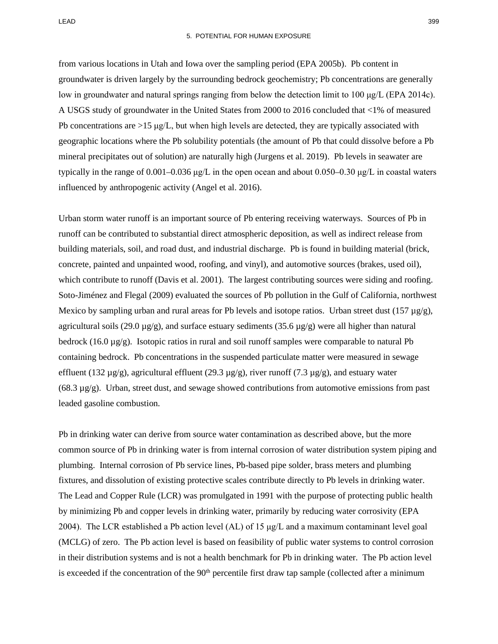from various locations in Utah and Iowa over the sampling period (EPA 2005b). Pb content in groundwater is driven largely by the surrounding bedrock geochemistry; Pb concentrations are generally low in groundwater and natural springs ranging from below the detection limit to 100 μg/L (EPA 2014c). A USGS study of groundwater in the United States from 2000 to 2016 concluded that <1% of measured Pb concentrations are  $>15 \mu g/L$ , but when high levels are detected, they are typically associated with geographic locations where the Pb solubility potentials (the amount of Pb that could dissolve before a Pb mineral precipitates out of solution) are naturally high (Jurgens et al. 2019). Pb levels in seawater are typically in the range of 0.001–0.036 μg/L in the open ocean and about 0.050–0.30 μg/L in coastal waters influenced by anthropogenic activity (Angel et al. 2016).

Urban storm water runoff is an important source of Pb entering receiving waterways. Sources of Pb in runoff can be contributed to substantial direct atmospheric deposition, as well as indirect release from building materials, soil, and road dust, and industrial discharge. Pb is found in building material (brick, concrete, painted and unpainted wood, roofing, and vinyl), and automotive sources (brakes, used oil), which contribute to runoff (Davis et al. 2001). The largest contributing sources were siding and roofing. Soto-Jiménez and Flegal (2009) evaluated the sources of Pb pollution in the Gulf of California, northwest Mexico by sampling urban and rural areas for Pb levels and isotope ratios. Urban street dust (157  $\mu$ g/g), agricultural soils (29.0  $\mu$ g/g), and surface estuary sediments (35.6  $\mu$ g/g) were all higher than natural bedrock (16.0  $\mu$ g/g). Isotopic ratios in rural and soil runoff samples were comparable to natural Pb containing bedrock. Pb concentrations in the suspended particulate matter were measured in sewage effluent (132  $\mu$ g/g), agricultural effluent (29.3  $\mu$ g/g), river runoff (7.3  $\mu$ g/g), and estuary water  $(68.3 \mu g/g)$ . Urban, street dust, and sewage showed contributions from automotive emissions from past leaded gasoline combustion.

Pb in drinking water can derive from source water contamination as described above, but the more common source of Pb in drinking water is from internal corrosion of water distribution system piping and plumbing. Internal corrosion of Pb service lines, Pb-based pipe solder, brass meters and plumbing fixtures, and dissolution of existing protective scales contribute directly to Pb levels in drinking water. The Lead and Copper Rule (LCR) was promulgated in 1991 with the purpose of protecting public health by minimizing Pb and copper levels in drinking water, primarily by reducing water corrosivity (EPA 2004). The LCR established a Pb action level (AL) of 15  $\mu$ g/L and a maximum contaminant level goal (MCLG) of zero. The Pb action level is based on feasibility of public water systems to control corrosion in their distribution systems and is not a health benchmark for Pb in drinking water. The Pb action level is exceeded if the concentration of the  $90<sup>th</sup>$  percentile first draw tap sample (collected after a minimum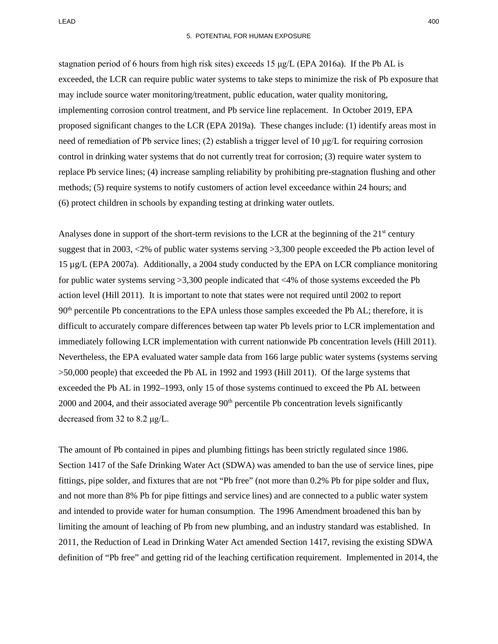stagnation period of 6 hours from high risk sites) exceeds 15  $\mu g/L$  (EPA 2016a). If the Pb AL is exceeded, the LCR can require public water systems to take steps to minimize the risk of Pb exposure that may include source water monitoring/treatment, public education, water quality monitoring, implementing corrosion control treatment, and Pb service line replacement. In October 2019, EPA proposed significant changes to the LCR (EPA 2019a). These changes include: (1) identify areas most in need of remediation of Pb service lines; (2) establish a trigger level of 10  $\mu g/L$  for requiring corrosion control in drinking water systems that do not currently treat for corrosion; (3) require water system to replace Pb service lines; (4) increase sampling reliability by prohibiting pre-stagnation flushing and other methods; (5) require systems to notify customers of action level exceedance within 24 hours; and (6) protect children in schools by expanding testing at drinking water outlets.

Analyses done in support of the short-term revisions to the LCR at the beginning of the  $21<sup>st</sup>$  century suggest that in 2003, <2% of public water systems serving >3,300 people exceeded the Pb action level of 15 µg/L (EPA 2007a). Additionally, a 2004 study conducted by the EPA on LCR compliance monitoring for public water systems serving  $>3,300$  people indicated that  $<4\%$  of those systems exceeded the Pb action level (Hill 2011). It is important to note that states were not required until 2002 to report 90<sup>th</sup> percentile Pb concentrations to the EPA unless those samples exceeded the Pb AL; therefore, it is difficult to accurately compare differences between tap water Pb levels prior to LCR implementation and immediately following LCR implementation with current nationwide Pb concentration levels (Hill 2011). Nevertheless, the EPA evaluated water sample data from 166 large public water systems (systems serving >50,000 people) that exceeded the Pb AL in 1992 and 1993 (Hill 2011). Of the large systems that exceeded the Pb AL in 1992–1993, only 15 of those systems continued to exceed the Pb AL between 2000 and 2004, and their associated average 90<sup>th</sup> percentile Pb concentration levels significantly decreased from 32 to 8.2 μg/L.

The amount of Pb contained in pipes and plumbing fittings has been strictly regulated since 1986. Section 1417 of the Safe Drinking Water Act (SDWA) was amended to ban the use of service lines, pipe fittings, pipe solder, and fixtures that are not "Pb free" (not more than 0.2% Pb for pipe solder and flux, and not more than 8% Pb for pipe fittings and service lines) and are connected to a public water system and intended to provide water for human consumption. The 1996 Amendment broadened this ban by limiting the amount of leaching of Pb from new plumbing, and an industry standard was established. In 2011, the Reduction of Lead in Drinking Water Act amended Section 1417, revising the existing SDWA definition of "Pb free" and getting rid of the leaching certification requirement. Implemented in 2014, the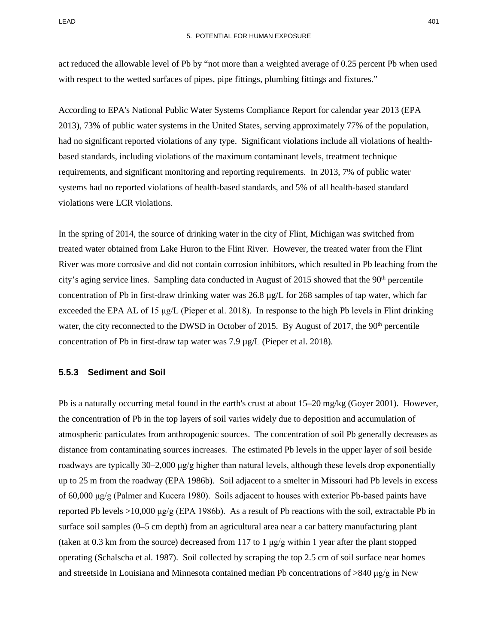act reduced the allowable level of Pb by "not more than a weighted average of 0.25 percent Pb when used with respect to the wetted surfaces of pipes, pipe fittings, plumbing fittings and fixtures."

According to EPA's National Public Water Systems Compliance Report for calendar year 2013 (EPA 2013), 73% of public water systems in the United States, serving approximately 77% of the population, had no significant reported violations of any type. Significant violations include all violations of healthbased standards, including violations of the maximum contaminant levels, treatment technique requirements, and significant monitoring and reporting requirements. In 2013, 7% of public water systems had no reported violations of health-based standards, and 5% of all health-based standard violations were LCR violations.

In the spring of 2014, the source of drinking water in the city of Flint, Michigan was switched from treated water obtained from Lake Huron to the Flint River. However, the treated water from the Flint River was more corrosive and did not contain corrosion inhibitors, which resulted in Pb leaching from the city's aging service lines. Sampling data conducted in August of 2015 showed that the 90<sup>th</sup> percentile concentration of Pb in first-draw drinking water was 26.8 µg/L for 268 samples of tap water, which far exceeded the EPA AL of 15 μg/L (Pieper et al. 2018). In response to the high Pb levels in Flint drinking water, the city reconnected to the DWSD in October of 2015. By August of 2017, the 90<sup>th</sup> percentile concentration of Pb in first-draw tap water was 7.9 µg/L (Pieper et al. 2018).

#### **5.5.3 Sediment and Soil**

Pb is a naturally occurring metal found in the earth's crust at about 15–20 mg/kg (Goyer 2001). However, the concentration of Pb in the top layers of soil varies widely due to deposition and accumulation of atmospheric particulates from anthropogenic sources. The concentration of soil Pb generally decreases as distance from contaminating sources increases. The estimated Pb levels in the upper layer of soil beside roadways are typically 30–2,000 μg/g higher than natural levels, although these levels drop exponentially up to 25 m from the roadway (EPA 1986b). Soil adjacent to a smelter in Missouri had Pb levels in excess of 60,000 μg/g (Palmer and Kucera 1980). Soils adjacent to houses with exterior Pb-based paints have reported Pb levels >10,000  $\mu$ g/g (EPA 1986b). As a result of Pb reactions with the soil, extractable Pb in surface soil samples (0–5 cm depth) from an agricultural area near a car battery manufacturing plant (taken at 0.3 km from the source) decreased from 117 to 1  $\mu$ g/g within 1 year after the plant stopped operating (Schalscha et al. 1987). Soil collected by scraping the top 2.5 cm of soil surface near homes and streetside in Louisiana and Minnesota contained median Pb concentrations of  $>840 \mu g/g$  in New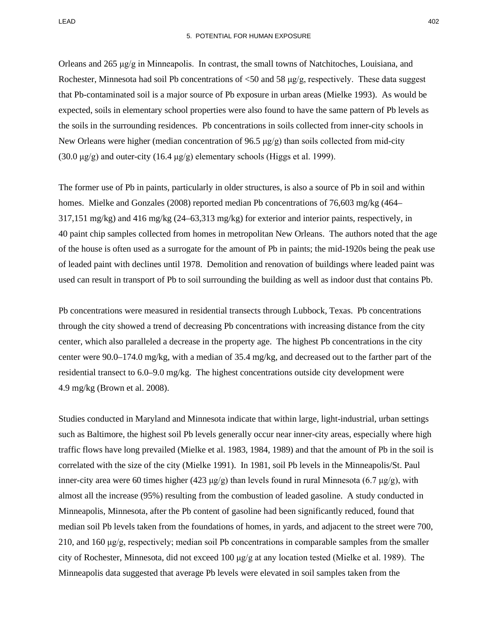LEAD 402

Orleans and 265 μg/g in Minneapolis. In contrast, the small towns of Natchitoches, Louisiana, and Rochester, Minnesota had soil Pb concentrations of <50 and 58 μg/g, respectively. These data suggest that Pb-contaminated soil is a major source of Pb exposure in urban areas (Mielke 1993). As would be expected, soils in elementary school properties were also found to have the same pattern of Pb levels as the soils in the surrounding residences. Pb concentrations in soils collected from inner-city schools in New Orleans were higher (median concentration of 96.5  $\mu$ g/g) than soils collected from mid-city (30.0  $\mu$ g/g) and outer-city (16.4  $\mu$ g/g) elementary schools (Higgs et al. 1999).

The former use of Pb in paints, particularly in older structures, is also a source of Pb in soil and within homes. Mielke and Gonzales (2008) reported median Pb concentrations of 76,603 mg/kg (464– 317,151 mg/kg) and 416 mg/kg (24–63,313 mg/kg) for exterior and interior paints, respectively, in 40 paint chip samples collected from homes in metropolitan New Orleans. The authors noted that the age of the house is often used as a surrogate for the amount of Pb in paints; the mid-1920s being the peak use of leaded paint with declines until 1978. Demolition and renovation of buildings where leaded paint was used can result in transport of Pb to soil surrounding the building as well as indoor dust that contains Pb.

Pb concentrations were measured in residential transects through Lubbock, Texas. Pb concentrations through the city showed a trend of decreasing Pb concentrations with increasing distance from the city center, which also paralleled a decrease in the property age. The highest Pb concentrations in the city center were 90.0–174.0 mg/kg, with a median of 35.4 mg/kg, and decreased out to the farther part of the residential transect to 6.0–9.0 mg/kg. The highest concentrations outside city development were 4.9 mg/kg (Brown et al. 2008).

Studies conducted in Maryland and Minnesota indicate that within large, light-industrial, urban settings such as Baltimore, the highest soil Pb levels generally occur near inner-city areas, especially where high traffic flows have long prevailed (Mielke et al. 1983, 1984, 1989) and that the amount of Pb in the soil is correlated with the size of the city (Mielke 1991). In 1981, soil Pb levels in the Minneapolis/St. Paul inner-city area were 60 times higher (423 μg/g) than levels found in rural Minnesota (6.7 μg/g), with almost all the increase (95%) resulting from the combustion of leaded gasoline. A study conducted in Minneapolis, Minnesota, after the Pb content of gasoline had been significantly reduced, found that median soil Pb levels taken from the foundations of homes, in yards, and adjacent to the street were 700, 210, and 160 μg/g, respectively; median soil Pb concentrations in comparable samples from the smaller city of Rochester, Minnesota, did not exceed 100 μg/g at any location tested (Mielke et al. 1989). The Minneapolis data suggested that average Pb levels were elevated in soil samples taken from the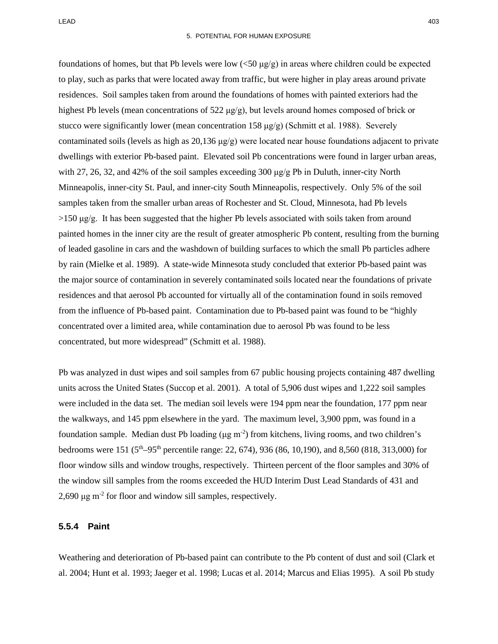foundations of homes, but that Pb levels were low  $\left(\langle 50 \right| \frac{\mu}{g} \right)$  in areas where children could be expected to play, such as parks that were located away from traffic, but were higher in play areas around private residences. Soil samples taken from around the foundations of homes with painted exteriors had the highest Pb levels (mean concentrations of 522 μg/g), but levels around homes composed of brick or stucco were significantly lower (mean concentration  $158 \mu g/g$ ) (Schmitt et al. 1988). Severely contaminated soils (levels as high as  $20,136 \mu g/g$ ) were located near house foundations adjacent to private dwellings with exterior Pb-based paint. Elevated soil Pb concentrations were found in larger urban areas, with 27, 26, 32, and 42% of the soil samples exceeding 300  $\mu$ g/g Pb in Duluth, inner-city North Minneapolis, inner-city St. Paul, and inner-city South Minneapolis, respectively. Only 5% of the soil samples taken from the smaller urban areas of Rochester and St. Cloud, Minnesota, had Pb levels  $>150 \mu g/g$ . It has been suggested that the higher Pb levels associated with soils taken from around painted homes in the inner city are the result of greater atmospheric Pb content, resulting from the burning of leaded gasoline in cars and the washdown of building surfaces to which the small Pb particles adhere by rain (Mielke et al. 1989). A state-wide Minnesota study concluded that exterior Pb-based paint was the major source of contamination in severely contaminated soils located near the foundations of private residences and that aerosol Pb accounted for virtually all of the contamination found in soils removed from the influence of Pb-based paint. Contamination due to Pb-based paint was found to be "highly concentrated over a limited area, while contamination due to aerosol Pb was found to be less concentrated, but more widespread" (Schmitt et al. 1988).

Pb was analyzed in dust wipes and soil samples from 67 public housing projects containing 487 dwelling units across the United States (Succop et al. 2001). A total of 5,906 dust wipes and 1,222 soil samples were included in the data set. The median soil levels were 194 ppm near the foundation, 177 ppm near the walkways, and 145 ppm elsewhere in the yard. The maximum level, 3,900 ppm, was found in a foundation sample. Median dust Pb loading  $(\mu g m^{-2})$  from kitchens, living rooms, and two children's bedrooms were 151 (5<sup>th</sup>–95<sup>th</sup> percentile range: 22, 674), 936 (86, 10,190), and 8,560 (818, 313,000) for floor window sills and window troughs, respectively. Thirteen percent of the floor samples and 30% of the window sill samples from the rooms exceeded the HUD Interim Dust Lead Standards of 431 and 2,690 μg m-2 for floor and window sill samples, respectively.

#### **5.5.4 Paint**

Weathering and deterioration of Pb-based paint can contribute to the Pb content of dust and soil (Clark et al. 2004; Hunt et al. 1993; Jaeger et al. 1998; Lucas et al. 2014; Marcus and Elias 1995). A soil Pb study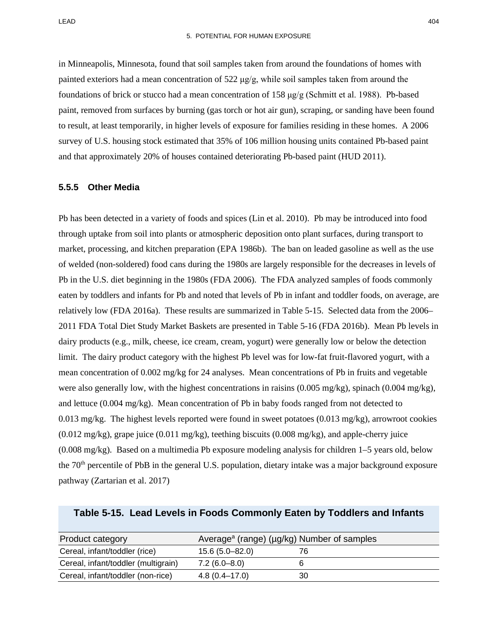in Minneapolis, Minnesota, found that soil samples taken from around the foundations of homes with painted exteriors had a mean concentration of  $522 \mu g/g$ , while soil samples taken from around the foundations of brick or stucco had a mean concentration of 158 μg/g (Schmitt et al. 1988). Pb-based paint, removed from surfaces by burning (gas torch or hot air gun), scraping, or sanding have been found to result, at least temporarily, in higher levels of exposure for families residing in these homes. A 2006 survey of U.S. housing stock estimated that 35% of 106 million housing units contained Pb-based paint and that approximately 20% of houses contained deteriorating Pb-based paint (HUD 2011).

#### **5.5.5 Other Media**

Pb has been detected in a variety of foods and spices (Lin et al. 2010). Pb may be introduced into food through uptake from soil into plants or atmospheric deposition onto plant surfaces, during transport to market, processing, and kitchen preparation (EPA 1986b). The ban on leaded gasoline as well as the use of welded (non-soldered) food cans during the 1980s are largely responsible for the decreases in levels of Pb in the U.S. diet beginning in the 1980s (FDA 2006). The FDA analyzed samples of foods commonly eaten by toddlers and infants for Pb and noted that levels of Pb in infant and toddler foods, on average, are relatively low (FDA 2016a). These results are summarized in [Table 5-15.](#page-49-0) Selected data from the 2006– 2011 FDA Total Diet Study Market Baskets are presented in [Table 5-16](#page-50-0) (FDA 2016b). Mean Pb levels in dairy products (e.g., milk, cheese, ice cream, cream, yogurt) were generally low or below the detection limit. The dairy product category with the highest Pb level was for low-fat fruit-flavored yogurt, with a mean concentration of 0.002 mg/kg for 24 analyses. Mean concentrations of Pb in fruits and vegetable were also generally low, with the highest concentrations in raisins (0.005 mg/kg), spinach (0.004 mg/kg), and lettuce (0.004 mg/kg). Mean concentration of Pb in baby foods ranged from not detected to 0.013 mg/kg. The highest levels reported were found in sweet potatoes (0.013 mg/kg), arrowroot cookies  $(0.012 \text{ mg/kg})$ , grape juice  $(0.011 \text{ mg/kg})$ , teething biscuits  $(0.008 \text{ mg/kg})$ , and apple-cherry juice (0.008 mg/kg). Based on a multimedia Pb exposure modeling analysis for children 1–5 years old, below the 70<sup>th</sup> percentile of PbB in the general U.S. population, dietary intake was a major background exposure pathway (Zartarian et al. 2017)

| Product category                    | Average <sup>a</sup> (range) (μg/kg) Number of samples |    |
|-------------------------------------|--------------------------------------------------------|----|
| Cereal, infant/toddler (rice)       | $15.6(5.0 - 82.0)$                                     | 76 |
| Cereal, infant/toddler (multigrain) | $7.2(6.0 - 8.0)$                                       |    |
| Cereal, infant/toddler (non-rice)   | $4.8(0.4 - 17.0)$                                      | 30 |

#### <span id="page-49-0"></span>**Table 5-15. Lead Levels in Foods Commonly Eaten by Toddlers and Infants**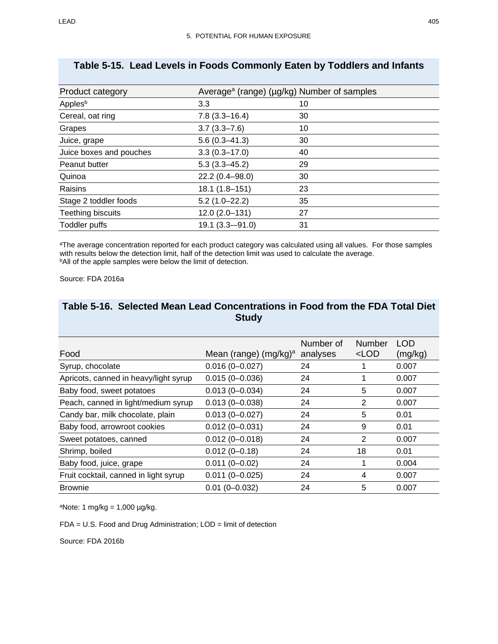| Product category        | Average <sup>a</sup> (range) (µg/kg) Number of samples |    |
|-------------------------|--------------------------------------------------------|----|
| Apples <sup>b</sup>     | 3.3                                                    | 10 |
| Cereal, oat ring        | $7.8(3.3 - 16.4)$                                      | 30 |
| Grapes                  | $3.7(3.3 - 7.6)$                                       | 10 |
| Juice, grape            | $5.6(0.3 - 41.3)$                                      | 30 |
| Juice boxes and pouches | $3.3(0.3 - 17.0)$                                      | 40 |
| Peanut butter           | $5.3(3.3 - 45.2)$                                      | 29 |
| Quinoa                  | 22.2 (0.4-98.0)                                        | 30 |
| Raisins                 | 18.1 (1.8-151)                                         | 23 |
| Stage 2 toddler foods   | $5.2(1.0 - 22.2)$                                      | 35 |
| Teething biscuits       | $12.0(2.0-131)$                                        | 27 |
| <b>Toddler puffs</b>    | $19.1(3.3 - 91.0)$                                     | 31 |

## **Table 5-15. Lead Levels in Foods Commonly Eaten by Toddlers and Infants**

aThe average concentration reported for each product category was calculated using all values. For those samples with results below the detection limit, half of the detection limit was used to calculate the average. bAll of the apple samples were below the limit of detection.

Source: FDA 2016a

| Food                                  | Mean (range) $(mg/kg)^a$ | Number of<br>analyses | Number<br>$<$ LOD | <b>LOD</b><br>(mg/kg) |
|---------------------------------------|--------------------------|-----------------------|-------------------|-----------------------|
| Syrup, chocolate                      | $0.016(0 - 0.027)$       | 24                    |                   | 0.007                 |
| Apricots, canned in heavy/light syrup | $0.015(0 - 0.036)$       | 24                    |                   | 0.007                 |
| Baby food, sweet potatoes             | $0.013(0 - 0.034)$       | 24                    | 5                 | 0.007                 |
| Peach, canned in light/medium syrup   | $0.013(0 - 0.038)$       | 24                    | 2                 | 0.007                 |
| Candy bar, milk chocolate, plain      | $0.013(0 - 0.027)$       | 24                    | 5                 | 0.01                  |
| Baby food, arrowroot cookies          | $0.012(0 - 0.031)$       | 24                    | 9                 | 0.01                  |
| Sweet potatoes, canned                | $0.012(0 - 0.018)$       | 24                    | 2                 | 0.007                 |
| Shrimp, boiled                        | $0.012(0 - 0.18)$        | 24                    | 18                | 0.01                  |
| Baby food, juice, grape               | $0.011(0 - 0.02)$        | 24                    |                   | 0.004                 |
| Fruit cocktail, canned in light syrup | $0.011(0 - 0.025)$       | 24                    | 4                 | 0.007                 |
| <b>Brownie</b>                        | $0.01(0 - 0.032)$        | 24                    | 5                 | 0.007                 |

## <span id="page-50-0"></span>**Table 5-16. Selected Mean Lead Concentrations in Food from the FDA Total Diet Study**

 $a$ Note: 1 mg/kg = 1,000 µg/kg.

FDA = U.S. Food and Drug Administration; LOD = limit of detection

Source: FDA 2016b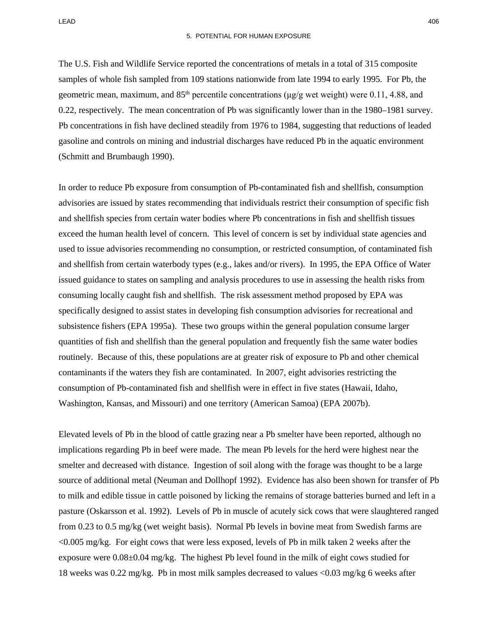The U.S. Fish and Wildlife Service reported the concentrations of metals in a total of 315 composite samples of whole fish sampled from 109 stations nationwide from late 1994 to early 1995. For Pb, the geometric mean, maximum, and  $85<sup>th</sup>$  percentile concentrations ( $\mu$ g/g wet weight) were 0.11, 4.88, and 0.22, respectively. The mean concentration of Pb was significantly lower than in the 1980–1981 survey. Pb concentrations in fish have declined steadily from 1976 to 1984, suggesting that reductions of leaded gasoline and controls on mining and industrial discharges have reduced Pb in the aquatic environment (Schmitt and Brumbaugh 1990).

In order to reduce Pb exposure from consumption of Pb-contaminated fish and shellfish, consumption advisories are issued by states recommending that individuals restrict their consumption of specific fish and shellfish species from certain water bodies where Pb concentrations in fish and shellfish tissues exceed the human health level of concern. This level of concern is set by individual state agencies and used to issue advisories recommending no consumption, or restricted consumption, of contaminated fish and shellfish from certain waterbody types (e.g., lakes and/or rivers). In 1995, the EPA Office of Water issued guidance to states on sampling and analysis procedures to use in assessing the health risks from consuming locally caught fish and shellfish. The risk assessment method proposed by EPA was specifically designed to assist states in developing fish consumption advisories for recreational and subsistence fishers (EPA 1995a). These two groups within the general population consume larger quantities of fish and shellfish than the general population and frequently fish the same water bodies routinely. Because of this, these populations are at greater risk of exposure to Pb and other chemical contaminants if the waters they fish are contaminated. In 2007, eight advisories restricting the consumption of Pb-contaminated fish and shellfish were in effect in five states (Hawaii, Idaho, Washington, Kansas, and Missouri) and one territory (American Samoa) (EPA 2007b).

Elevated levels of Pb in the blood of cattle grazing near a Pb smelter have been reported, although no implications regarding Pb in beef were made. The mean Pb levels for the herd were highest near the smelter and decreased with distance. Ingestion of soil along with the forage was thought to be a large source of additional metal (Neuman and Dollhopf 1992). Evidence has also been shown for transfer of Pb to milk and edible tissue in cattle poisoned by licking the remains of storage batteries burned and left in a pasture (Oskarsson et al. 1992). Levels of Pb in muscle of acutely sick cows that were slaughtered ranged from 0.23 to 0.5 mg/kg (wet weight basis). Normal Pb levels in bovine meat from Swedish farms are <0.005 mg/kg. For eight cows that were less exposed, levels of Pb in milk taken 2 weeks after the exposure were 0.08±0.04 mg/kg. The highest Pb level found in the milk of eight cows studied for 18 weeks was 0.22 mg/kg. Pb in most milk samples decreased to values <0.03 mg/kg 6 weeks after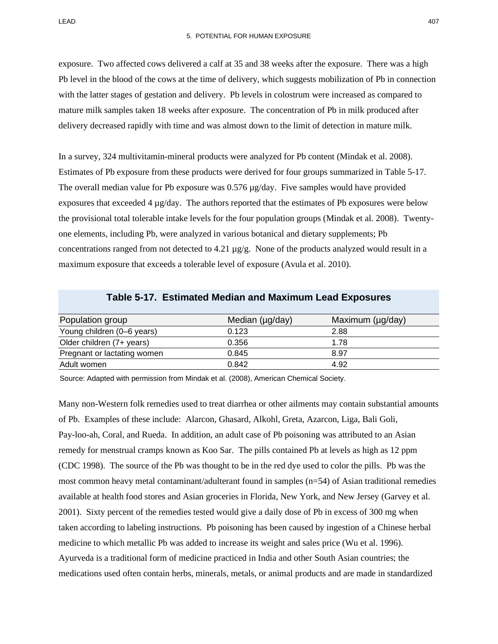exposure. Two affected cows delivered a calf at 35 and 38 weeks after the exposure. There was a high Pb level in the blood of the cows at the time of delivery, which suggests mobilization of Pb in connection with the latter stages of gestation and delivery. Pb levels in colostrum were increased as compared to mature milk samples taken 18 weeks after exposure. The concentration of Pb in milk produced after delivery decreased rapidly with time and was almost down to the limit of detection in mature milk.

In a survey, 324 multivitamin-mineral products were analyzed for Pb content (Mindak et al. 2008). Estimates of Pb exposure from these products were derived for four groups summarized in [Table 5-17.](#page-52-0) The overall median value for Pb exposure was  $0.576 \mu g/day$ . Five samples would have provided exposures that exceeded  $4 \mu g/day$ . The authors reported that the estimates of Pb exposures were below the provisional total tolerable intake levels for the four population groups (Mindak et al. 2008). Twentyone elements, including Pb, were analyzed in various botanical and dietary supplements; Pb concentrations ranged from not detected to 4.21 µg/g. None of the products analyzed would result in a maximum exposure that exceeds a tolerable level of exposure (Avula et al. 2010).

<span id="page-52-0"></span>

| Population group            | Median (µg/day) | Maximum (µg/day) |
|-----------------------------|-----------------|------------------|
| Young children (0-6 years)  | 0.123           | 2.88             |
| Older children (7+ years)   | 0.356           | 1.78             |
| Pregnant or lactating women | 0.845           | 8.97             |
| Adult women                 | 0.842           | 4.92             |

#### **Table 5-17. Estimated Median and Maximum Lead Exposures**

Source: Adapted with permission from Mindak et al. (2008), American Chemical Society.

Many non-Western folk remedies used to treat diarrhea or other ailments may contain substantial amounts of Pb. Examples of these include: Alarcon, Ghasard, Alkohl, Greta, Azarcon, Liga, Bali Goli, Pay-loo-ah, Coral, and Rueda. In addition, an adult case of Pb poisoning was attributed to an Asian remedy for menstrual cramps known as Koo Sar. The pills contained Pb at levels as high as 12 ppm (CDC 1998). The source of the Pb was thought to be in the red dye used to color the pills. Pb was the most common heavy metal contaminant/adulterant found in samples (n=54) of Asian traditional remedies available at health food stores and Asian groceries in Florida, New York, and New Jersey (Garvey et al. 2001). Sixty percent of the remedies tested would give a daily dose of Pb in excess of 300 mg when taken according to labeling instructions. Pb poisoning has been caused by ingestion of a Chinese herbal medicine to which metallic Pb was added to increase its weight and sales price (Wu et al. 1996). Ayurveda is a traditional form of medicine practiced in India and other South Asian countries; the medications used often contain herbs, minerals, metals, or animal products and are made in standardized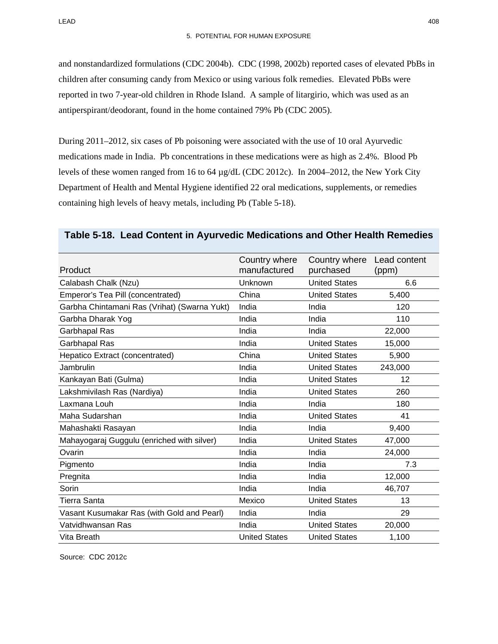and nonstandardized formulations (CDC 2004b). CDC (1998, 2002b) reported cases of elevated PbBs in children after consuming candy from Mexico or using various folk remedies. Elevated PbBs were reported in two 7-year-old children in Rhode Island. A sample of litargirio, which was used as an antiperspirant/deodorant, found in the home contained 79% Pb (CDC 2005).

During 2011–2012, six cases of Pb poisoning were associated with the use of 10 oral Ayurvedic medications made in India. Pb concentrations in these medications were as high as 2.4%. Blood Pb levels of these women ranged from 16 to 64 µg/dL (CDC 2012c). In 2004–2012, the New York City Department of Health and Mental Hygiene identified 22 oral medications, supplements, or remedies containing high levels of heavy metals, including Pb [\(Table 5-18\)](#page-53-0).

| Product                                      | Country where<br>manufactured | Country where<br>purchased | Lead content<br>(ppm) |
|----------------------------------------------|-------------------------------|----------------------------|-----------------------|
| Calabash Chalk (Nzu)                         | Unknown                       | <b>United States</b>       | 6.6                   |
| Emperor's Tea Pill (concentrated)            | China                         | <b>United States</b>       | 5,400                 |
| Garbha Chintamani Ras (Vrihat) (Swarna Yukt) | India                         | India                      | 120                   |
| Garbha Dharak Yog                            | India                         | India                      | 110                   |
| Garbhapal Ras                                | India                         | India                      | 22,000                |
| Garbhapal Ras                                | India                         | <b>United States</b>       | 15,000                |
| Hepatico Extract (concentrated)              | China                         | <b>United States</b>       | 5,900                 |
| Jambrulin                                    | India                         | <b>United States</b>       | 243,000               |
| Kankayan Bati (Gulma)                        | India                         | <b>United States</b>       | 12                    |
| Lakshmivilash Ras (Nardiya)                  | India                         | <b>United States</b>       | 260                   |
| Laxmana Louh                                 | India                         | India                      | 180                   |
| Maha Sudarshan                               | India                         | <b>United States</b>       | 41                    |
| Mahashakti Rasayan                           | India                         | India                      | 9,400                 |
| Mahayogaraj Guggulu (enriched with silver)   | India                         | <b>United States</b>       | 47,000                |
| Ovarin                                       | India                         | India                      | 24,000                |
| Pigmento                                     | India                         | India                      | 7.3                   |
| Pregnita                                     | India                         | India                      | 12,000                |
| Sorin                                        | India                         | India                      | 46,707                |
| <b>Tierra Santa</b>                          | Mexico                        | <b>United States</b>       | 13                    |
| Vasant Kusumakar Ras (with Gold and Pearl)   | India                         | India                      | 29                    |
| Vatvidhwansan Ras                            | India                         | <b>United States</b>       | 20,000                |
| Vita Breath                                  | <b>United States</b>          | <b>United States</b>       | 1,100                 |

#### <span id="page-53-0"></span>**Table 5-18. Lead Content in Ayurvedic Medications and Other Health Remedies**

Source: CDC 2012c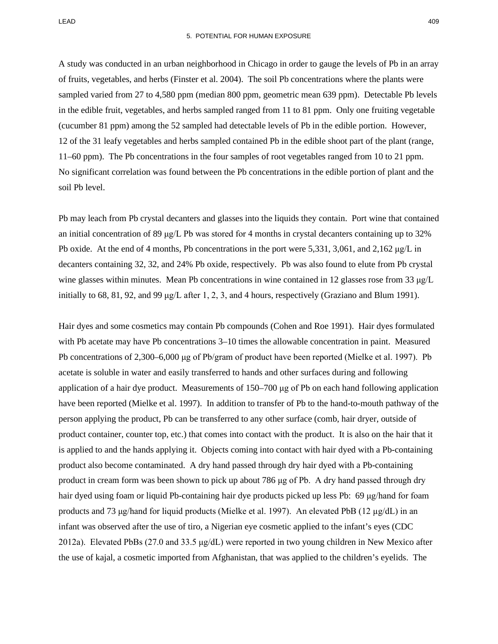LEAD 409

A study was conducted in an urban neighborhood in Chicago in order to gauge the levels of Pb in an array of fruits, vegetables, and herbs (Finster et al. 2004). The soil Pb concentrations where the plants were sampled varied from 27 to 4,580 ppm (median 800 ppm, geometric mean 639 ppm). Detectable Pb levels in the edible fruit, vegetables, and herbs sampled ranged from 11 to 81 ppm. Only one fruiting vegetable (cucumber 81 ppm) among the 52 sampled had detectable levels of Pb in the edible portion. However, 12 of the 31 leafy vegetables and herbs sampled contained Pb in the edible shoot part of the plant (range, 11–60 ppm). The Pb concentrations in the four samples of root vegetables ranged from 10 to 21 ppm. No significant correlation was found between the Pb concentrations in the edible portion of plant and the soil Pb level.

Pb may leach from Pb crystal decanters and glasses into the liquids they contain. Port wine that contained an initial concentration of 89 μg/L Pb was stored for 4 months in crystal decanters containing up to 32% Pb oxide. At the end of 4 months, Pb concentrations in the port were 5,331, 3,061, and 2,162 μg/L in decanters containing 32, 32, and 24% Pb oxide, respectively. Pb was also found to elute from Pb crystal wine glasses within minutes. Mean Pb concentrations in wine contained in 12 glasses rose from 33 μg/L initially to 68, 81, 92, and 99 μg/L after 1, 2, 3, and 4 hours, respectively (Graziano and Blum 1991).

Hair dyes and some cosmetics may contain Pb compounds (Cohen and Roe 1991). Hair dyes formulated with Pb acetate may have Pb concentrations  $3-10$  times the allowable concentration in paint. Measured Pb concentrations of 2,300–6,000 μg of Pb/gram of product have been reported (Mielke et al. 1997). Pb acetate is soluble in water and easily transferred to hands and other surfaces during and following application of a hair dye product. Measurements of 150–700 μg of Pb on each hand following application have been reported (Mielke et al. 1997). In addition to transfer of Pb to the hand-to-mouth pathway of the person applying the product, Pb can be transferred to any other surface (comb, hair dryer, outside of product container, counter top, etc.) that comes into contact with the product. It is also on the hair that it is applied to and the hands applying it. Objects coming into contact with hair dyed with a Pb-containing product also become contaminated. A dry hand passed through dry hair dyed with a Pb-containing product in cream form was been shown to pick up about 786 μg of Pb. A dry hand passed through dry hair dyed using foam or liquid Pb-containing hair dye products picked up less Pb: 69 μg/hand for foam products and 73 μg/hand for liquid products (Mielke et al. 1997). An elevated PbB (12 µg/dL) in an infant was observed after the use of tiro, a Nigerian eye cosmetic applied to the infant's eyes (CDC 2012a). Elevated PbBs (27.0 and 33.5 μg/dL) were reported in two young children in New Mexico after the use of kajal, a cosmetic imported from Afghanistan, that was applied to the children's eyelids. The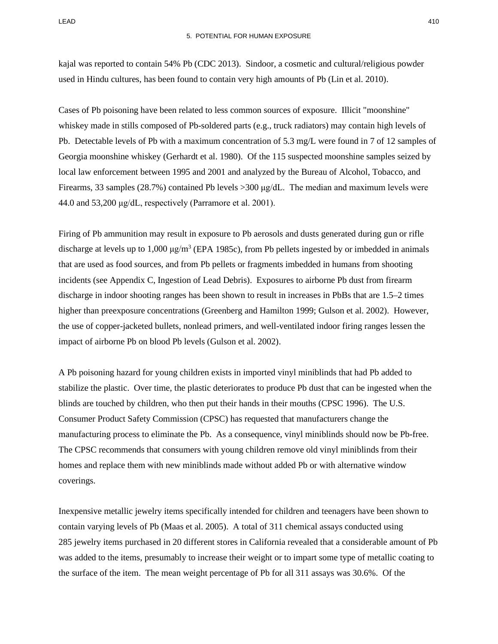kajal was reported to contain 54% Pb (CDC 2013). Sindoor, a cosmetic and cultural/religious powder used in Hindu cultures, has been found to contain very high amounts of Pb (Lin et al. 2010).

Cases of Pb poisoning have been related to less common sources of exposure. Illicit "moonshine" whiskey made in stills composed of Pb-soldered parts (e.g., truck radiators) may contain high levels of Pb. Detectable levels of Pb with a maximum concentration of 5.3 mg/L were found in 7 of 12 samples of Georgia moonshine whiskey (Gerhardt et al. 1980). Of the 115 suspected moonshine samples seized by local law enforcement between 1995 and 2001 and analyzed by the Bureau of Alcohol, Tobacco, and Firearms, 33 samples (28.7%) contained Pb levels >300 μg/dL. The median and maximum levels were 44.0 and 53,200 μg/dL, respectively (Parramore et al. 2001).

Firing of Pb ammunition may result in exposure to Pb aerosols and dusts generated during gun or rifle discharge at levels up to  $1,000 \mu g/m^3$  (EPA 1985c), from Pb pellets ingested by or imbedded in animals that are used as food sources, and from Pb pellets or fragments imbedded in humans from shooting incidents (see Appendix C, Ingestion of Lead Debris). Exposures to airborne Pb dust from firearm discharge in indoor shooting ranges has been shown to result in increases in PbBs that are 1.5–2 times higher than preexposure concentrations (Greenberg and Hamilton 1999; Gulson et al. 2002). However, the use of copper-jacketed bullets, nonlead primers, and well-ventilated indoor firing ranges lessen the impact of airborne Pb on blood Pb levels (Gulson et al. 2002).

A Pb poisoning hazard for young children exists in imported vinyl miniblinds that had Pb added to stabilize the plastic. Over time, the plastic deteriorates to produce Pb dust that can be ingested when the blinds are touched by children, who then put their hands in their mouths (CPSC 1996). The U.S. Consumer Product Safety Commission (CPSC) has requested that manufacturers change the manufacturing process to eliminate the Pb. As a consequence, vinyl miniblinds should now be Pb-free. The CPSC recommends that consumers with young children remove old vinyl miniblinds from their homes and replace them with new miniblinds made without added Pb or with alternative window coverings.

Inexpensive metallic jewelry items specifically intended for children and teenagers have been shown to contain varying levels of Pb (Maas et al. 2005). A total of 311 chemical assays conducted using 285 jewelry items purchased in 20 different stores in California revealed that a considerable amount of Pb was added to the items, presumably to increase their weight or to impart some type of metallic coating to the surface of the item. The mean weight percentage of Pb for all 311 assays was 30.6%. Of the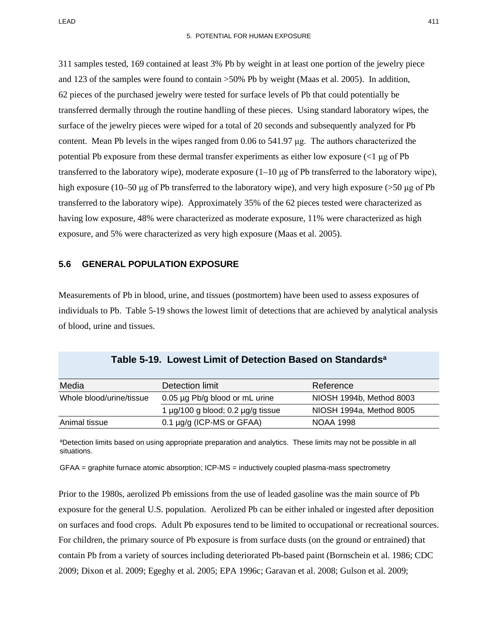311 samples tested, 169 contained at least 3% Pb by weight in at least one portion of the jewelry piece and 123 of the samples were found to contain >50% Pb by weight (Maas et al. 2005). In addition, 62 pieces of the purchased jewelry were tested for surface levels of Pb that could potentially be transferred dermally through the routine handling of these pieces. Using standard laboratory wipes, the surface of the jewelry pieces were wiped for a total of 20 seconds and subsequently analyzed for Pb content. Mean Pb levels in the wipes ranged from 0.06 to 541.97 μg. The authors characterized the potential Pb exposure from these dermal transfer experiments as either low exposure ( $\langle$ 1 μg of Pb transferred to the laboratory wipe), moderate exposure (1–10 μg of Pb transferred to the laboratory wipe), high exposure (10–50 μg of Pb transferred to the laboratory wipe), and very high exposure (>50 μg of Pb transferred to the laboratory wipe). Approximately 35% of the 62 pieces tested were characterized as having low exposure, 48% were characterized as moderate exposure, 11% were characterized as high exposure, and 5% were characterized as very high exposure (Maas et al. 2005).

#### **5.6 GENERAL POPULATION EXPOSURE**

Measurements of Pb in blood, urine, and tissues (postmortem) have been used to assess exposures of individuals to Pb. [Table 5-19](#page-56-0) shows the lowest limit of detections that are achieved by analytical analysis of blood, urine and tissues.

<span id="page-56-0"></span>

| Media                    | Detection limit                             | Reference                |
|--------------------------|---------------------------------------------|--------------------------|
| Whole blood/urine/tissue | 0.05 µg Pb/g blood or mL urine              | NIOSH 1994b, Method 8003 |
|                          | 1 $\mu$ g/100 g blood; 0.2 $\mu$ g/g tissue | NIOSH 1994a, Method 8005 |
| Animal tissue            | $0.1 \mu g/g$ (ICP-MS or GFAA)              | NOAA 1998                |

aDetection limits based on using appropriate preparation and analytics. These limits may not be possible in all situations.

GFAA = graphite furnace atomic absorption; ICP-MS = inductively coupled plasma-mass spectrometry

Prior to the 1980s, aerolized Pb emissions from the use of leaded gasoline was the main source of Pb exposure for the general U.S. population. Aerolized Pb can be either inhaled or ingested after deposition on surfaces and food crops. Adult Pb exposures tend to be limited to occupational or recreational sources. For children, the primary source of Pb exposure is from surface dusts (on the ground or entrained) that contain Pb from a variety of sources including deteriorated Pb-based paint (Bornschein et al. 1986; CDC 2009; Dixon et al. 2009; Egeghy et al. 2005; EPA 1996c; Garavan et al. 2008; Gulson et al. 2009;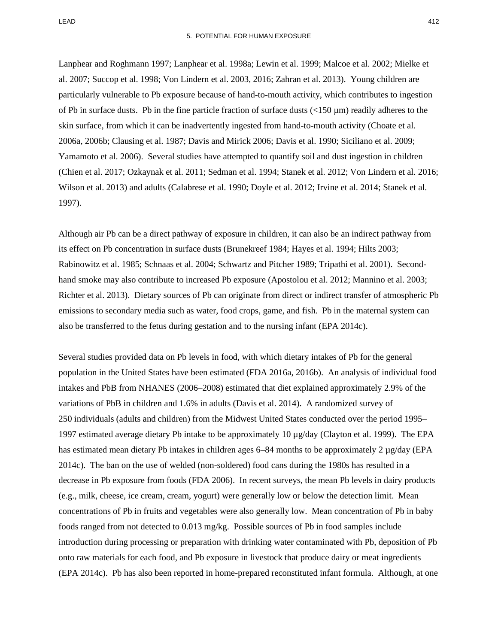LEAD 412

Lanphear and Roghmann 1997; Lanphear et al. 1998a; Lewin et al. 1999; Malcoe et al. 2002; Mielke et al. 2007; Succop et al. 1998; Von Lindern et al. 2003, 2016; Zahran et al. 2013). Young children are particularly vulnerable to Pb exposure because of hand-to-mouth activity, which contributes to ingestion of Pb in surface dusts. Pb in the fine particle fraction of surface dusts  $\left($ <150  $\mu$ m) readily adheres to the skin surface, from which it can be inadvertently ingested from hand-to-mouth activity (Choate et al. 2006a, 2006b; Clausing et al. 1987; Davis and Mirick 2006; Davis et al. 1990; Siciliano et al. 2009; Yamamoto et al. 2006). Several studies have attempted to quantify soil and dust ingestion in children (Chien et al. 2017; Ozkaynak et al. 2011; Sedman et al. 1994; Stanek et al. 2012; Von Lindern et al. 2016; Wilson et al. 2013) and adults (Calabrese et al. 1990; Doyle et al. 2012; Irvine et al. 2014; Stanek et al. 1997).

Although air Pb can be a direct pathway of exposure in children, it can also be an indirect pathway from its effect on Pb concentration in surface dusts (Brunekreef 1984; Hayes et al. 1994; Hilts 2003; Rabinowitz et al. 1985; Schnaas et al. 2004; Schwartz and Pitcher 1989; Tripathi et al. 2001). Secondhand smoke may also contribute to increased Pb exposure (Apostolou et al. 2012; Mannino et al. 2003; Richter et al. 2013). Dietary sources of Pb can originate from direct or indirect transfer of atmospheric Pb emissions to secondary media such as water, food crops, game, and fish. Pb in the maternal system can also be transferred to the fetus during gestation and to the nursing infant (EPA 2014c).

Several studies provided data on Pb levels in food, with which dietary intakes of Pb for the general population in the United States have been estimated (FDA 2016a, 2016b). An analysis of individual food intakes and PbB from NHANES (2006–2008) estimated that diet explained approximately 2.9% of the variations of PbB in children and 1.6% in adults (Davis et al. 2014). A randomized survey of 250 individuals (adults and children) from the Midwest United States conducted over the period 1995– 1997 estimated average dietary Pb intake to be approximately 10  $\mu$ g/day (Clayton et al. 1999). The EPA has estimated mean dietary Pb intakes in children ages 6–84 months to be approximately 2  $\mu$ g/day (EPA 2014c). The ban on the use of welded (non-soldered) food cans during the 1980s has resulted in a decrease in Pb exposure from foods (FDA 2006). In recent surveys, the mean Pb levels in dairy products (e.g., milk, cheese, ice cream, cream, yogurt) were generally low or below the detection limit. Mean concentrations of Pb in fruits and vegetables were also generally low. Mean concentration of Pb in baby foods ranged from not detected to 0.013 mg/kg. Possible sources of Pb in food samples include introduction during processing or preparation with drinking water contaminated with Pb, deposition of Pb onto raw materials for each food, and Pb exposure in livestock that produce dairy or meat ingredients (EPA 2014c). Pb has also been reported in home-prepared reconstituted infant formula. Although, at one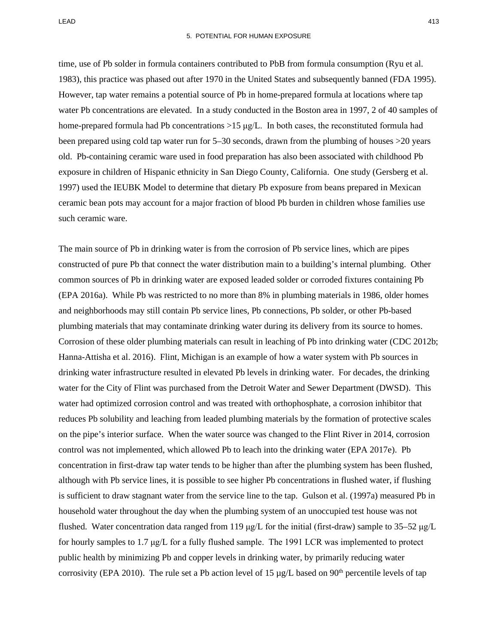time, use of Pb solder in formula containers contributed to PbB from formula consumption (Ryu et al. 1983), this practice was phased out after 1970 in the United States and subsequently banned (FDA 1995). However, tap water remains a potential source of Pb in home-prepared formula at locations where tap water Pb concentrations are elevated. In a study conducted in the Boston area in 1997, 2 of 40 samples of home-prepared formula had Pb concentrations  $>15 \mu g/L$ . In both cases, the reconstituted formula had been prepared using cold tap water run for 5–30 seconds, drawn from the plumbing of houses >20 years old. Pb-containing ceramic ware used in food preparation has also been associated with childhood Pb exposure in children of Hispanic ethnicity in San Diego County, California. One study (Gersberg et al. 1997) used the IEUBK Model to determine that dietary Pb exposure from beans prepared in Mexican ceramic bean pots may account for a major fraction of blood Pb burden in children whose families use such ceramic ware.

The main source of Pb in drinking water is from the corrosion of Pb service lines, which are pipes constructed of pure Pb that connect the water distribution main to a building's internal plumbing. Other common sources of Pb in drinking water are exposed leaded solder or corroded fixtures containing Pb (EPA 2016a). While Pb was restricted to no more than 8% in plumbing materials in 1986, older homes and neighborhoods may still contain Pb service lines, Pb connections, Pb solder, or other Pb-based plumbing materials that may contaminate drinking water during its delivery from its source to homes. Corrosion of these older plumbing materials can result in leaching of Pb into drinking water (CDC 2012b; Hanna-Attisha et al. 2016). Flint, Michigan is an example of how a water system with Pb sources in drinking water infrastructure resulted in elevated Pb levels in drinking water. For decades, the drinking water for the City of Flint was purchased from the Detroit Water and Sewer Department (DWSD). This water had optimized corrosion control and was treated with orthophosphate, a corrosion inhibitor that reduces Pb solubility and leaching from leaded plumbing materials by the formation of protective scales on the pipe's interior surface. When the water source was changed to the Flint River in 2014, corrosion control was not implemented, which allowed Pb to leach into the drinking water (EPA 2017e). Pb concentration in first-draw tap water tends to be higher than after the plumbing system has been flushed, although with Pb service lines, it is possible to see higher Pb concentrations in flushed water, if flushing is sufficient to draw stagnant water from the service line to the tap. Gulson et al. (1997a) measured Pb in household water throughout the day when the plumbing system of an unoccupied test house was not flushed. Water concentration data ranged from 119  $\mu$ g/L for the initial (first-draw) sample to 35–52  $\mu$ g/L for hourly samples to 1.7 μg/L for a fully flushed sample. The 1991 LCR was implemented to protect public health by minimizing Pb and copper levels in drinking water, by primarily reducing water corrosivity (EPA 2010). The rule set a Pb action level of 15  $\mu$ g/L based on 90<sup>th</sup> percentile levels of tap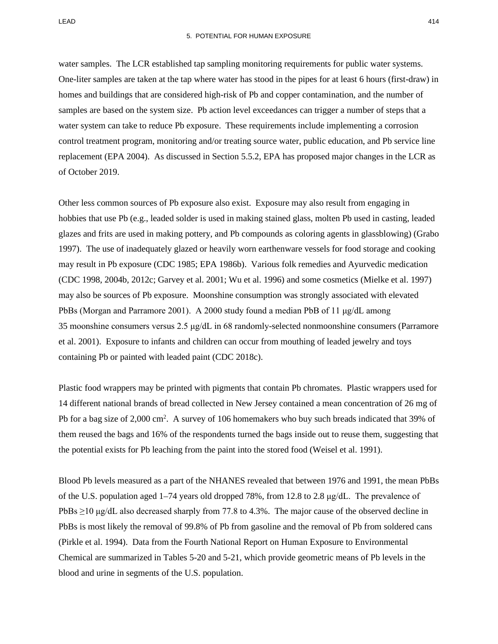water samples. The LCR established tap sampling monitoring requirements for public water systems. One-liter samples are taken at the tap where water has stood in the pipes for at least 6 hours (first-draw) in homes and buildings that are considered high-risk of Pb and copper contamination, and the number of samples are based on the system size. Pb action level exceedances can trigger a number of steps that a water system can take to reduce Pb exposure. These requirements include implementing a corrosion control treatment program, monitoring and/or treating source water, public education, and Pb service line replacement (EPA 2004). As discussed in Section 5.5.2, EPA has proposed major changes in the LCR as of October 2019.

Other less common sources of Pb exposure also exist. Exposure may also result from engaging in hobbies that use Pb (e.g., leaded solder is used in making stained glass, molten Pb used in casting, leaded glazes and frits are used in making pottery, and Pb compounds as coloring agents in glassblowing) (Grabo 1997). The use of inadequately glazed or heavily worn earthenware vessels for food storage and cooking may result in Pb exposure (CDC 1985; EPA 1986b). Various folk remedies and Ayurvedic medication (CDC 1998, 2004b, 2012c; Garvey et al. 2001; Wu et al. 1996) and some cosmetics (Mielke et al. 1997) may also be sources of Pb exposure. Moonshine consumption was strongly associated with elevated PbBs (Morgan and Parramore 2001). A 2000 study found a median PbB of 11  $\mu$ g/dL among 35 moonshine consumers versus 2.5 μg/dL in 68 randomly-selected nonmoonshine consumers (Parramore et al. 2001). Exposure to infants and children can occur from mouthing of leaded jewelry and toys containing Pb or painted with leaded paint (CDC 2018c).

Plastic food wrappers may be printed with pigments that contain Pb chromates. Plastic wrappers used for 14 different national brands of bread collected in New Jersey contained a mean concentration of 26 mg of Pb for a bag size of 2,000 cm<sup>2</sup>. A survey of 106 homemakers who buy such breads indicated that 39% of them reused the bags and 16% of the respondents turned the bags inside out to reuse them, suggesting that the potential exists for Pb leaching from the paint into the stored food (Weisel et al. 1991).

Blood Pb levels measured as a part of the NHANES revealed that between 1976 and 1991, the mean PbBs of the U.S. population aged 1–74 years old dropped 78%, from 12.8 to 2.8 μg/dL. The prevalence of PbBs ≥10 μg/dL also decreased sharply from 77.8 to 4.3%. The major cause of the observed decline in PbBs is most likely the removal of 99.8% of Pb from gasoline and the removal of Pb from soldered cans (Pirkle et al. 1994). Data from the Fourth National Report on Human Exposure to Environmental Chemical are summarized in Tables [5-20](#page-60-0) and [5-21,](#page-61-0) which provide geometric means of Pb levels in the blood and urine in segments of the U.S. population.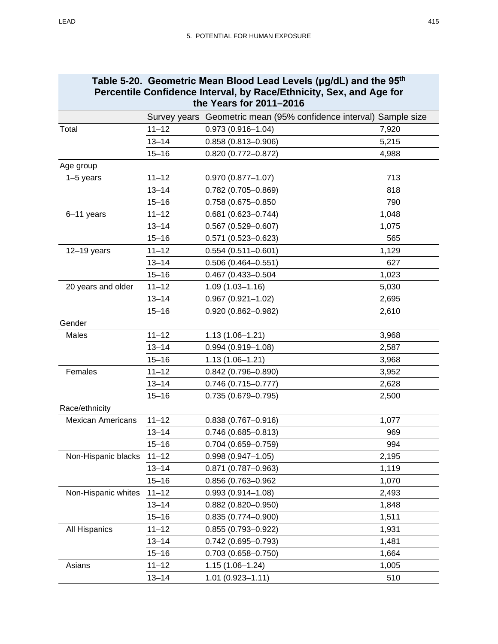<span id="page-60-0"></span>

| Table 5-20. Geometric Mean Blood Lead Levels (µg/dL) and the 95 <sup>th</sup><br>Percentile Confidence Interval, by Race/Ethnicity, Sex, and Age for<br>the Years for 2011-2016 |           |                                                                   |       |
|---------------------------------------------------------------------------------------------------------------------------------------------------------------------------------|-----------|-------------------------------------------------------------------|-------|
|                                                                                                                                                                                 |           | Survey years Geometric mean (95% confidence interval) Sample size |       |
| Total                                                                                                                                                                           | $11 - 12$ | $0.973(0.916 - 1.04)$                                             | 7,920 |
|                                                                                                                                                                                 | $13 - 14$ | $0.858(0.813 - 0.906)$                                            | 5,215 |
|                                                                                                                                                                                 | $15 - 16$ | $0.820(0.772 - 0.872)$                                            | 4,988 |
| Age group                                                                                                                                                                       |           |                                                                   |       |
| $1-5$ years                                                                                                                                                                     | $11 - 12$ | $0.970(0.877 - 1.07)$                                             | 713   |
|                                                                                                                                                                                 | $13 - 14$ | 0.782 (0.705-0.869)                                               | 818   |
|                                                                                                                                                                                 | $15 - 16$ | 0.758 (0.675-0.850                                                | 790   |
| 6-11 years                                                                                                                                                                      | $11 - 12$ | $0.681(0.623 - 0.744)$                                            | 1,048 |
|                                                                                                                                                                                 | $13 - 14$ | $0.567(0.529 - 0.607)$                                            | 1,075 |
|                                                                                                                                                                                 | $15 - 16$ | $0.571(0.523 - 0.623)$                                            | 565   |
| $12-19$ years                                                                                                                                                                   | $11 - 12$ | $0.554(0.511 - 0.601)$                                            | 1,129 |
|                                                                                                                                                                                 | $13 - 14$ | $0.506(0.464 - 0.551)$                                            | 627   |
|                                                                                                                                                                                 | $15 - 16$ | 0.467 (0.433-0.504                                                | 1,023 |
| 20 years and older                                                                                                                                                              | $11 - 12$ | $1.09(1.03 - 1.16)$                                               | 5,030 |
|                                                                                                                                                                                 | $13 - 14$ | $0.967(0.921 - 1.02)$                                             | 2,695 |
|                                                                                                                                                                                 | $15 - 16$ | $0.920(0.862 - 0.982)$                                            | 2,610 |
| Gender                                                                                                                                                                          |           |                                                                   |       |
| Males                                                                                                                                                                           | $11 - 12$ | $1.13(1.06 - 1.21)$                                               | 3,968 |
|                                                                                                                                                                                 | $13 - 14$ | $0.994(0.919 - 1.08)$                                             | 2,587 |
|                                                                                                                                                                                 | $15 - 16$ | $1.13(1.06 - 1.21)$                                               | 3,968 |
| Females                                                                                                                                                                         | $11 - 12$ | $0.842(0.796 - 0.890)$                                            | 3,952 |
|                                                                                                                                                                                 | $13 - 14$ | $0.746(0.715 - 0.777)$                                            | 2,628 |
|                                                                                                                                                                                 | $15 - 16$ | $0.735(0.679 - 0.795)$                                            | 2,500 |
| Race/ethnicity                                                                                                                                                                  |           |                                                                   |       |
| <b>Mexican Americans</b>                                                                                                                                                        | $11 - 12$ | $0.838(0.767 - 0.916)$                                            | 1,077 |
|                                                                                                                                                                                 | $13 - 14$ | $0.746(0.685 - 0.813)$                                            | 969   |
|                                                                                                                                                                                 | $15 - 16$ | 0.704 (0.659-0.759)                                               | 994   |
| Non-Hispanic blacks                                                                                                                                                             | $11 - 12$ | $0.998(0.947 - 1.05)$                                             | 2,195 |
|                                                                                                                                                                                 | $13 - 14$ | $0.871(0.787 - 0.963)$                                            | 1,119 |
|                                                                                                                                                                                 | $15 - 16$ | 0.856 (0.763-0.962                                                | 1,070 |
| Non-Hispanic whites                                                                                                                                                             | $11 - 12$ | $0.993(0.914 - 1.08)$                                             | 2,493 |
|                                                                                                                                                                                 | $13 - 14$ | $0.882(0.820 - 0.950)$                                            | 1,848 |
|                                                                                                                                                                                 | $15 - 16$ | $0.835(0.774 - 0.900)$                                            | 1,511 |
| All Hispanics                                                                                                                                                                   | $11 - 12$ | $0.855(0.793 - 0.922)$                                            | 1,931 |
|                                                                                                                                                                                 | $13 - 14$ | $0.742(0.695 - 0.793)$                                            | 1,481 |
|                                                                                                                                                                                 | $15 - 16$ | $0.703(0.658 - 0.750)$                                            | 1,664 |
| Asians                                                                                                                                                                          | $11 - 12$ | $1.15(1.06 - 1.24)$                                               | 1,005 |
|                                                                                                                                                                                 | $13 - 14$ | $1.01(0.923 - 1.11)$                                              | 510   |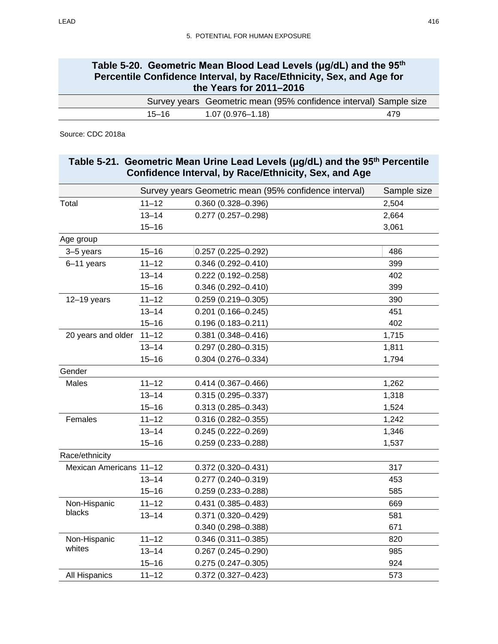| Table 5-20. Geometric Mean Blood Lead Levels (µg/dL) and the 95 <sup>th</sup><br>Percentile Confidence Interval, by Race/Ethnicity, Sex, and Age for<br>the Years for 2011-2016 |                      |     |  |  |
|---------------------------------------------------------------------------------------------------------------------------------------------------------------------------------|----------------------|-----|--|--|
| Survey years Geometric mean (95% confidence interval) Sample size                                                                                                               |                      |     |  |  |
| $15 - 16$                                                                                                                                                                       | $1.07(0.976 - 1.18)$ | 479 |  |  |
|                                                                                                                                                                                 |                      |     |  |  |

Source: CDC 2018a

<span id="page-61-0"></span>

|                         |           | Table 5-21. Geometric Mean Urine Lead Levels (µg/dL) and the 95 <sup>th</sup> Percentile<br>Confidence Interval, by Race/Ethnicity, Sex, and Age |             |
|-------------------------|-----------|--------------------------------------------------------------------------------------------------------------------------------------------------|-------------|
|                         |           | Survey years Geometric mean (95% confidence interval)                                                                                            | Sample size |
| Total                   | $11 - 12$ | $0.360(0.328 - 0.396)$                                                                                                                           | 2,504       |
|                         | $13 - 14$ | $0.277(0.257 - 0.298)$                                                                                                                           | 2,664       |
|                         | $15 - 16$ |                                                                                                                                                  | 3,061       |
| Age group               |           |                                                                                                                                                  |             |
| 3-5 years               | $15 - 16$ | $0.257(0.225 - 0.292)$                                                                                                                           | 486         |
| 6-11 years              | $11 - 12$ | $0.346(0.292 - 0.410)$                                                                                                                           | 399         |
|                         | $13 - 14$ | $0.222(0.192 - 0.258)$                                                                                                                           | 402         |
|                         | $15 - 16$ | $0.346(0.292 - 0.410)$                                                                                                                           | 399         |
| $12-19$ years           | $11 - 12$ | $0.259(0.219 - 0.305)$                                                                                                                           | 390         |
|                         | $13 - 14$ | $0.201(0.166 - 0.245)$                                                                                                                           | 451         |
|                         | $15 - 16$ | $0.196(0.183 - 0.211)$                                                                                                                           | 402         |
| 20 years and older      | $11 - 12$ | $0.381(0.348 - 0.416)$                                                                                                                           | 1,715       |
|                         | $13 - 14$ | $0.297(0.280 - 0.315)$                                                                                                                           | 1,811       |
|                         | $15 - 16$ | $0.304(0.276 - 0.334)$                                                                                                                           | 1,794       |
| Gender                  |           |                                                                                                                                                  |             |
| Males                   | $11 - 12$ | $0.414(0.367 - 0.466)$                                                                                                                           | 1,262       |
|                         | $13 - 14$ | $0.315(0.295 - 0.337)$                                                                                                                           | 1,318       |
|                         | $15 - 16$ | $0.313(0.285 - 0.343)$                                                                                                                           | 1,524       |
| Females                 | $11 - 12$ | $0.316(0.282 - 0.355)$                                                                                                                           | 1,242       |
|                         | $13 - 14$ | $0.245(0.222 - 0.269)$                                                                                                                           | 1,346       |
|                         | $15 - 16$ | $0.259(0.233 - 0.288)$                                                                                                                           | 1,537       |
| Race/ethnicity          |           |                                                                                                                                                  |             |
| Mexican Americans 11-12 |           | $0.372(0.320 - 0.431)$                                                                                                                           | 317         |
|                         | $13 - 14$ | $0.277(0.240 - 0.319)$                                                                                                                           | 453         |
|                         | $15 - 16$ | $0.259(0.233 - 0.288)$                                                                                                                           | 585         |
| Non-Hispanic            | $11 - 12$ | $0.431(0.385 - 0.483)$                                                                                                                           | 669         |
| blacks                  | 13–14     | $0.371(0.320 - 0.429)$                                                                                                                           | 581         |
|                         |           | $0.340(0.298 - 0.388)$                                                                                                                           | 671         |
| Non-Hispanic            | $11 - 12$ | $0.346(0.311 - 0.385)$                                                                                                                           | 820         |
| whites                  | $13 - 14$ | $0.267(0.245 - 0.290)$                                                                                                                           | 985         |
|                         | $15 - 16$ | $0.275(0.247 - 0.305)$                                                                                                                           | 924         |
| All Hispanics           | $11 - 12$ | $0.372(0.327 - 0.423)$                                                                                                                           | 573         |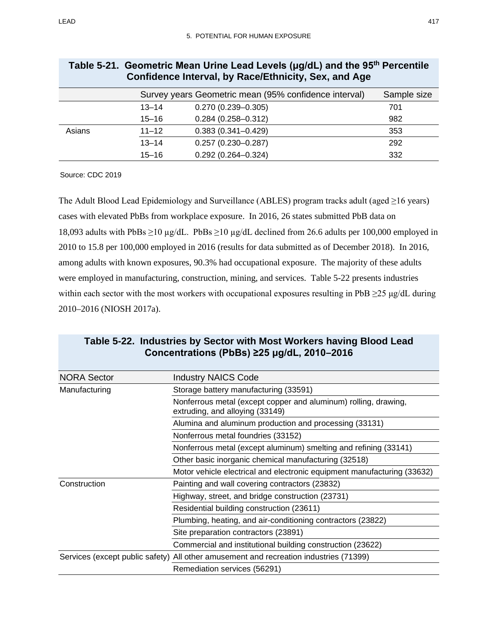| <b>COMMUNICATE:</b> The value of the community, Oct., and Age        |           |                        |     |  |
|----------------------------------------------------------------------|-----------|------------------------|-----|--|
| Survey years Geometric mean (95% confidence interval)<br>Sample size |           |                        |     |  |
|                                                                      | $13 - 14$ | $0.270(0.239 - 0.305)$ | 701 |  |
|                                                                      | $15 - 16$ | $0.284(0.258 - 0.312)$ | 982 |  |
| Asians                                                               | $11 - 12$ | $0.383(0.341 - 0.429)$ | 353 |  |
|                                                                      | $13 - 14$ | $0.257(0.230 - 0.287)$ | 292 |  |
|                                                                      | $15 - 16$ | $0.292(0.264 - 0.324)$ | 332 |  |

#### **Table 5-21. Geometric Mean Urine Lead Levels (μg/dL) and the 95th Percentile Confidence Interval, by Race/Ethnicity, Sex, and Age**

Source: CDC 2019

The Adult Blood Lead Epidemiology and Surveillance (ABLES) program tracks adult (aged ≥16 years) cases with elevated PbBs from workplace exposure. In 2016, 26 states submitted PbB data on 18,093 adults with PbBs ≥10 µg/dL. PbBs ≥10 µg/dL declined from 26.6 adults per 100,000 employed in 2010 to 15.8 per 100,000 employed in 2016 (results for data submitted as of December 2018). In 2016, among adults with known exposures, 90.3% had occupational exposure. The majority of these adults were employed in manufacturing, construction, mining, and services. [Table 5-22](#page-62-0) presents industries within each sector with the most workers with occupational exposures resulting in PbB  $\geq$ 25 μg/dL during 2010–2016 (NIOSH 2017a).

## <span id="page-62-0"></span>**Table 5-22. Industries by Sector with Most Workers having Blood Lead Concentrations (PbBs) ≥25 μg/dL, 2010–2016**

| <b>NORA Sector</b> | <b>Industry NAICS Code</b>                                                                         |  |
|--------------------|----------------------------------------------------------------------------------------------------|--|
| Manufacturing      | Storage battery manufacturing (33591)                                                              |  |
|                    | Nonferrous metal (except copper and aluminum) rolling, drawing,<br>extruding, and alloying (33149) |  |
|                    | Alumina and aluminum production and processing (33131)                                             |  |
|                    | Nonferrous metal foundries (33152)                                                                 |  |
|                    | Nonferrous metal (except aluminum) smelting and refining (33141)                                   |  |
|                    | Other basic inorganic chemical manufacturing (32518)                                               |  |
|                    | Motor vehicle electrical and electronic equipment manufacturing (33632)                            |  |
| Construction       | Painting and wall covering contractors (23832)                                                     |  |
|                    | Highway, street, and bridge construction (23731)                                                   |  |
|                    | Residential building construction (23611)                                                          |  |
|                    | Plumbing, heating, and air-conditioning contractors (23822)                                        |  |
|                    | Site preparation contractors (23891)                                                               |  |
|                    | Commercial and institutional building construction (23622)                                         |  |
|                    | Services (except public safety) All other amusement and recreation industries (71399)              |  |
|                    | Remediation services (56291)                                                                       |  |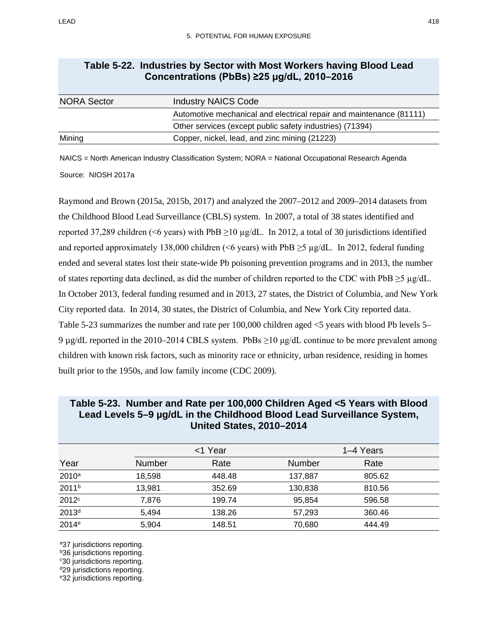| <b>NORA Sector</b> | <b>Industry NAICS Code</b>                                          |
|--------------------|---------------------------------------------------------------------|
|                    | Automotive mechanical and electrical repair and maintenance (81111) |
|                    | Other services (except public safety industries) (71394)            |
| Mining             | Copper, nickel, lead, and zinc mining (21223)                       |

## **Table 5-22. Industries by Sector with Most Workers having Blood Lead Concentrations (PbBs) ≥25 μg/dL, 2010–2016**

NAICS = North American Industry Classification System; NORA = National Occupational Research Agenda Source: NIOSH 2017a

Raymond and Brown (2015a, 2015b, 2017) and analyzed the 2007–2012 and 2009–2014 datasets from the Childhood Blood Lead Surveillance (CBLS) system. In 2007, a total of 38 states identified and reported 37,289 children (<6 years) with PbB  $\geq$ 10 µg/dL. In 2012, a total of 30 jurisdictions identified and reported approximately 138,000 children (<6 years) with PbB  $\geq$ 5 µg/dL. In 2012, federal funding ended and several states lost their state-wide Pb poisoning prevention programs and in 2013, the number of states reporting data declined, as did the number of children reported to the CDC with PbB  $\geq$ 5  $\mu$ g/dL. In October 2013, federal funding resumed and in 2013, 27 states, the District of Columbia, and New York City reported data. In 2014, 30 states, the District of Columbia, and New York City reported data. [Table](#page-63-0) 5-23 summarizes the number and rate per 100,000 children aged <5 years with blood Pb levels 5– 9 μg/dL reported in the 2010–2014 CBLS system. PbBs  $\geq$ 10 μg/dL continue to be more prevalent among children with known risk factors, such as minority race or ethnicity, urban residence, residing in homes built prior to the 1950s, and low family income (CDC 2009).

|                   |               | <1 Year |               | 1–4 Years |  |
|-------------------|---------------|---------|---------------|-----------|--|
| Year              | <b>Number</b> | Rate    | <b>Number</b> | Rate      |  |
| $2010^a$          | 18,598        | 448.48  | 137,887       | 805.62    |  |
| 2011 <sup>b</sup> | 13,981        | 352.69  | 130,838       | 810.56    |  |
| 2012 <sup>c</sup> | 7,876         | 199.74  | 95,854        | 596.58    |  |
| 2013 <sup>d</sup> | 5,494         | 138.26  | 57,293        | 360.46    |  |
| 2014 <sup>e</sup> | 5,904         | 148.51  | 70,680        | 444.49    |  |

## <span id="page-63-0"></span>**Table 5-23. Number and Rate per 100,000 Children Aged <5 Years with Blood Lead Levels 5–9 µg/dL in the Childhood Blood Lead Surveillance System, United States, 2010–2014**

a37 jurisdictions reporting.

**b36** jurisdictions reporting.

c30 jurisdictions reporting.

d<sub>29</sub> jurisdictions reporting.

e32 jurisdictions reporting.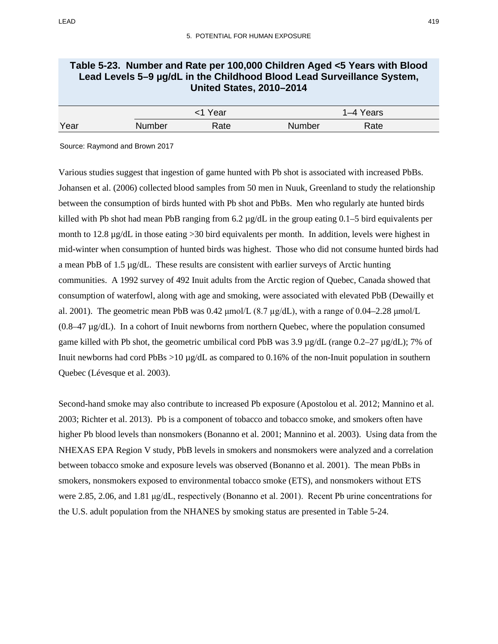## **Table 5-23. Number and Rate per 100,000 Children Aged <5 Years with Blood Lead Levels 5–9 µg/dL in the Childhood Blood Lead Surveillance System, United States, 2010–2014**

|      | Year   |      | I–4 Years |      |
|------|--------|------|-----------|------|
| Year | Number | Rate | Number    | Rate |

Source: Raymond and Brown 2017

Various studies suggest that ingestion of game hunted with Pb shot is associated with increased PbBs. Johansen et al. (2006) collected blood samples from 50 men in Nuuk, Greenland to study the relationship between the consumption of birds hunted with Pb shot and PbBs. Men who regularly ate hunted birds killed with Pb shot had mean PbB ranging from 6.2 µg/dL in the group eating 0.1–5 bird equivalents per month to 12.8  $\mu$ g/dL in those eating >30 bird equivalents per month. In addition, levels were highest in mid-winter when consumption of hunted birds was highest. Those who did not consume hunted birds had a mean PbB of 1.5 µg/dL. These results are consistent with earlier surveys of Arctic hunting communities. A 1992 survey of 492 Inuit adults from the Arctic region of Quebec, Canada showed that consumption of waterfowl, along with age and smoking, were associated with elevated PbB (Dewailly et al. 2001). The geometric mean PbB was  $0.42 \mu$ mol/L  $(8.7 \mu g/dL)$ , with a range of  $0.04-2.28 \mu$ mol/L  $(0.8-47 \mu g/dL)$ . In a cohort of Inuit newborns from northern Quebec, where the population consumed game killed with Pb shot, the geometric umbilical cord PbB was  $3.9 \mu g/dL$  (range 0.2–27  $\mu g/dL$ ); 7% of Inuit newborns had cord PbBs  $>10 \mu g/dL$  as compared to 0.16% of the non-Inuit population in southern Quebec (Lévesque et al. 2003).

<span id="page-64-0"></span>Second-hand smoke may also contribute to increased Pb exposure (Apostolou et al. 2012; Mannino et al. 2003; Richter et al. 2013). Pb is a component of tobacco and tobacco smoke, and smokers often have higher Pb blood levels than nonsmokers (Bonanno et al. 2001; Mannino et al. 2003). Using data from the NHEXAS EPA Region V study, PbB levels in smokers and nonsmokers were analyzed and a correlation between tobacco smoke and exposure levels was observed (Bonanno et al. 2001). The mean PbBs in smokers, nonsmokers exposed to environmental tobacco smoke (ETS), and nonsmokers without ETS were 2.85, 2.06, and 1.81 μg/dL, respectively (Bonanno et al. 2001). Recent Pb urine concentrations for the U.S. adult population from the NHANES by smoking status are presented in [Table 5-24.](#page-65-0)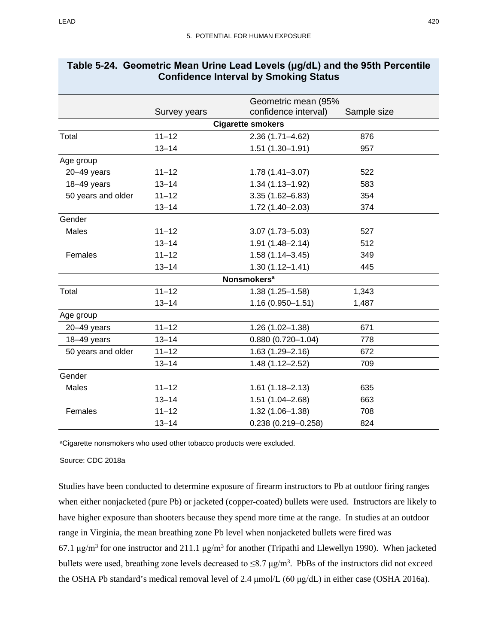|                    |              | Geometric mean (95%           |             |
|--------------------|--------------|-------------------------------|-------------|
|                    | Survey years | confidence interval)          | Sample size |
|                    |              | <b>Cigarette smokers</b>      |             |
| Total              | $11 - 12$    | $2.36(1.71 - 4.62)$           | 876         |
|                    | $13 - 14$    | $1.51(1.30 - 1.91)$           | 957         |
| Age group          |              |                               |             |
| 20-49 years        | $11 - 12$    | $1.78(1.41 - 3.07)$           | 522         |
| 18-49 years        | $13 - 14$    | $1.34(1.13 - 1.92)$           | 583         |
| 50 years and older | $11 - 12$    | $3.35(1.62 - 6.83)$           | 354         |
|                    | $13 - 14$    | $1.72(1.40 - 2.03)$           | 374         |
| Gender             |              |                               |             |
| Males              | $11 - 12$    | $3.07(1.73 - 5.03)$           | 527         |
|                    | $13 - 14$    | 1.91 (1.48-2.14)              | 512         |
| Females            | $11 - 12$    | $1.58(1.14 - 3.45)$           | 349         |
|                    | $13 - 14$    | $1.30(1.12 - 1.41)$           | 445         |
|                    |              | <b>Nonsmokers<sup>a</sup></b> |             |
| Total              | $11 - 12$    | $1.38(1.25 - 1.58)$           | 1,343       |
|                    | $13 - 14$    | 1.16 (0.950-1.51)             | 1,487       |
| Age group          |              |                               |             |
| $20 - 49$ years    | $11 - 12$    | $1.26(1.02 - 1.38)$           | 671         |
| 18-49 years        | $13 - 14$    | $0.880(0.720 - 1.04)$         | 778         |
| 50 years and older | $11 - 12$    | $1.63(1.29 - 2.16)$           | 672         |
|                    | $13 - 14$    | $1.48(1.12 - 2.52)$           | 709         |
| Gender             |              |                               |             |
| Males              | $11 - 12$    | $1.61(1.18 - 2.13)$           | 635         |
|                    | $13 - 14$    | $1.51(1.04 - 2.68)$           | 663         |
| Females            | $11 - 12$    | $1.32(1.06 - 1.38)$           | 708         |
|                    | $13 - 14$    | $0.238(0.219 - 0.258)$        | 824         |

#### <span id="page-65-0"></span>**Table 5-24. Geometric Mean Urine Lead Levels (μg/dL) and the 95th Percentile Confidence Interval by Smoking Status**

aCigarette nonsmokers who used other tobacco products were excluded.

Source: CDC 2018a

Studies have been conducted to determine exposure of firearm instructors to Pb at outdoor firing ranges when either nonjacketed (pure Pb) or jacketed (copper-coated) bullets were used. Instructors are likely to have higher exposure than shooters because they spend more time at the range. In studies at an outdoor range in Virginia, the mean breathing zone Pb level when nonjacketed bullets were fired was 67.1 μg/m<sup>3</sup> for one instructor and 211.1 μg/m<sup>3</sup> for another (Tripathi and Llewellyn 1990). When jacketed bullets were used, breathing zone levels decreased to  $\leq 8.7 \text{ µg/m}^3$ . PbBs of the instructors did not exceed the OSHA Pb standard's medical removal level of 2.4 μmol/L (60 μg/dL) in either case (OSHA 2016a).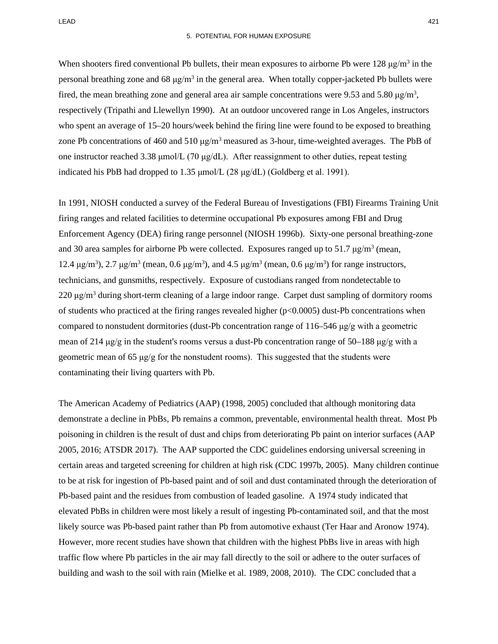LEAD 421

When shooters fired conventional Pb bullets, their mean exposures to airborne Pb were  $128 \mu g/m^3$  in the personal breathing zone and 68  $\mu g/m^3$  in the general area. When totally copper-jacketed Pb bullets were fired, the mean breathing zone and general area air sample concentrations were 9.53 and 5.80  $\mu$ g/m<sup>3</sup>, respectively (Tripathi and Llewellyn 1990). At an outdoor uncovered range in Los Angeles, instructors who spent an average of 15–20 hours/week behind the firing line were found to be exposed to breathing zone Pb concentrations of 460 and 510  $\mu$ g/m<sup>3</sup> measured as 3-hour, time-weighted averages. The PbB of one instructor reached 3.38 μmol/L (70 μg/dL). After reassignment to other duties, repeat testing indicated his PbB had dropped to 1.35  $\mu$ mol/L (28  $\mu$ g/dL) (Goldberg et al. 1991).

In 1991, NIOSH conducted a survey of the Federal Bureau of Investigations (FBI) Firearms Training Unit firing ranges and related facilities to determine occupational Pb exposures among FBI and Drug Enforcement Agency (DEA) firing range personnel (NIOSH 1996b). Sixty-one personal breathing-zone and 30 area samples for airborne Pb were collected. Exposures ranged up to 51.7  $\mu$ g/m<sup>3</sup> (mean, 12.4 μg/m<sup>3</sup>), 2.7 μg/m<sup>3</sup> (mean, 0.6 μg/m<sup>3</sup>), and 4.5 μg/m<sup>3</sup> (mean, 0.6 μg/m<sup>3</sup>) for range instructors, technicians, and gunsmiths, respectively. Exposure of custodians ranged from nondetectable to  $220 \mu g/m<sup>3</sup>$  during short-term cleaning of a large indoor range. Carpet dust sampling of dormitory rooms of students who practiced at the firing ranges revealed higher  $(p<0.0005)$  dust-Pb concentrations when compared to nonstudent dormitories (dust-Pb concentration range of 116–546 μg/g with a geometric mean of 214  $\mu$ g/g in the student's rooms versus a dust-Pb concentration range of 50–188  $\mu$ g/g with a geometric mean of 65  $\mu$ g/g for the nonstudent rooms). This suggested that the students were contaminating their living quarters with Pb.

The American Academy of Pediatrics (AAP) (1998, 2005) concluded that although monitoring data demonstrate a decline in PbBs, Pb remains a common, preventable, environmental health threat. Most Pb poisoning in children is the result of dust and chips from deteriorating Pb paint on interior surfaces (AAP 2005, 2016; ATSDR 2017). The AAP supported the CDC guidelines endorsing universal screening in certain areas and targeted screening for children at high risk (CDC 1997b, 2005). Many children continue to be at risk for ingestion of Pb-based paint and of soil and dust contaminated through the deterioration of Pb-based paint and the residues from combustion of leaded gasoline. A 1974 study indicated that elevated PbBs in children were most likely a result of ingesting Pb-contaminated soil, and that the most likely source was Pb-based paint rather than Pb from automotive exhaust (Ter Haar and Aronow 1974). However, more recent studies have shown that children with the highest PbBs live in areas with high traffic flow where Pb particles in the air may fall directly to the soil or adhere to the outer surfaces of building and wash to the soil with rain (Mielke et al. 1989, 2008, 2010). The CDC concluded that a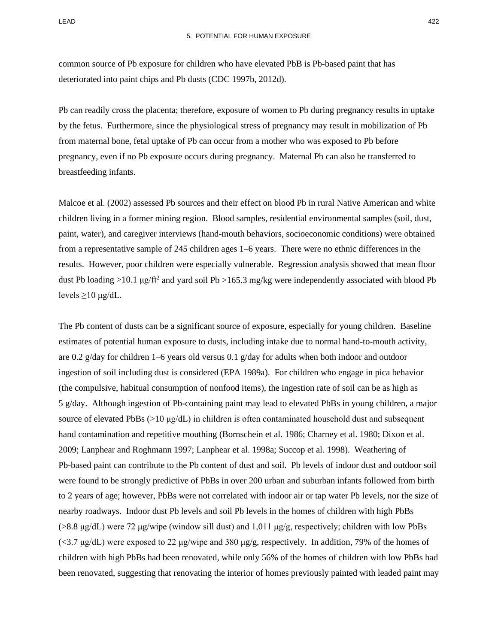common source of Pb exposure for children who have elevated PbB is Pb-based paint that has deteriorated into paint chips and Pb dusts (CDC 1997b, 2012d).

Pb can readily cross the placenta; therefore, exposure of women to Pb during pregnancy results in uptake by the fetus. Furthermore, since the physiological stress of pregnancy may result in mobilization of Pb from maternal bone, fetal uptake of Pb can occur from a mother who was exposed to Pb before pregnancy, even if no Pb exposure occurs during pregnancy. Maternal Pb can also be transferred to breastfeeding infants.

Malcoe et al. (2002) assessed Pb sources and their effect on blood Pb in rural Native American and white children living in a former mining region. Blood samples, residential environmental samples (soil, dust, paint, water), and caregiver interviews (hand-mouth behaviors, socioeconomic conditions) were obtained from a representative sample of 245 children ages 1–6 years. There were no ethnic differences in the results. However, poor children were especially vulnerable. Regression analysis showed that mean floor dust Pb loading >10.1 μg/ft<sup>2</sup> and yard soil Pb >165.3 mg/kg were independently associated with blood Pb levels  $\geq$ 10 μg/dL.

The Pb content of dusts can be a significant source of exposure, especially for young children. Baseline estimates of potential human exposure to dusts, including intake due to normal hand-to-mouth activity, are 0.2 g/day for children 1–6 years old versus 0.1 g/day for adults when both indoor and outdoor ingestion of soil including dust is considered (EPA 1989a). For children who engage in pica behavior (the compulsive, habitual consumption of nonfood items), the ingestion rate of soil can be as high as 5 g/day. Although ingestion of Pb-containing paint may lead to elevated PbBs in young children, a major source of elevated PbBs  $(>10 \mu g/dL)$  in children is often contaminated household dust and subsequent hand contamination and repetitive mouthing (Bornschein et al. 1986; Charney et al. 1980; Dixon et al. 2009; Lanphear and Roghmann 1997; Lanphear et al. 1998a; Succop et al. 1998). Weathering of Pb-based paint can contribute to the Pb content of dust and soil. Pb levels of indoor dust and outdoor soil were found to be strongly predictive of PbBs in over 200 urban and suburban infants followed from birth to 2 years of age; however, PbBs were not correlated with indoor air or tap water Pb levels, nor the size of nearby roadways. Indoor dust Pb levels and soil Pb levels in the homes of children with high PbBs (>8.8 μg/dL) were 72 μg/wipe (window sill dust) and 1,011 μg/g, respectively; children with low PbBs  $\langle$  <3.7 μg/dL) were exposed to 22 μg/wipe and 380 μg/g, respectively. In addition, 79% of the homes of children with high PbBs had been renovated, while only 56% of the homes of children with low PbBs had been renovated, suggesting that renovating the interior of homes previously painted with leaded paint may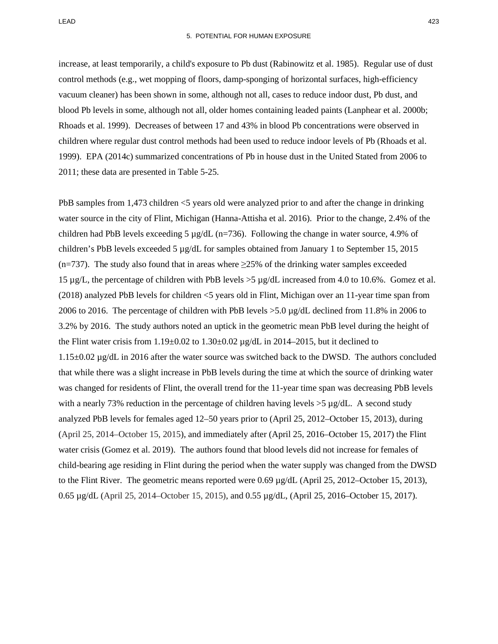increase, at least temporarily, a child's exposure to Pb dust (Rabinowitz et al. 1985). Regular use of dust control methods (e.g., wet mopping of floors, damp-sponging of horizontal surfaces, high-efficiency vacuum cleaner) has been shown in some, although not all, cases to reduce indoor dust, Pb dust, and blood Pb levels in some, although not all, older homes containing leaded paints (Lanphear et al. 2000b; Rhoads et al. 1999). Decreases of between 17 and 43% in blood Pb concentrations were observed in children where regular dust control methods had been used to reduce indoor levels of Pb (Rhoads et al. 1999). EPA (2014c) summarized concentrations of Pb in house dust in the United Stated from 2006 to 2011; these data are presented in [Table 5-25.](#page-69-0)

PbB samples from 1,473 children <5 years old were analyzed prior to and after the change in drinking water source in the city of Flint, Michigan (Hanna-Attisha et al. 2016). Prior to the change, 2.4% of the children had PbB levels exceeding 5  $\mu$ g/dL (n=736). Following the change in water source, 4.9% of children's PbB levels exceeded 5 µg/dL for samples obtained from January 1 to September 15, 2015  $(n=737)$ . The study also found that in areas where  $\geq 25\%$  of the drinking water samples exceeded 15 µg/L, the percentage of children with PbB levels >5 µg/dL increased from 4.0 to 10.6%. Gomez et al. (2018) analyzed PbB levels for children <5 years old in Flint, Michigan over an 11-year time span from 2006 to 2016. The percentage of children with PbB levels >5.0 µg/dL declined from 11.8% in 2006 to 3.2% by 2016. The study authors noted an uptick in the geometric mean PbB level during the height of the Flint water crisis from  $1.19\pm0.02$  to  $1.30\pm0.02$  µg/dL in 2014–2015, but it declined to 1.15±0.02 µg/dL in 2016 after the water source was switched back to the DWSD. The authors concluded that while there was a slight increase in PbB levels during the time at which the source of drinking water was changed for residents of Flint, the overall trend for the 11-year time span was decreasing PbB levels with a nearly 73% reduction in the percentage of children having levels  $>5 \mu g/dL$ . A second study analyzed PbB levels for females aged 12–50 years prior to (April 25, 2012–October 15, 2013), during (April 25, 2014–October 15, 2015), and immediately after (April 25, 2016–October 15, 2017) the Flint water crisis (Gomez et al. 2019). The authors found that blood levels did not increase for females of child-bearing age residing in Flint during the period when the water supply was changed from the DWSD to the Flint River. The geometric means reported were 0.69 µg/dL (April 25, 2012–October 15, 2013), 0.65 µg/dL (April 25, 2014–October 15, 2015), and 0.55 µg/dL, (April 25, 2016–October 15, 2017).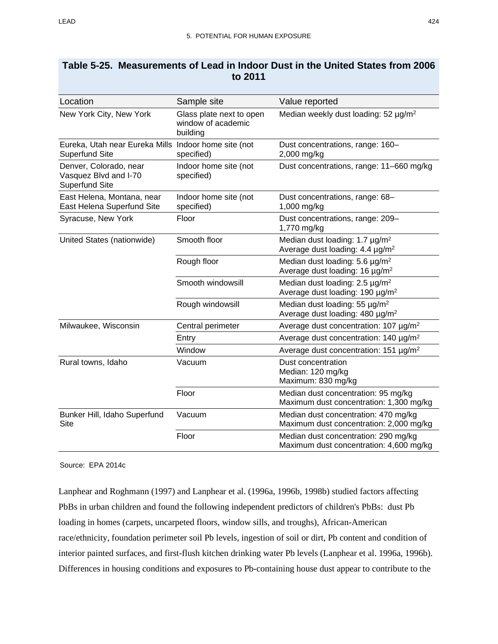| Location                                                                      | Sample site                                                | Value reported                                                                            |
|-------------------------------------------------------------------------------|------------------------------------------------------------|-------------------------------------------------------------------------------------------|
| New York City, New York                                                       | Glass plate next to open<br>window of academic<br>building | Median weekly dust loading: 52 µg/m <sup>2</sup>                                          |
| Eureka, Utah near Eureka Mills Indoor home site (not<br><b>Superfund Site</b> | specified)                                                 | Dust concentrations, range: 160-<br>2,000 mg/kg                                           |
| Denver, Colorado, near<br>Vasquez Blvd and I-70<br><b>Superfund Site</b>      | Indoor home site (not<br>specified)                        | Dust concentrations, range: 11-660 mg/kg                                                  |
| East Helena, Montana, near<br>East Helena Superfund Site                      | Indoor home site (not<br>specified)                        | Dust concentrations, range: 68-<br>1,000 mg/kg                                            |
| Syracuse, New York                                                            | Floor                                                      | Dust concentrations, range: 209-<br>1,770 mg/kg                                           |
| United States (nationwide)                                                    | Smooth floor                                               | Median dust loading: 1.7 µg/m <sup>2</sup><br>Average dust loading: 4.4 µg/m <sup>2</sup> |
|                                                                               | Rough floor                                                | Median dust loading: 5.6 µg/m <sup>2</sup><br>Average dust loading: 16 µg/m <sup>2</sup>  |
|                                                                               | Smooth windowsill                                          | Median dust loading: 2.5 µg/m <sup>2</sup><br>Average dust loading: 190 µg/m <sup>2</sup> |
|                                                                               | Rough windowsill                                           | Median dust loading: 55 µg/m <sup>2</sup><br>Average dust loading: 480 µg/m <sup>2</sup>  |
| Milwaukee, Wisconsin                                                          | Central perimeter                                          | Average dust concentration: 107 µg/m <sup>2</sup>                                         |
|                                                                               | Entry                                                      | Average dust concentration: 140 µg/m <sup>2</sup>                                         |
|                                                                               | Window                                                     | Average dust concentration: 151 µg/m <sup>2</sup>                                         |
| Rural towns, Idaho                                                            | Vacuum                                                     | Dust concentration<br>Median: 120 mg/kg<br>Maximum: 830 mg/kg                             |
|                                                                               | Floor                                                      | Median dust concentration: 95 mg/kg<br>Maximum dust concentration: 1,300 mg/kg            |
| Bunker Hill, Idaho Superfund<br>Site                                          | Vacuum                                                     | Median dust concentration: 470 mg/kg<br>Maximum dust concentration: 2,000 mg/kg           |
|                                                                               | Floor                                                      | Median dust concentration: 290 mg/kg<br>Maximum dust concentration: 4,600 mg/kg           |

## <span id="page-69-0"></span>**Table 5-25. Measurements of Lead in Indoor Dust in the United States from 2006 to 2011**

Source: EPA 2014c

Lanphear and Roghmann (1997) and Lanphear et al. (1996a, 1996b, 1998b) studied factors affecting PbBs in urban children and found the following independent predictors of children's PbBs: dust Pb loading in homes (carpets, uncarpeted floors, window sills, and troughs), African-American race/ethnicity, foundation perimeter soil Pb levels, ingestion of soil or dirt, Pb content and condition of interior painted surfaces, and first-flush kitchen drinking water Pb levels (Lanphear et al. 1996a, 1996b). Differences in housing conditions and exposures to Pb-containing house dust appear to contribute to the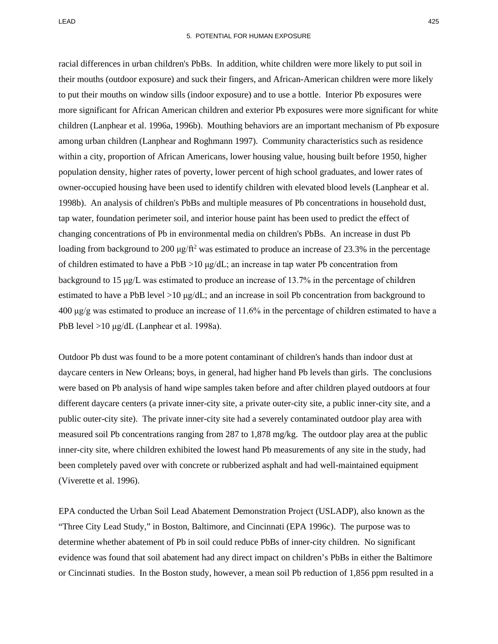racial differences in urban children's PbBs. In addition, white children were more likely to put soil in their mouths (outdoor exposure) and suck their fingers, and African-American children were more likely to put their mouths on window sills (indoor exposure) and to use a bottle. Interior Pb exposures were more significant for African American children and exterior Pb exposures were more significant for white children (Lanphear et al. 1996a, 1996b). Mouthing behaviors are an important mechanism of Pb exposure among urban children (Lanphear and Roghmann 1997). Community characteristics such as residence within a city, proportion of African Americans, lower housing value, housing built before 1950, higher population density, higher rates of poverty, lower percent of high school graduates, and lower rates of owner-occupied housing have been used to identify children with elevated blood levels (Lanphear et al. 1998b). An analysis of children's PbBs and multiple measures of Pb concentrations in household dust, tap water, foundation perimeter soil, and interior house paint has been used to predict the effect of changing concentrations of Pb in environmental media on children's PbBs. An increase in dust Pb loading from background to 200  $\mu g / \text{ft}^2$  was estimated to produce an increase of 23.3% in the percentage of children estimated to have a PbB  $>10 \mu g/dL$ ; an increase in tap water Pb concentration from background to 15 μg/L was estimated to produce an increase of 13.7% in the percentage of children estimated to have a PbB level  $>10 \mu g/dL$ ; and an increase in soil Pb concentration from background to 400 μg/g was estimated to produce an increase of 11.6% in the percentage of children estimated to have a PbB level >10 μg/dL (Lanphear et al. 1998a).

Outdoor Pb dust was found to be a more potent contaminant of children's hands than indoor dust at daycare centers in New Orleans; boys, in general, had higher hand Pb levels than girls. The conclusions were based on Pb analysis of hand wipe samples taken before and after children played outdoors at four different daycare centers (a private inner-city site, a private outer-city site, a public inner-city site, and a public outer-city site). The private inner-city site had a severely contaminated outdoor play area with measured soil Pb concentrations ranging from 287 to 1,878 mg/kg. The outdoor play area at the public inner-city site, where children exhibited the lowest hand Pb measurements of any site in the study, had been completely paved over with concrete or rubberized asphalt and had well-maintained equipment (Viverette et al. 1996).

EPA conducted the Urban Soil Lead Abatement Demonstration Project (USLADP), also known as the "Three City Lead Study," in Boston, Baltimore, and Cincinnati (EPA 1996c). The purpose was to determine whether abatement of Pb in soil could reduce PbBs of inner-city children. No significant evidence was found that soil abatement had any direct impact on children's PbBs in either the Baltimore or Cincinnati studies. In the Boston study, however, a mean soil Pb reduction of 1,856 ppm resulted in a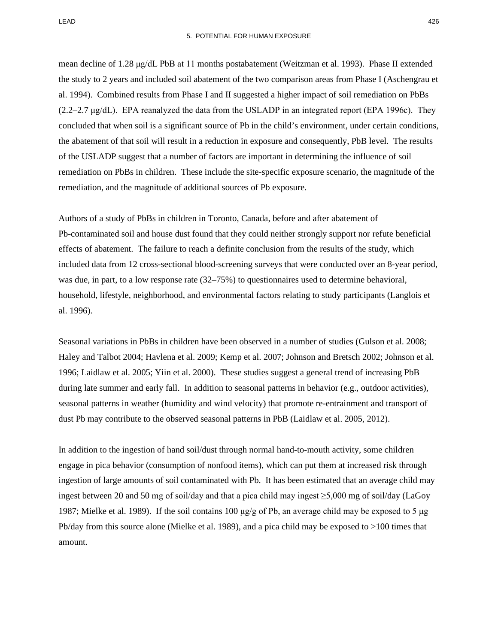mean decline of 1.28 μg/dL PbB at 11 months postabatement (Weitzman et al. 1993). Phase II extended the study to 2 years and included soil abatement of the two comparison areas from Phase I (Aschengrau et al. 1994). Combined results from Phase I and II suggested a higher impact of soil remediation on PbBs  $(2.2-2.7 \mu g/dL)$ . EPA reanalyzed the data from the USLADP in an integrated report (EPA 1996c). They concluded that when soil is a significant source of Pb in the child's environment, under certain conditions, the abatement of that soil will result in a reduction in exposure and consequently, PbB level. The results of the USLADP suggest that a number of factors are important in determining the influence of soil remediation on PbBs in children. These include the site-specific exposure scenario, the magnitude of the remediation, and the magnitude of additional sources of Pb exposure.

Authors of a study of PbBs in children in Toronto, Canada, before and after abatement of Pb-contaminated soil and house dust found that they could neither strongly support nor refute beneficial effects of abatement. The failure to reach a definite conclusion from the results of the study, which included data from 12 cross-sectional blood-screening surveys that were conducted over an 8-year period, was due, in part, to a low response rate (32–75%) to questionnaires used to determine behavioral, household, lifestyle, neighborhood, and environmental factors relating to study participants (Langlois et al. 1996).

Seasonal variations in PbBs in children have been observed in a number of studies (Gulson et al. 2008; Haley and Talbot 2004; Havlena et al. 2009; Kemp et al. 2007; Johnson and Bretsch 2002; Johnson et al. 1996; Laidlaw et al. 2005; Yiin et al. 2000). These studies suggest a general trend of increasing PbB during late summer and early fall. In addition to seasonal patterns in behavior (e.g., outdoor activities), seasonal patterns in weather (humidity and wind velocity) that promote re-entrainment and transport of dust Pb may contribute to the observed seasonal patterns in PbB (Laidlaw et al. 2005, 2012).

In addition to the ingestion of hand soil/dust through normal hand-to-mouth activity, some children engage in pica behavior (consumption of nonfood items), which can put them at increased risk through ingestion of large amounts of soil contaminated with Pb. It has been estimated that an average child may ingest between 20 and 50 mg of soil/day and that a pica child may ingest ≥5,000 mg of soil/day (LaGoy 1987; Mielke et al. 1989). If the soil contains 100 μg/g of Pb, an average child may be exposed to 5 μg Pb/day from this source alone (Mielke et al. 1989), and a pica child may be exposed to >100 times that amount.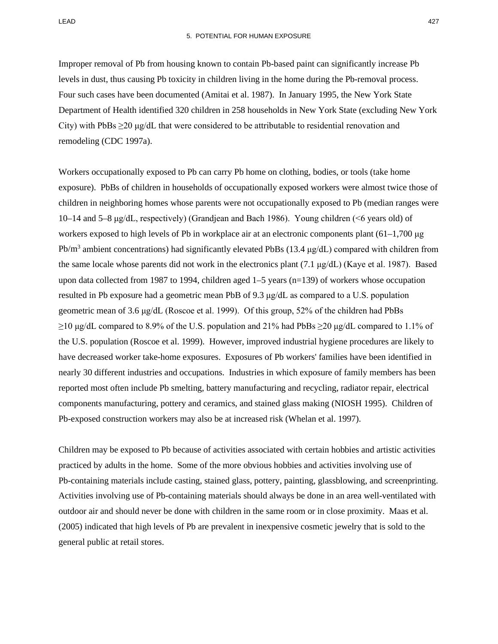Improper removal of Pb from housing known to contain Pb-based paint can significantly increase Pb levels in dust, thus causing Pb toxicity in children living in the home during the Pb-removal process. Four such cases have been documented (Amitai et al. 1987). In January 1995, the New York State Department of Health identified 320 children in 258 households in New York State (excluding New York City) with PbBs  $\geq$ 20 μg/dL that were considered to be attributable to residential renovation and remodeling (CDC 1997a).

Workers occupationally exposed to Pb can carry Pb home on clothing, bodies, or tools (take home exposure). PbBs of children in households of occupationally exposed workers were almost twice those of children in neighboring homes whose parents were not occupationally exposed to Pb (median ranges were 10–14 and 5–8 μg/dL, respectively) (Grandjean and Bach 1986). Young children (<6 years old) of workers exposed to high levels of Pb in workplace air at an electronic components plant (61–1,700 μg Pb/m<sup>3</sup> ambient concentrations) had significantly elevated PbBs (13.4  $\mu$ g/dL) compared with children from the same locale whose parents did not work in the electronics plant (7.1 μg/dL) (Kaye et al. 1987). Based upon data collected from 1987 to 1994, children aged 1–5 years (n=139) of workers whose occupation resulted in Pb exposure had a geometric mean PbB of 9.3 μg/dL as compared to a U.S. population geometric mean of 3.6 μg/dL (Roscoe et al. 1999). Of this group, 52% of the children had PbBs  $\geq$ 10 μg/dL compared to 8.9% of the U.S. population and 21% had PbBs  $\geq$ 20 μg/dL compared to 1.1% of the U.S. population (Roscoe et al. 1999). However, improved industrial hygiene procedures are likely to have decreased worker take-home exposures. Exposures of Pb workers' families have been identified in nearly 30 different industries and occupations. Industries in which exposure of family members has been reported most often include Pb smelting, battery manufacturing and recycling, radiator repair, electrical components manufacturing, pottery and ceramics, and stained glass making (NIOSH 1995). Children of Pb-exposed construction workers may also be at increased risk (Whelan et al. 1997).

Children may be exposed to Pb because of activities associated with certain hobbies and artistic activities practiced by adults in the home. Some of the more obvious hobbies and activities involving use of Pb-containing materials include casting, stained glass, pottery, painting, glassblowing, and screenprinting. Activities involving use of Pb-containing materials should always be done in an area well-ventilated with outdoor air and should never be done with children in the same room or in close proximity. Maas et al. (2005) indicated that high levels of Pb are prevalent in inexpensive cosmetic jewelry that is sold to the general public at retail stores.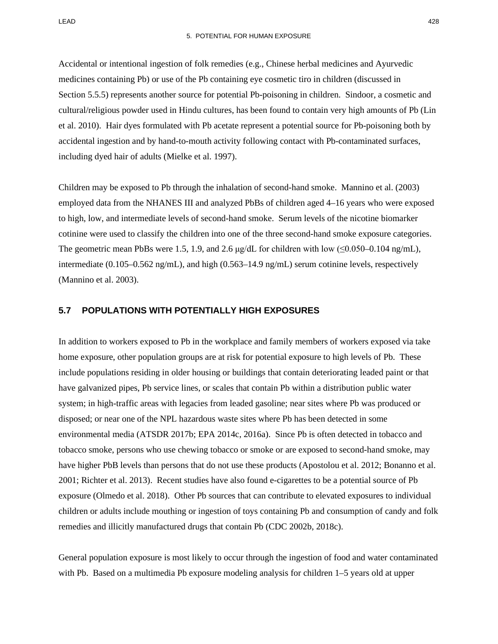Accidental or intentional ingestion of folk remedies (e.g., Chinese herbal medicines and Ayurvedic medicines containing Pb) or use of the Pb containing eye cosmetic tiro in children (discussed in Section 5.5.5) represents another source for potential Pb-poisoning in children. Sindoor, a cosmetic and cultural/religious powder used in Hindu cultures, has been found to contain very high amounts of Pb (Lin et al. 2010). Hair dyes formulated with Pb acetate represent a potential source for Pb-poisoning both by accidental ingestion and by hand-to-mouth activity following contact with Pb-contaminated surfaces, including dyed hair of adults (Mielke et al. 1997).

Children may be exposed to Pb through the inhalation of second-hand smoke. Mannino et al. (2003) employed data from the NHANES III and analyzed PbBs of children aged 4–16 years who were exposed to high, low, and intermediate levels of second-hand smoke. Serum levels of the nicotine biomarker cotinine were used to classify the children into one of the three second-hand smoke exposure categories. The geometric mean PbBs were 1.5, 1.9, and 2.6  $\mu$ g/dL for children with low ( $\leq 0.050-0.104$  ng/mL), intermediate (0.105–0.562 ng/mL), and high (0.563–14.9 ng/mL) serum cotinine levels, respectively (Mannino et al. 2003).

## **5.7 POPULATIONS WITH POTENTIALLY HIGH EXPOSURES**

In addition to workers exposed to Pb in the workplace and family members of workers exposed via take home exposure, other population groups are at risk for potential exposure to high levels of Pb. These include populations residing in older housing or buildings that contain deteriorating leaded paint or that have galvanized pipes, Pb service lines, or scales that contain Pb within a distribution public water system; in high-traffic areas with legacies from leaded gasoline; near sites where Pb was produced or disposed; or near one of the NPL hazardous waste sites where Pb has been detected in some environmental media (ATSDR 2017b; EPA 2014c, 2016a). Since Pb is often detected in tobacco and tobacco smoke, persons who use chewing tobacco or smoke or are exposed to second-hand smoke, may have higher PbB levels than persons that do not use these products (Apostolou et al. 2012; Bonanno et al. 2001; Richter et al. 2013). Recent studies have also found e-cigarettes to be a potential source of Pb exposure (Olmedo et al. 2018). Other Pb sources that can contribute to elevated exposures to individual children or adults include mouthing or ingestion of toys containing Pb and consumption of candy and folk remedies and illicitly manufactured drugs that contain Pb (CDC 2002b, 2018c).

General population exposure is most likely to occur through the ingestion of food and water contaminated with Pb. Based on a multimedia Pb exposure modeling analysis for children 1–5 years old at upper